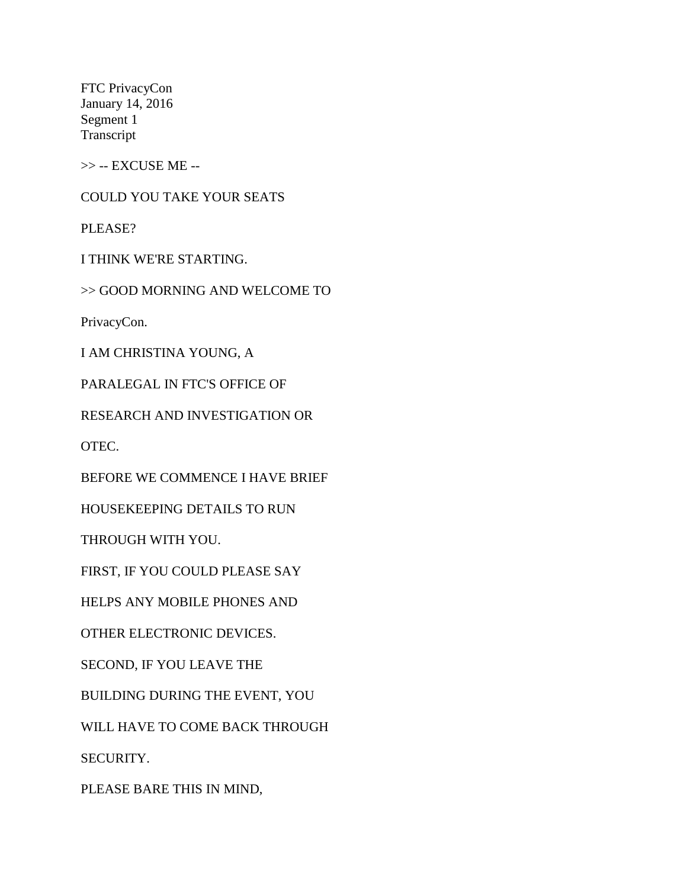FTC PrivacyCon January 14, 2016 Segment 1 Transcript

>> -- EXCUSE ME --

COULD YOU TAKE YOUR SEATS

PLEASE?

I THINK WE'RE STARTING.

>> GOOD MORNING AND WELCOME TO

PrivacyCon.

I AM CHRISTINA YOUNG, A

PARALEGAL IN FTC'S OFFICE OF

RESEARCH AND INVESTIGATION OR

OTEC.

BEFORE WE COMMENCE I HAVE BRIEF

HOUSEKEEPING DETAILS TO RUN

THROUGH WITH YOU.

FIRST, IF YOU COULD PLEASE SAY

HELPS ANY MOBILE PHONES AND

OTHER ELECTRONIC DEVICES.

SECOND, IF YOU LEAVE THE

BUILDING DURING THE EVENT, YOU

WILL HAVE TO COME BACK THROUGH

SECURITY.

PLEASE BARE THIS IN MIND,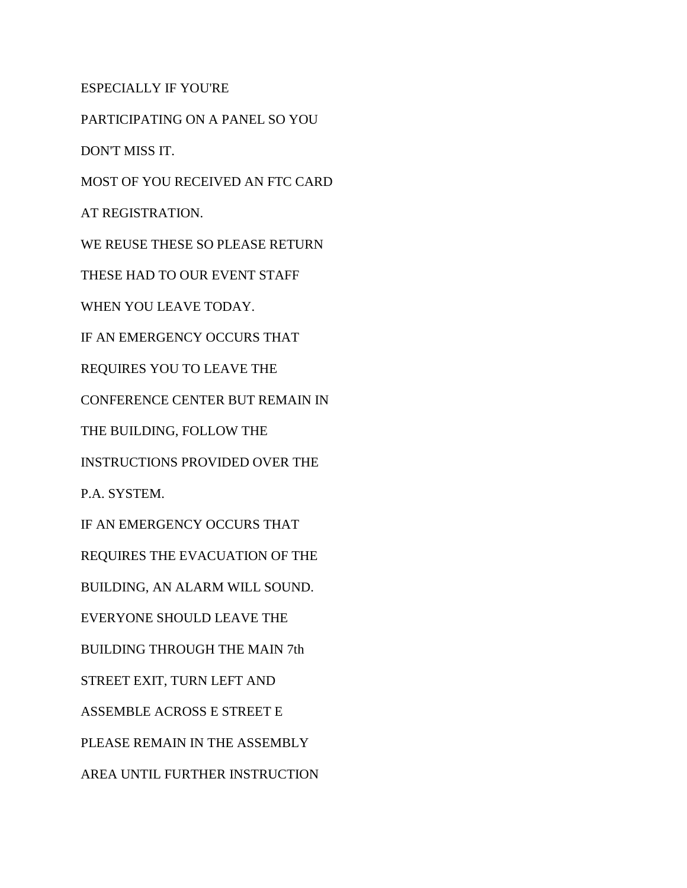ESPECIALLY IF YOU'RE

PARTICIPATING ON A PANEL SO YOU DON'T MISS IT. MOST OF YOU RECEIVED AN FTC CARD AT REGISTRATION. WE REUSE THESE SO PLEASE RETURN THESE HAD TO OUR EVENT STAFF WHEN YOU LEAVE TODAY. IF AN EMERGENCY OCCURS THAT REQUIRES YOU TO LEAVE THE CONFERENCE CENTER BUT REMAIN IN THE BUILDING, FOLLOW THE INSTRUCTIONS PROVIDED OVER THE P.A. SYSTEM. IF AN EMERGENCY OCCURS THAT REQUIRES THE EVACUATION OF THE BUILDING, AN ALARM WILL SOUND. EVERYONE SHOULD LEAVE THE BUILDING THROUGH THE MAIN 7th STREET EXIT, TURN LEFT AND ASSEMBLE ACROSS E STREET E PLEASE REMAIN IN THE ASSEMBLY AREA UNTIL FURTHER INSTRUCTION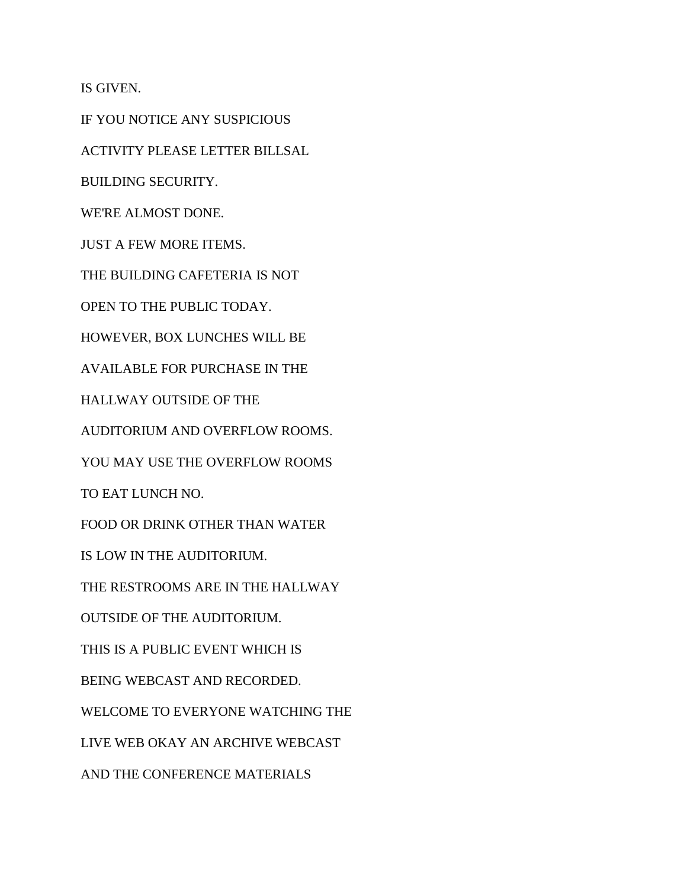IS GIVEN.

IF YOU NOTICE ANY SUSPICIOUS ACTIVITY PLEASE LETTER BILLSAL BUILDING SECURITY. WE'RE ALMOST DONE. JUST A FEW MORE ITEMS. THE BUILDING CAFETERIA IS NOT OPEN TO THE PUBLIC TODAY. HOWEVER, BOX LUNCHES WILL BE AVAILABLE FOR PURCHASE IN THE HALLWAY OUTSIDE OF THE AUDITORIUM AND OVERFLOW ROOMS. YOU MAY USE THE OVERFLOW ROOMS TO EAT LUNCH NO. FOOD OR DRINK OTHER THAN WATER IS LOW IN THE AUDITORIUM. THE RESTROOMS ARE IN THE HALLWAY OUTSIDE OF THE AUDITORIUM. THIS IS A PUBLIC EVENT WHICH IS BEING WEBCAST AND RECORDED. WELCOME TO EVERYONE WATCHING THE LIVE WEB OKAY AN ARCHIVE WEBCAST AND THE CONFERENCE MATERIALS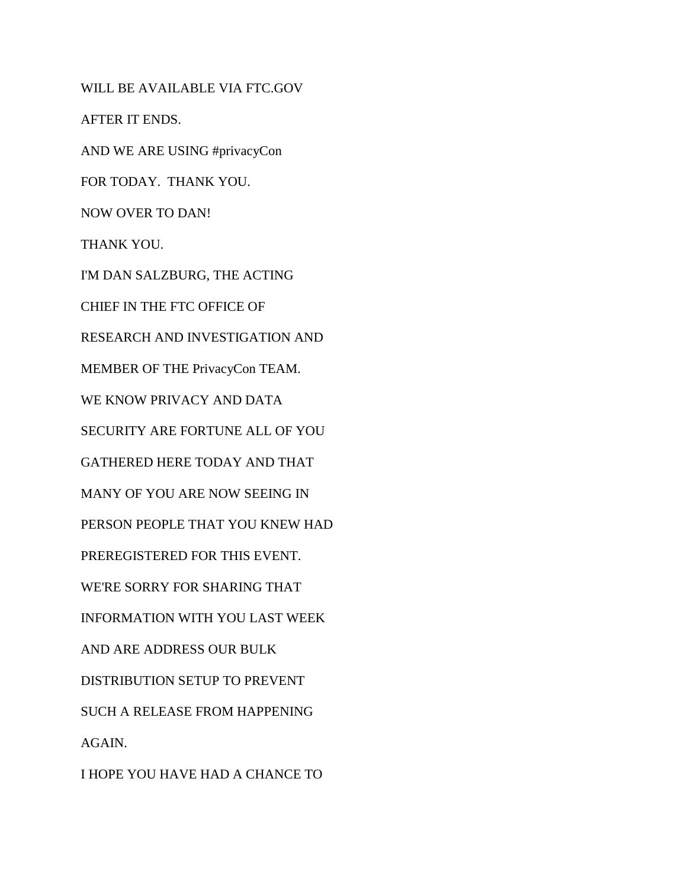WILL BE AVAILABLE VIA FTC.GOV AFTER IT ENDS. AND WE ARE USING #privacyCon FOR TODAY. THANK YOU. NOW OVER TO DAN! THANK YOU. I'M DAN SALZBURG, THE ACTING CHIEF IN THE FTC OFFICE OF RESEARCH AND INVESTIGATION AND MEMBER OF THE PrivacyCon TEAM. WE KNOW PRIVACY AND DATA SECURITY ARE FORTUNE ALL OF YOU GATHERED HERE TODAY AND THAT MANY OF YOU ARE NOW SEEING IN PERSON PEOPLE THAT YOU KNEW HAD PREREGISTERED FOR THIS EVENT. WE'RE SORRY FOR SHARING THAT INFORMATION WITH YOU LAST WEEK AND ARE ADDRESS OUR BULK DISTRIBUTION SETUP TO PREVENT SUCH A RELEASE FROM HAPPENING AGAIN. I HOPE YOU HAVE HAD A CHANCE TO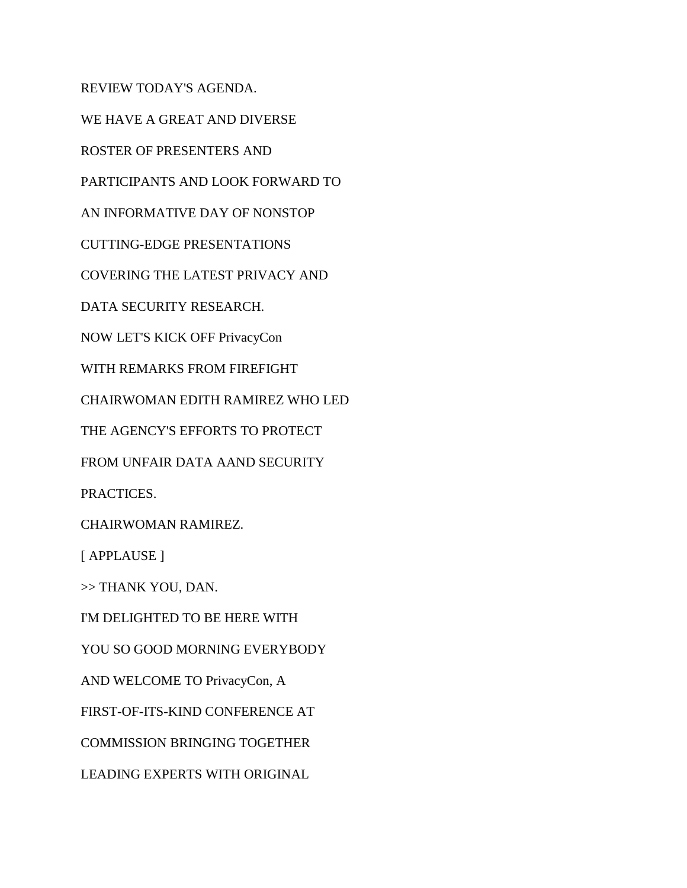REVIEW TODAY'S AGENDA.

WE HAVE A GREAT AND DIVERSE

ROSTER OF PRESENTERS AND

PARTICIPANTS AND LOOK FORWARD TO

AN INFORMATIVE DAY OF NONSTOP

CUTTING-EDGE PRESENTATIONS

COVERING THE LATEST PRIVACY AND

DATA SECURITY RESEARCH.

NOW LET'S KICK OFF PrivacyCon

WITH REMARKS FROM FIREFIGHT

CHAIRWOMAN EDITH RAMIREZ WHO LED

THE AGENCY'S EFFORTS TO PROTECT

FROM UNFAIR DATA AAND SECURITY

PRACTICES.

CHAIRWOMAN RAMIREZ.

[ APPLAUSE ]

>> THANK YOU, DAN.

I'M DELIGHTED TO BE HERE WITH

YOU SO GOOD MORNING EVERYBODY

AND WELCOME TO PrivacyCon, A

FIRST-OF-ITS-KIND CONFERENCE AT

COMMISSION BRINGING TOGETHER

LEADING EXPERTS WITH ORIGINAL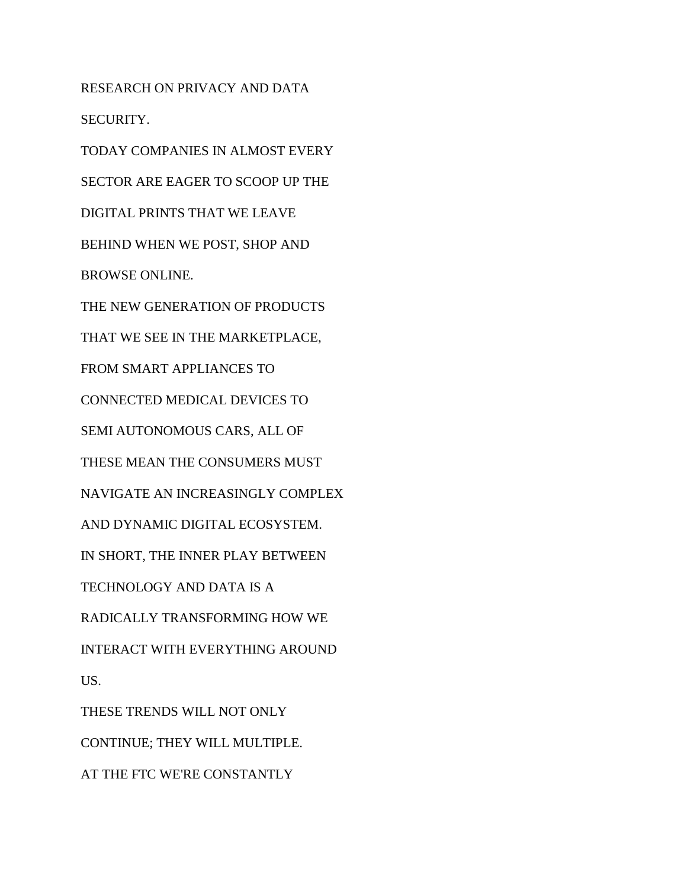RESEARCH ON PRIVACY AND DATA SECURITY. TODAY COMPANIES IN ALMOST EVERY SECTOR ARE EAGER TO SCOOP UP THE DIGITAL PRINTS THAT WE LEAVE BEHIND WHEN WE POST, SHOP AND BROWSE ONLINE. THE NEW GENERATION OF PRODUCTS THAT WE SEE IN THE MARKETPLACE, FROM SMART APPLIANCES TO CONNECTED MEDICAL DEVICES TO SEMI AUTONOMOUS CARS, ALL OF THESE MEAN THE CONSUMERS MUST NAVIGATE AN INCREASINGLY COMPLEX AND DYNAMIC DIGITAL ECOSYSTEM. IN SHORT, THE INNER PLAY BETWEEN TECHNOLOGY AND DATA IS A RADICALLY TRANSFORMING HOW WE INTERACT WITH EVERYTHING AROUND US. THESE TRENDS WILL NOT ONLY CONTINUE; THEY WILL MULTIPLE.

AT THE FTC WE'RE CONSTANTLY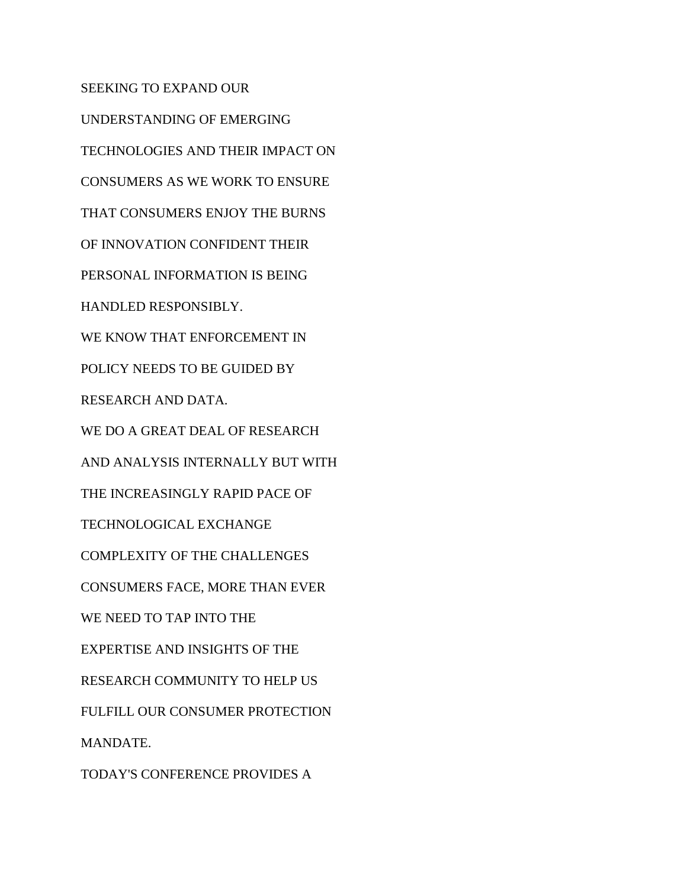SEEKING TO EXPAND OUR UNDERSTANDING OF EMERGING TECHNOLOGIES AND THEIR IMPACT ON CONSUMERS AS WE WORK TO ENSURE THAT CONSUMERS ENJOY THE BURNS OF INNOVATION CONFIDENT THEIR PERSONAL INFORMATION IS BEING HANDLED RESPONSIBLY. WE KNOW THAT ENFORCEMENT IN POLICY NEEDS TO BE GUIDED BY RESEARCH AND DATA. WE DO A GREAT DEAL OF RESEARCH AND ANALYSIS INTERNALLY BUT WITH THE INCREASINGLY RAPID PACE OF TECHNOLOGICAL EXCHANGE COMPLEXITY OF THE CHALLENGES CONSUMERS FACE, MORE THAN EVER WE NEED TO TAP INTO THE EXPERTISE AND INSIGHTS OF THE RESEARCH COMMUNITY TO HELP US FULFILL OUR CONSUMER PROTECTION MANDATE. TODAY'S CONFERENCE PROVIDES A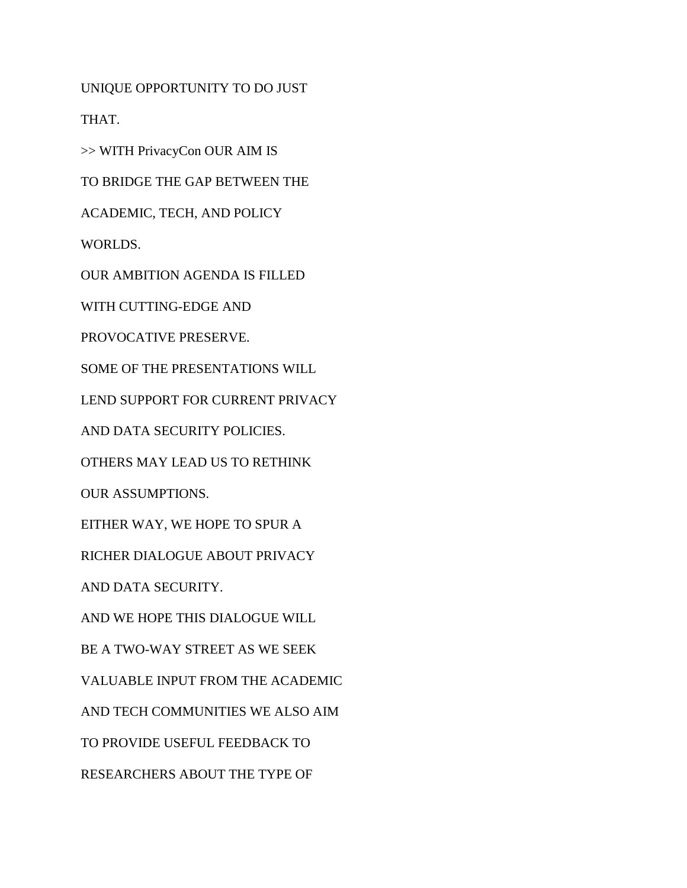UNIQUE OPPORTUNITY TO DO JUST

THAT.

>> WITH PrivacyCon OUR AIM IS

TO BRIDGE THE GAP BETWEEN THE

ACADEMIC, TECH, AND POLICY

WORLDS.

OUR AMBITION AGENDA IS FILLED

WITH CUTTING-EDGE AND

PROVOCATIVE PRESERVE.

SOME OF THE PRESENTATIONS WILL

LEND SUPPORT FOR CURRENT PRIVACY

AND DATA SECURITY POLICIES.

OTHERS MAY LEAD US TO RETHINK

OUR ASSUMPTIONS.

EITHER WAY, WE HOPE TO SPUR A

RICHER DIALOGUE ABOUT PRIVACY

AND DATA SECURITY.

AND WE HOPE THIS DIALOGUE WILL

BE A TWO-WAY STREET AS WE SEEK

VALUABLE INPUT FROM THE ACADEMIC

AND TECH COMMUNITIES WE ALSO AIM

TO PROVIDE USEFUL FEEDBACK TO

RESEARCHERS ABOUT THE TYPE OF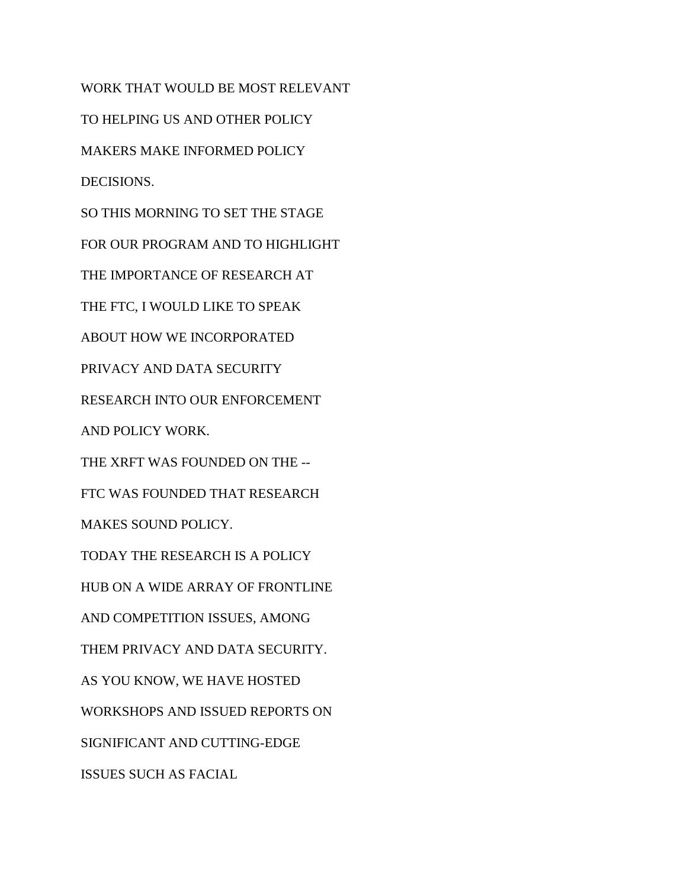WORK THAT WOULD BE MOST RELEVANT TO HELPING US AND OTHER POLICY MAKERS MAKE INFORMED POLICY DECISIONS. SO THIS MORNING TO SET THE STAGE FOR OUR PROGRAM AND TO HIGHLIGHT THE IMPORTANCE OF RESEARCH AT THE FTC, I WOULD LIKE TO SPEAK ABOUT HOW WE INCORPORATED PRIVACY AND DATA SECURITY RESEARCH INTO OUR ENFORCEMENT AND POLICY WORK. THE XRFT WAS FOUNDED ON THE -- FTC WAS FOUNDED THAT RESEARCH MAKES SOUND POLICY. TODAY THE RESEARCH IS A POLICY HUB ON A WIDE ARRAY OF FRONTLINE AND COMPETITION ISSUES, AMONG THEM PRIVACY AND DATA SECURITY. AS YOU KNOW, WE HAVE HOSTED WORKSHOPS AND ISSUED REPORTS ON SIGNIFICANT AND CUTTING-EDGE ISSUES SUCH AS FACIAL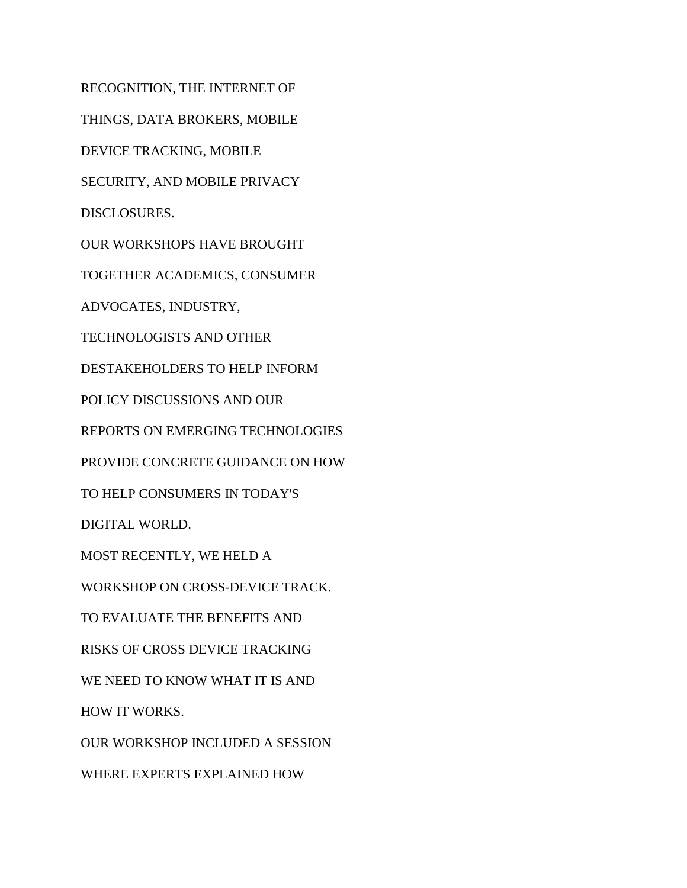RECOGNITION, THE INTERNET OF THINGS, DATA BROKERS, MOBILE DEVICE TRACKING, MOBILE SECURITY, AND MOBILE PRIVACY DISCLOSURES. OUR WORKSHOPS HAVE BROUGHT TOGETHER ACADEMICS, CONSUMER ADVOCATES, INDUSTRY, TECHNOLOGISTS AND OTHER DESTAKEHOLDERS TO HELP INFORM POLICY DISCUSSIONS AND OUR REPORTS ON EMERGING TECHNOLOGIES PROVIDE CONCRETE GUIDANCE ON HOW TO HELP CONSUMERS IN TODAY'S DIGITAL WORLD. MOST RECENTLY, WE HELD A WORKSHOP ON CROSS-DEVICE TRACK. TO EVALUATE THE BENEFITS AND RISKS OF CROSS DEVICE TRACKING WE NEED TO KNOW WHAT IT IS AND HOW IT WORKS. OUR WORKSHOP INCLUDED A SESSION WHERE EXPERTS EXPLAINED HOW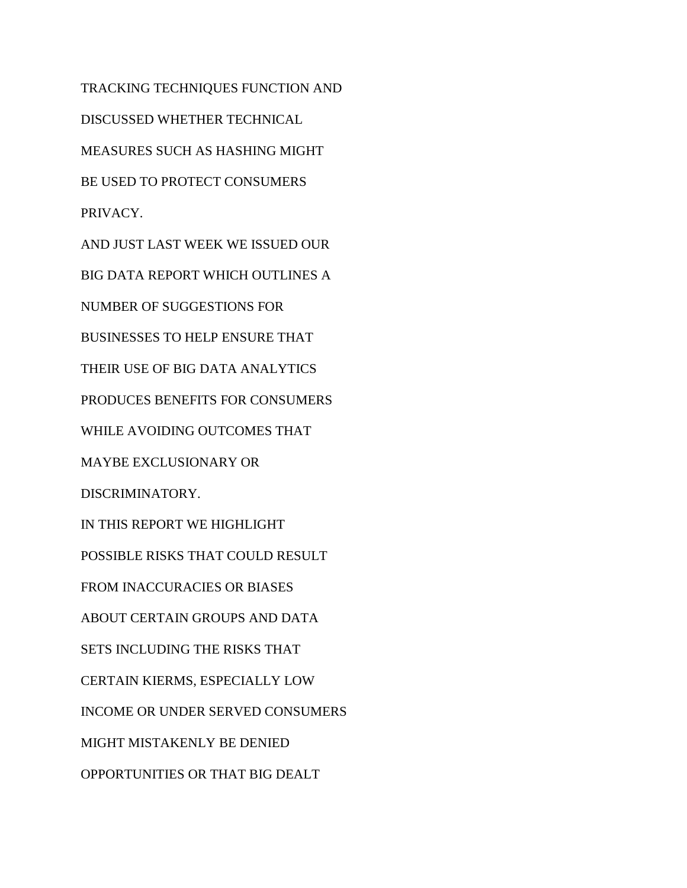TRACKING TECHNIQUES FUNCTION AND DISCUSSED WHETHER TECHNICAL MEASURES SUCH AS HASHING MIGHT BE USED TO PROTECT CONSUMERS PRIVACY. AND JUST LAST WEEK WE ISSUED OUR BIG DATA REPORT WHICH OUTLINES A NUMBER OF SUGGESTIONS FOR BUSINESSES TO HELP ENSURE THAT THEIR USE OF BIG DATA ANALYTICS PRODUCES BENEFITS FOR CONSUMERS WHILE AVOIDING OUTCOMES THAT MAYBE EXCLUSIONARY OR DISCRIMINATORY. IN THIS REPORT WE HIGHLIGHT POSSIBLE RISKS THAT COULD RESULT FROM INACCURACIES OR BIASES ABOUT CERTAIN GROUPS AND DATA SETS INCLUDING THE RISKS THAT CERTAIN KIERMS, ESPECIALLY LOW INCOME OR UNDER SERVED CONSUMERS MIGHT MISTAKENLY BE DENIED OPPORTUNITIES OR THAT BIG DEALT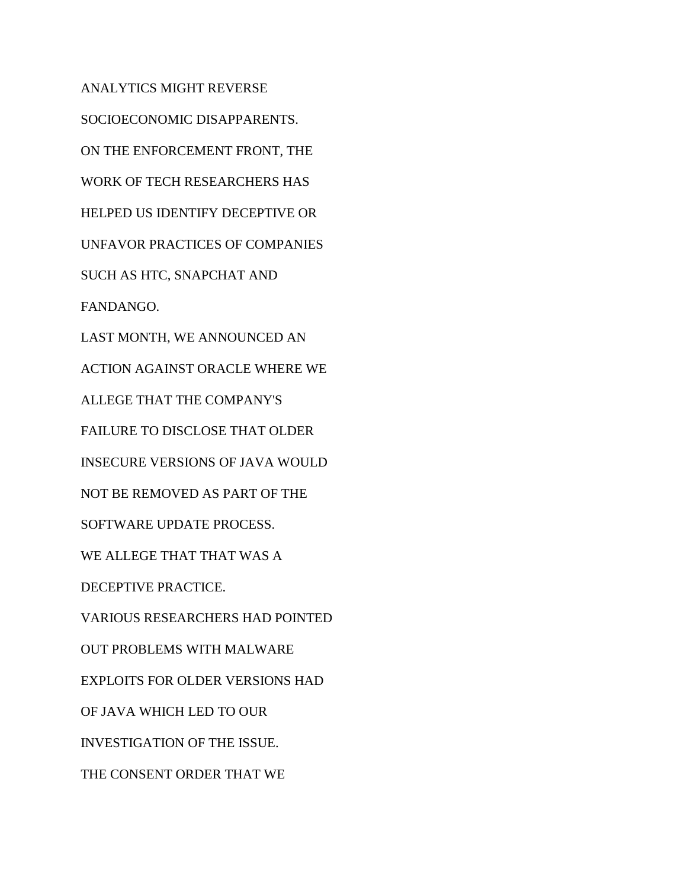ANALYTICS MIGHT REVERSE SOCIOECONOMIC DISAPPARENTS. ON THE ENFORCEMENT FRONT, THE WORK OF TECH RESEARCHERS HAS HELPED US IDENTIFY DECEPTIVE OR UNFAVOR PRACTICES OF COMPANIES SUCH AS HTC, SNAPCHAT AND FANDANGO. LAST MONTH, WE ANNOUNCED AN ACTION AGAINST ORACLE WHERE WE ALLEGE THAT THE COMPANY'S FAILURE TO DISCLOSE THAT OLDER INSECURE VERSIONS OF JAVA WOULD NOT BE REMOVED AS PART OF THE SOFTWARE UPDATE PROCESS. WE ALLEGE THAT THAT WAS A DECEPTIVE PRACTICE. VARIOUS RESEARCHERS HAD POINTED OUT PROBLEMS WITH MALWARE EXPLOITS FOR OLDER VERSIONS HAD OF JAVA WHICH LED TO OUR INVESTIGATION OF THE ISSUE. THE CONSENT ORDER THAT WE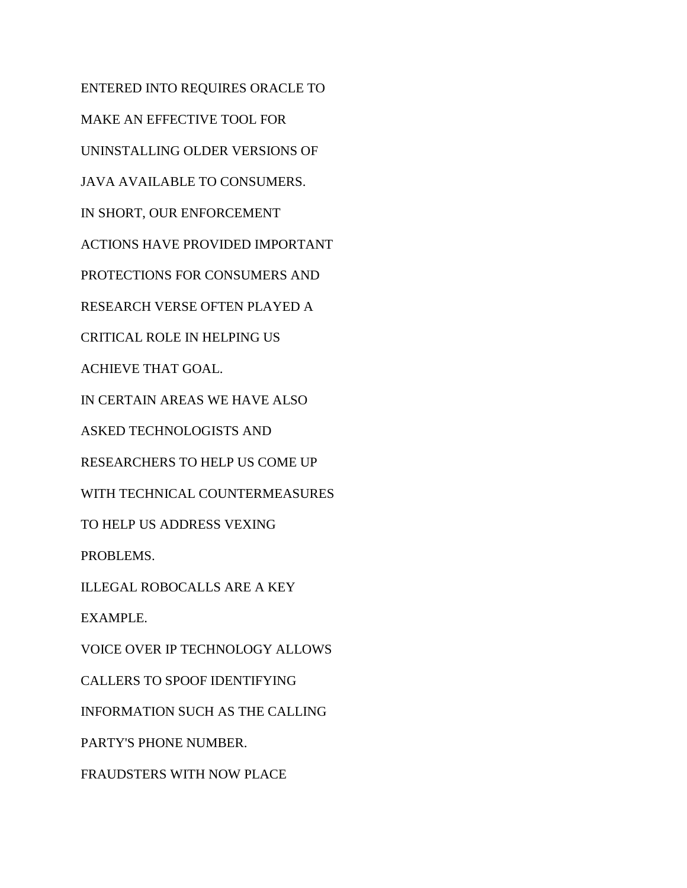ENTERED INTO REQUIRES ORACLE TO MAKE AN EFFECTIVE TOOL FOR UNINSTALLING OLDER VERSIONS OF JAVA AVAILABLE TO CONSUMERS. IN SHORT, OUR ENFORCEMENT ACTIONS HAVE PROVIDED IMPORTANT PROTECTIONS FOR CONSUMERS AND RESEARCH VERSE OFTEN PLAYED A CRITICAL ROLE IN HELPING US ACHIEVE THAT GOAL. IN CERTAIN AREAS WE HAVE ALSO ASKED TECHNOLOGISTS AND RESEARCHERS TO HELP US COME UP WITH TECHNICAL COUNTERMEASURES TO HELP US ADDRESS VEXING PROBLEMS. ILLEGAL ROBOCALLS ARE A KEY EXAMPLE. VOICE OVER IP TECHNOLOGY ALLOWS CALLERS TO SPOOF IDENTIFYING INFORMATION SUCH AS THE CALLING PARTY'S PHONE NUMBER. FRAUDSTERS WITH NOW PLACE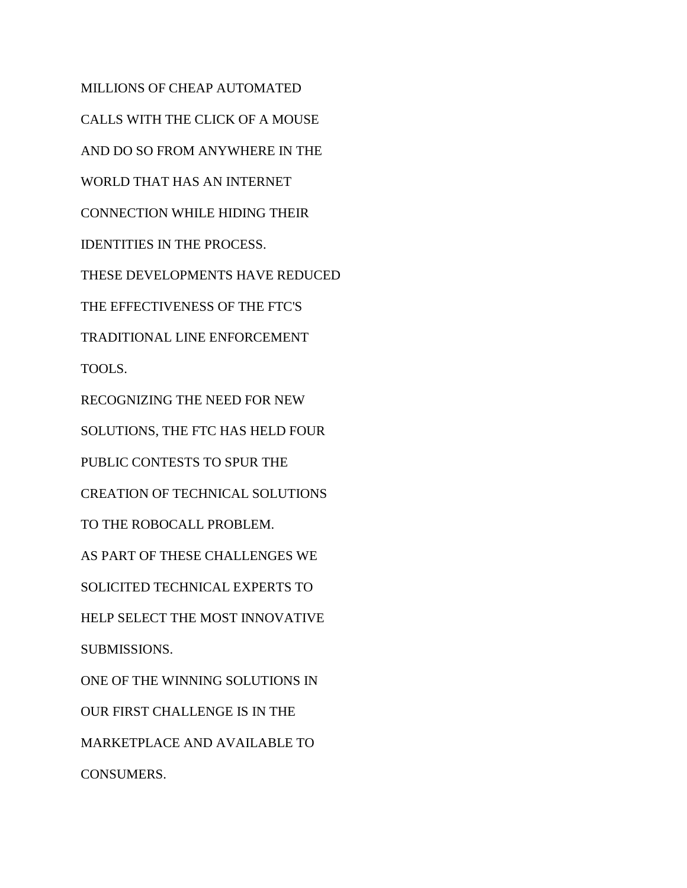MILLIONS OF CHEAP AUTOMATED CALLS WITH THE CLICK OF A MOUSE AND DO SO FROM ANYWHERE IN THE WORLD THAT HAS AN INTERNET CONNECTION WHILE HIDING THEIR IDENTITIES IN THE PROCESS. THESE DEVELOPMENTS HAVE REDUCED THE EFFECTIVENESS OF THE FTC'S TRADITIONAL LINE ENFORCEMENT TOOLS. RECOGNIZING THE NEED FOR NEW SOLUTIONS, THE FTC HAS HELD FOUR PUBLIC CONTESTS TO SPUR THE CREATION OF TECHNICAL SOLUTIONS TO THE ROBOCALL PROBLEM. AS PART OF THESE CHALLENGES WE SOLICITED TECHNICAL EXPERTS TO HELP SELECT THE MOST INNOVATIVE SUBMISSIONS. ONE OF THE WINNING SOLUTIONS IN OUR FIRST CHALLENGE IS IN THE MARKETPLACE AND AVAILABLE TO CONSUMERS.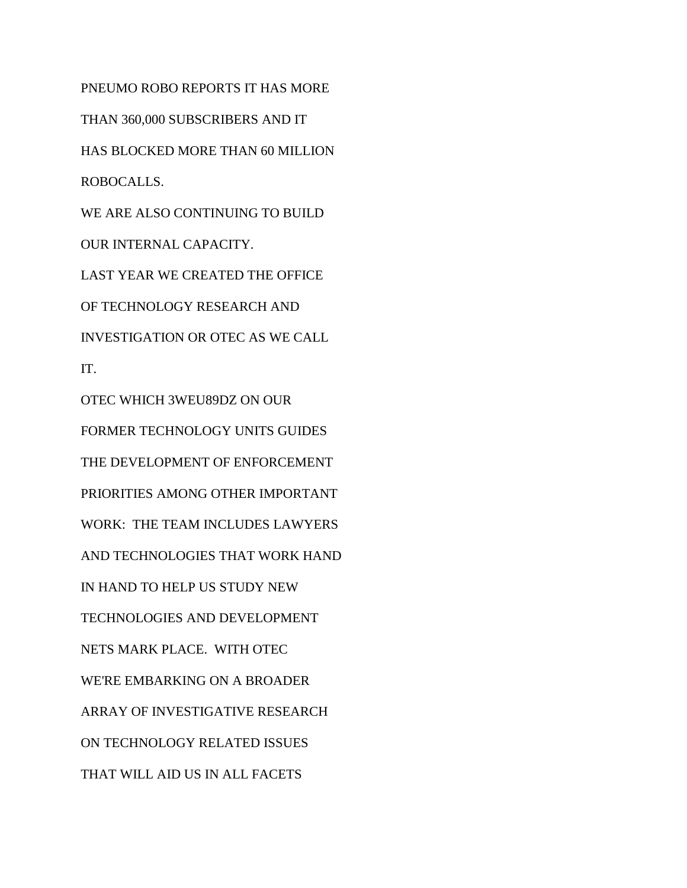PNEUMO ROBO REPORTS IT HAS MORE THAN 360,000 SUBSCRIBERS AND IT HAS BLOCKED MORE THAN 60 MILLION ROBOCALLS. WE ARE ALSO CONTINUING TO BUILD OUR INTERNAL CAPACITY. LAST YEAR WE CREATED THE OFFICE OF TECHNOLOGY RESEARCH AND INVESTIGATION OR OTEC AS WE CALL IT. OTEC WHICH 3WEU89DZ ON OUR FORMER TECHNOLOGY UNITS GUIDES THE DEVELOPMENT OF ENFORCEMENT PRIORITIES AMONG OTHER IMPORTANT WORK: THE TEAM INCLUDES LAWYERS AND TECHNOLOGIES THAT WORK HAND IN HAND TO HELP US STUDY NEW TECHNOLOGIES AND DEVELOPMENT NETS MARK PLACE. WITH OTEC WE'RE EMBARKING ON A BROADER ARRAY OF INVESTIGATIVE RESEARCH ON TECHNOLOGY RELATED ISSUES THAT WILL AID US IN ALL FACETS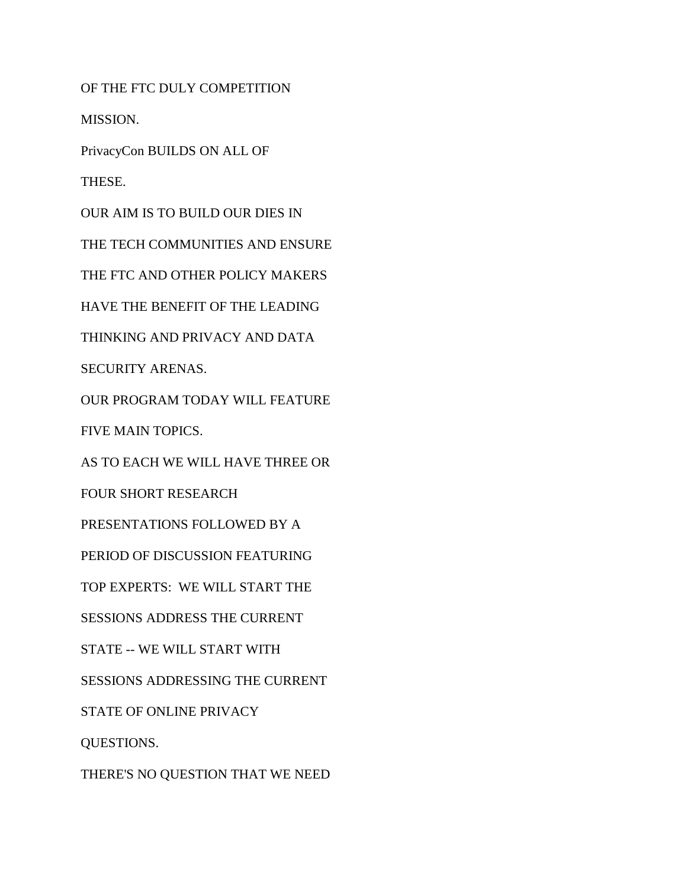OF THE FTC DULY COMPETITION

MISSION.

PrivacyCon BUILDS ON ALL OF

THESE.

OUR AIM IS TO BUILD OUR DIES IN THE TECH COMMUNITIES AND ENSURE THE FTC AND OTHER POLICY MAKERS HAVE THE BENEFIT OF THE LEADING THINKING AND PRIVACY AND DATA SECURITY ARENAS. OUR PROGRAM TODAY WILL FEATURE FIVE MAIN TOPICS. AS TO EACH WE WILL HAVE THREE OR FOUR SHORT RESEARCH PRESENTATIONS FOLLOWED BY A PERIOD OF DISCUSSION FEATURING TOP EXPERTS: WE WILL START THE SESSIONS ADDRESS THE CURRENT STATE -- WE WILL START WITH SESSIONS ADDRESSING THE CURRENT STATE OF ONLINE PRIVACY QUESTIONS. THERE'S NO QUESTION THAT WE NEED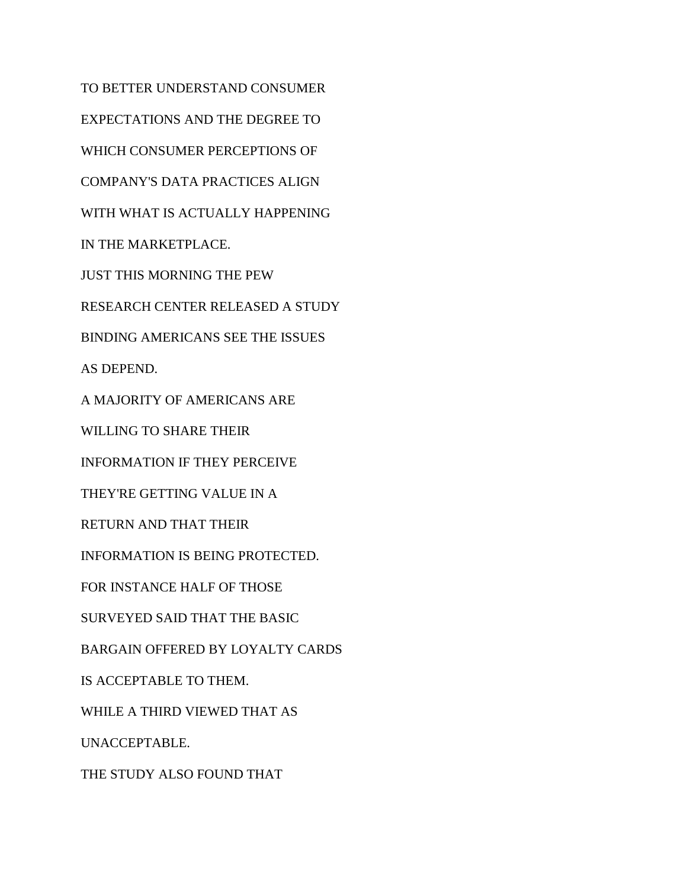TO BETTER UNDERSTAND CONSUMER EXPECTATIONS AND THE DEGREE TO WHICH CONSUMER PERCEPTIONS OF COMPANY'S DATA PRACTICES ALIGN WITH WHAT IS ACTUALLY HAPPENING IN THE MARKETPLACE. JUST THIS MORNING THE PEW RESEARCH CENTER RELEASED A STUDY BINDING AMERICANS SEE THE ISSUES AS DEPEND. A MAJORITY OF AMERICANS ARE WILLING TO SHARE THEIR INFORMATION IF THEY PERCEIVE THEY'RE GETTING VALUE IN A RETURN AND THAT THEIR INFORMATION IS BEING PROTECTED. FOR INSTANCE HALF OF THOSE SURVEYED SAID THAT THE BASIC BARGAIN OFFERED BY LOYALTY CARDS IS ACCEPTABLE TO THEM. WHILE A THIRD VIEWED THAT AS UNACCEPTABLE. THE STUDY ALSO FOUND THAT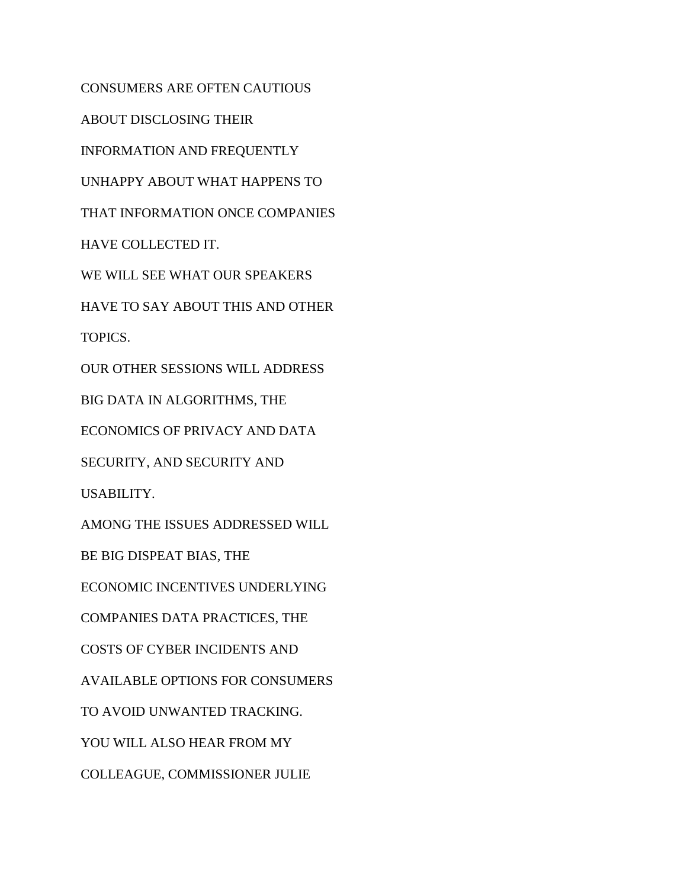CONSUMERS ARE OFTEN CAUTIOUS ABOUT DISCLOSING THEIR INFORMATION AND FREQUENTLY UNHAPPY ABOUT WHAT HAPPENS TO THAT INFORMATION ONCE COMPANIES HAVE COLLECTED IT. WE WILL SEE WHAT OUR SPEAKERS HAVE TO SAY ABOUT THIS AND OTHER TOPICS. OUR OTHER SESSIONS WILL ADDRESS BIG DATA IN ALGORITHMS, THE ECONOMICS OF PRIVACY AND DATA SECURITY, AND SECURITY AND USABILITY. AMONG THE ISSUES ADDRESSED WILL BE BIG DISPEAT BIAS, THE ECONOMIC INCENTIVES UNDERLYING COMPANIES DATA PRACTICES, THE COSTS OF CYBER INCIDENTS AND AVAILABLE OPTIONS FOR CONSUMERS TO AVOID UNWANTED TRACKING. YOU WILL ALSO HEAR FROM MY COLLEAGUE, COMMISSIONER JULIE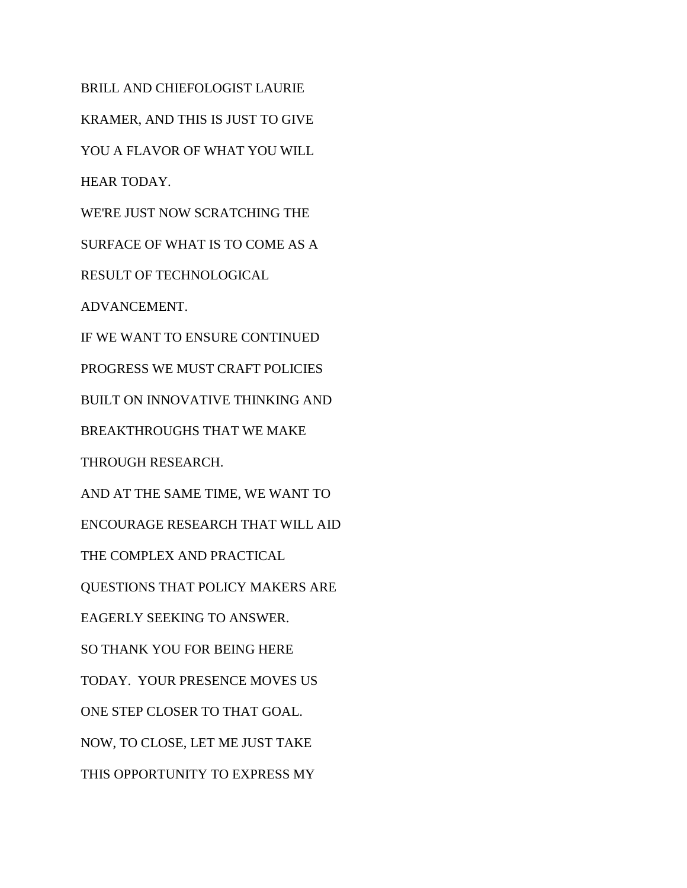BRILL AND CHIEFOLOGIST LAURIE KRAMER, AND THIS IS JUST TO GIVE YOU A FLAVOR OF WHAT YOU WILL HEAR TODAY. WE'RE JUST NOW SCRATCHING THE SURFACE OF WHAT IS TO COME AS A RESULT OF TECHNOLOGICAL ADVANCEMENT. IF WE WANT TO ENSURE CONTINUED PROGRESS WE MUST CRAFT POLICIES BUILT ON INNOVATIVE THINKING AND BREAKTHROUGHS THAT WE MAKE THROUGH RESEARCH. AND AT THE SAME TIME, WE WANT TO ENCOURAGE RESEARCH THAT WILL AID THE COMPLEX AND PRACTICAL QUESTIONS THAT POLICY MAKERS ARE EAGERLY SEEKING TO ANSWER. SO THANK YOU FOR BEING HERE TODAY. YOUR PRESENCE MOVES US ONE STEP CLOSER TO THAT GOAL. NOW, TO CLOSE, LET ME JUST TAKE THIS OPPORTUNITY TO EXPRESS MY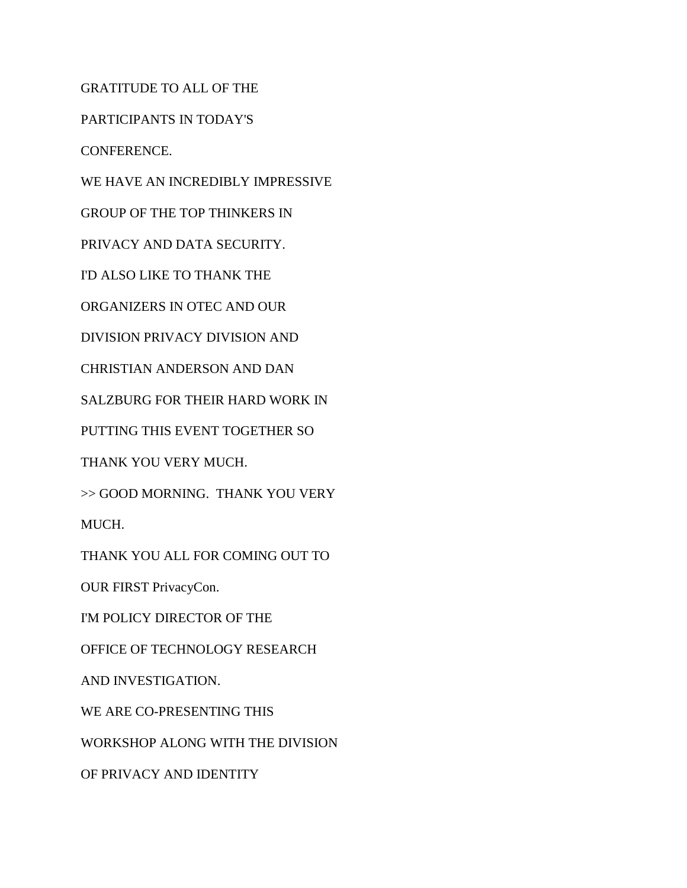GRATITUDE TO ALL OF THE

PARTICIPANTS IN TODAY'S

CONFERENCE.

WE HAVE AN INCREDIBLY IMPRESSIVE

GROUP OF THE TOP THINKERS IN

PRIVACY AND DATA SECURITY.

I'D ALSO LIKE TO THANK THE

ORGANIZERS IN OTEC AND OUR

DIVISION PRIVACY DIVISION AND

CHRISTIAN ANDERSON AND DAN

SALZBURG FOR THEIR HARD WORK IN

PUTTING THIS EVENT TOGETHER SO

THANK YOU VERY MUCH.

>> GOOD MORNING. THANK YOU VERY

MUCH.

THANK YOU ALL FOR COMING OUT TO

OUR FIRST PrivacyCon.

I'M POLICY DIRECTOR OF THE

OFFICE OF TECHNOLOGY RESEARCH

AND INVESTIGATION.

WE ARE CO-PRESENTING THIS

WORKSHOP ALONG WITH THE DIVISION

OF PRIVACY AND IDENTITY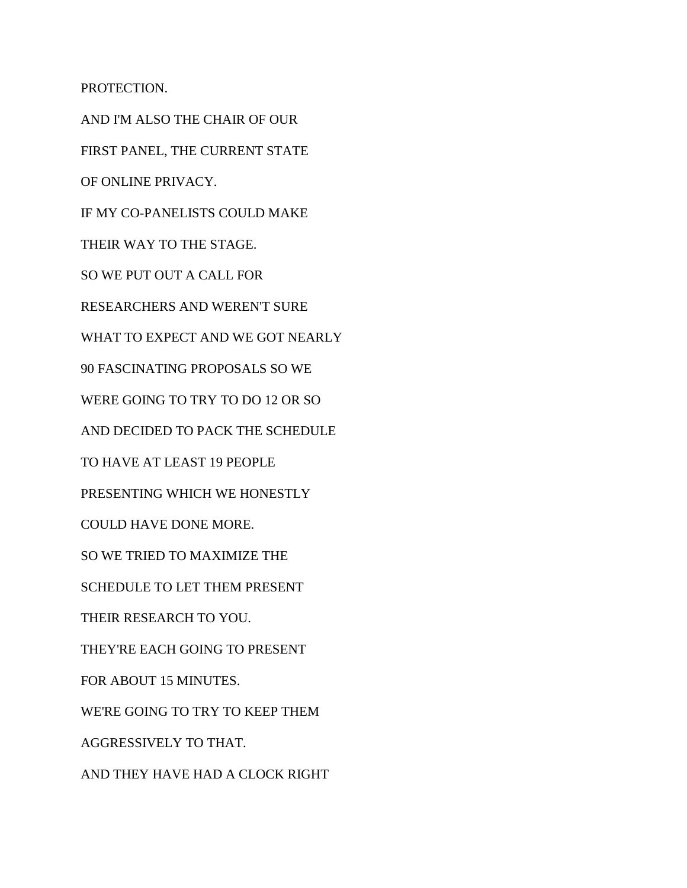PROTECTION.

AND I'M ALSO THE CHAIR OF OUR FIRST PANEL, THE CURRENT STATE OF ONLINE PRIVACY. IF MY CO-PANELISTS COULD MAKE THEIR WAY TO THE STAGE. SO WE PUT OUT A CALL FOR RESEARCHERS AND WEREN'T SURE WHAT TO EXPECT AND WE GOT NEARLY 90 FASCINATING PROPOSALS SO WE WERE GOING TO TRY TO DO 12 OR SO AND DECIDED TO PACK THE SCHEDULE TO HAVE AT LEAST 19 PEOPLE PRESENTING WHICH WE HONESTLY COULD HAVE DONE MORE. SO WE TRIED TO MAXIMIZE THE SCHEDULE TO LET THEM PRESENT THEIR RESEARCH TO YOU. THEY'RE EACH GOING TO PRESENT FOR ABOUT 15 MINUTES. WE'RE GOING TO TRY TO KEEP THEM AGGRESSIVELY TO THAT. AND THEY HAVE HAD A CLOCK RIGHT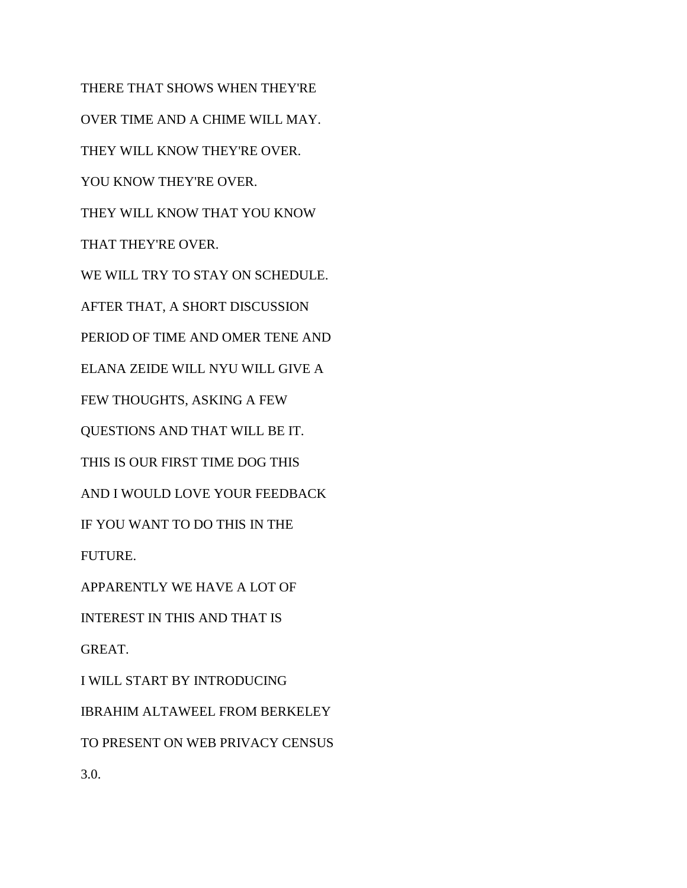THERE THAT SHOWS WHEN THEY'RE OVER TIME AND A CHIME WILL MAY. THEY WILL KNOW THEY'RE OVER. YOU KNOW THEY'RE OVER. THEY WILL KNOW THAT YOU KNOW THAT THEY'RE OVER. WE WILL TRY TO STAY ON SCHEDULE. AFTER THAT, A SHORT DISCUSSION PERIOD OF TIME AND OMER TENE AND ELANA ZEIDE WILL NYU WILL GIVE A FEW THOUGHTS, ASKING A FEW QUESTIONS AND THAT WILL BE IT. THIS IS OUR FIRST TIME DOG THIS AND I WOULD LOVE YOUR FEEDBACK IF YOU WANT TO DO THIS IN THE FUTURE. APPARENTLY WE HAVE A LOT OF INTEREST IN THIS AND THAT IS GREAT. I WILL START BY INTRODUCING IBRAHIM ALTAWEEL FROM BERKELEY TO PRESENT ON WEB PRIVACY CENSUS

3.0.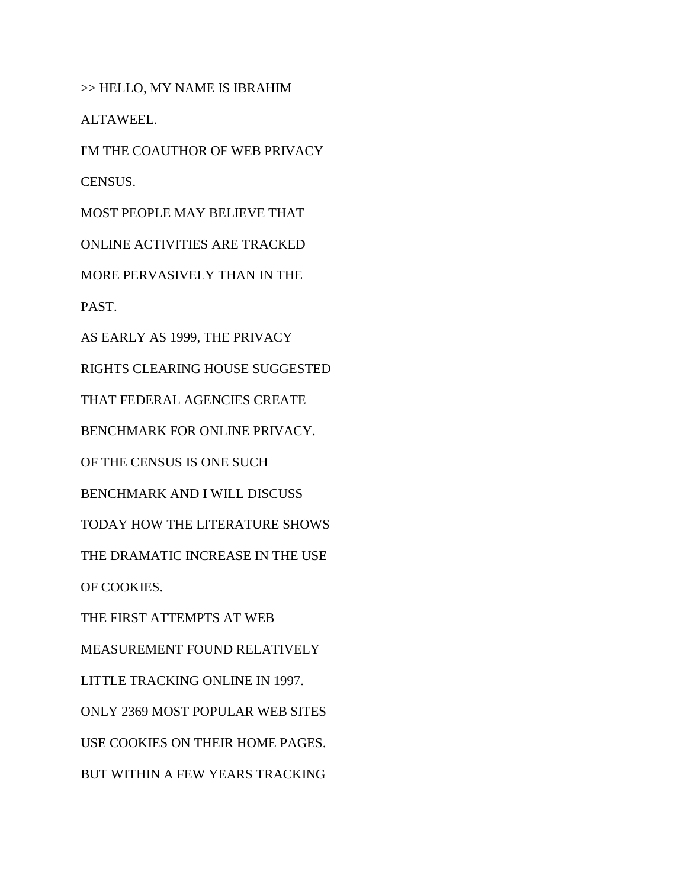>> HELLO, MY NAME IS IBRAHIM

ALTAWEEL.

I'M THE COAUTHOR OF WEB PRIVACY

CENSUS.

MOST PEOPLE MAY BELIEVE THAT

ONLINE ACTIVITIES ARE TRACKED

MORE PERVASIVELY THAN IN THE

PAST.

AS EARLY AS 1999, THE PRIVACY

RIGHTS CLEARING HOUSE SUGGESTED

THAT FEDERAL AGENCIES CREATE

BENCHMARK FOR ONLINE PRIVACY.

OF THE CENSUS IS ONE SUCH

BENCHMARK AND I WILL DISCUSS

TODAY HOW THE LITERATURE SHOWS

THE DRAMATIC INCREASE IN THE USE

OF COOKIES.

THE FIRST ATTEMPTS AT WEB

MEASUREMENT FOUND RELATIVELY

LITTLE TRACKING ONLINE IN 1997.

ONLY 2369 MOST POPULAR WEB SITES

USE COOKIES ON THEIR HOME PAGES.

BUT WITHIN A FEW YEARS TRACKING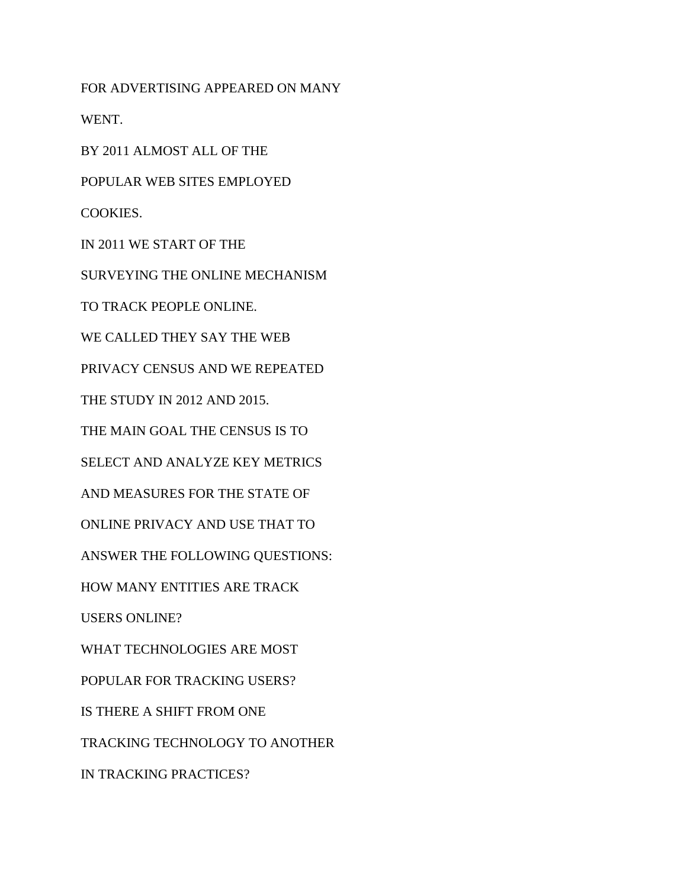FOR ADVERTISING APPEARED ON MANY WENT. BY 2011 ALMOST ALL OF THE POPULAR WEB SITES EMPLOYED COOKIES. IN 2011 WE START OF THE SURVEYING THE ONLINE MECHANISM TO TRACK PEOPLE ONLINE. WE CALLED THEY SAY THE WEB PRIVACY CENSUS AND WE REPEATED THE STUDY IN 2012 AND 2015. THE MAIN GOAL THE CENSUS IS TO SELECT AND ANALYZE KEY METRICS AND MEASURES FOR THE STATE OF ONLINE PRIVACY AND USE THAT TO ANSWER THE FOLLOWING QUESTIONS: HOW MANY ENTITIES ARE TRACK USERS ONLINE? WHAT TECHNOLOGIES ARE MOST POPULAR FOR TRACKING USERS? IS THERE A SHIFT FROM ONE TRACKING TECHNOLOGY TO ANOTHER IN TRACKING PRACTICES?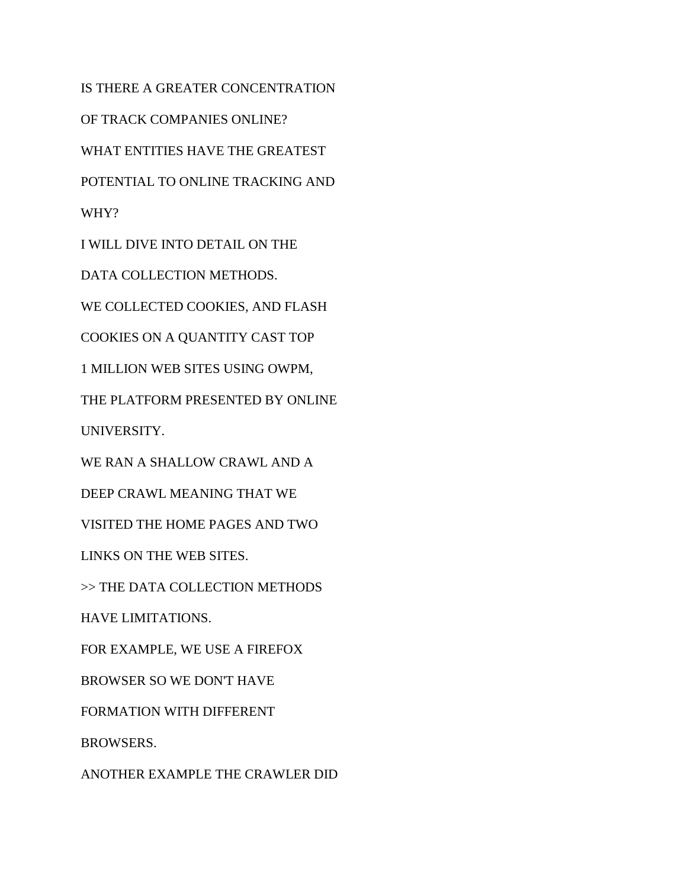IS THERE A GREATER CONCENTRATION OF TRACK COMPANIES ONLINE? WHAT ENTITIES HAVE THE GREATEST POTENTIAL TO ONLINE TRACKING AND WHY? I WILL DIVE INTO DETAIL ON THE DATA COLLECTION METHODS. WE COLLECTED COOKIES, AND FLASH COOKIES ON A QUANTITY CAST TOP 1 MILLION WEB SITES USING OWPM, THE PLATFORM PRESENTED BY ONLINE UNIVERSITY. WE RAN A SHALLOW CRAWL AND A DEEP CRAWL MEANING THAT WE VISITED THE HOME PAGES AND TWO LINKS ON THE WEB SITES. >> THE DATA COLLECTION METHODS HAVE LIMITATIONS. FOR EXAMPLE, WE USE A FIREFOX BROWSER SO WE DON'T HAVE FORMATION WITH DIFFERENT BROWSERS.

ANOTHER EXAMPLE THE CRAWLER DID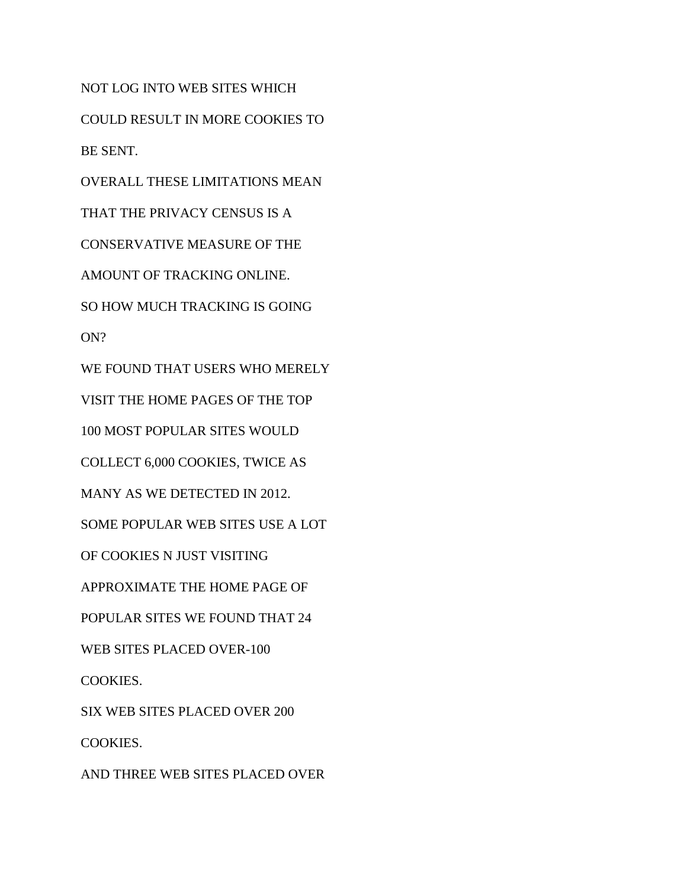NOT LOG INTO WEB SITES WHICH COULD RESULT IN MORE COOKIES TO BE SENT. OVERALL THESE LIMITATIONS MEAN THAT THE PRIVACY CENSUS IS A CONSERVATIVE MEASURE OF THE AMOUNT OF TRACKING ONLINE. SO HOW MUCH TRACKING IS GOING ON? WE FOUND THAT USERS WHO MERELY VISIT THE HOME PAGES OF THE TOP 100 MOST POPULAR SITES WOULD COLLECT 6,000 COOKIES, TWICE AS MANY AS WE DETECTED IN 2012. SOME POPULAR WEB SITES USE A LOT OF COOKIES N JUST VISITING APPROXIMATE THE HOME PAGE OF POPULAR SITES WE FOUND THAT 24 WEB SITES PLACED OVER-100 COOKIES. SIX WEB SITES PLACED OVER 200

COOKIES.

AND THREE WEB SITES PLACED OVER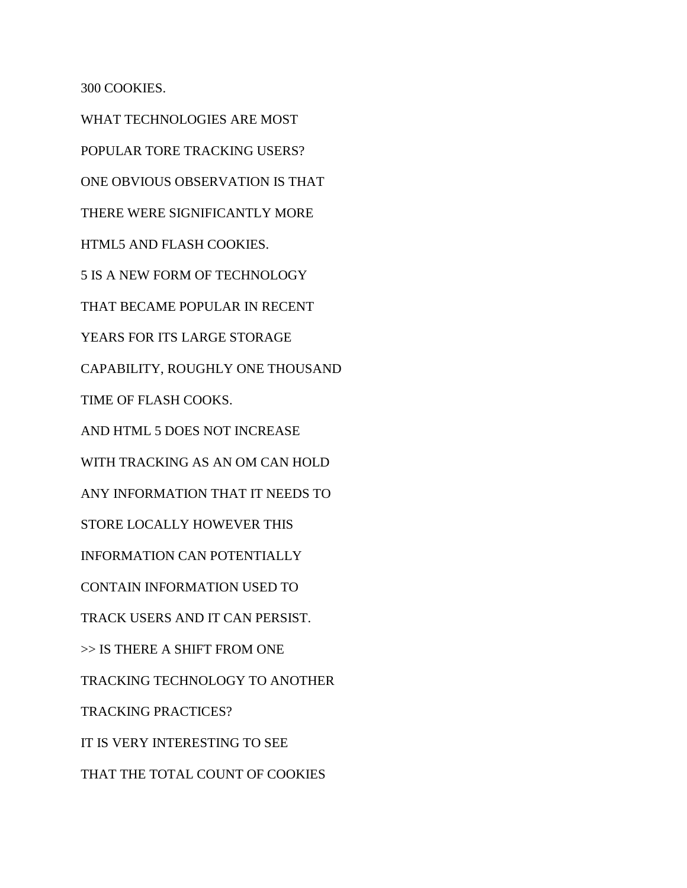300 COOKIES.

WHAT TECHNOLOGIES ARE MOST POPULAR TORE TRACKING USERS? ONE OBVIOUS OBSERVATION IS THAT THERE WERE SIGNIFICANTLY MORE HTML5 AND FLASH COOKIES. 5 IS A NEW FORM OF TECHNOLOGY THAT BECAME POPULAR IN RECENT YEARS FOR ITS LARGE STORAGE CAPABILITY, ROUGHLY ONE THOUSAND TIME OF FLASH COOKS. AND HTML 5 DOES NOT INCREASE WITH TRACKING AS AN OM CAN HOLD ANY INFORMATION THAT IT NEEDS TO STORE LOCALLY HOWEVER THIS INFORMATION CAN POTENTIALLY CONTAIN INFORMATION USED TO TRACK USERS AND IT CAN PERSIST. >> IS THERE A SHIFT FROM ONE TRACKING TECHNOLOGY TO ANOTHER TRACKING PRACTICES? IT IS VERY INTERESTING TO SEE THAT THE TOTAL COUNT OF COOKIES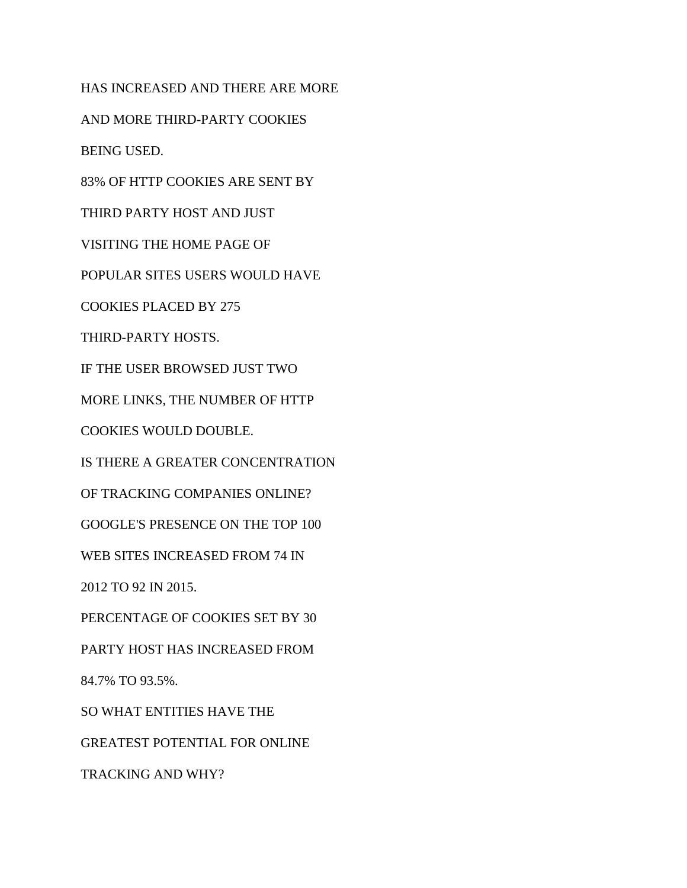HAS INCREASED AND THERE ARE MORE AND MORE THIRD-PARTY COOKIES BEING USED. 83% OF HTTP COOKIES ARE SENT BY THIRD PARTY HOST AND JUST VISITING THE HOME PAGE OF POPULAR SITES USERS WOULD HAVE COOKIES PLACED BY 275 THIRD-PARTY HOSTS. IF THE USER BROWSED JUST TWO MORE LINKS, THE NUMBER OF HTTP COOKIES WOULD DOUBLE. IS THERE A GREATER CONCENTRATION OF TRACKING COMPANIES ONLINE? GOOGLE'S PRESENCE ON THE TOP 100 WEB SITES INCREASED FROM 74 IN 2012 TO 92 IN 2015. PERCENTAGE OF COOKIES SET BY 30 PARTY HOST HAS INCREASED FROM 84.7% TO 93.5%. SO WHAT ENTITIES HAVE THE GREATEST POTENTIAL FOR ONLINE TRACKING AND WHY?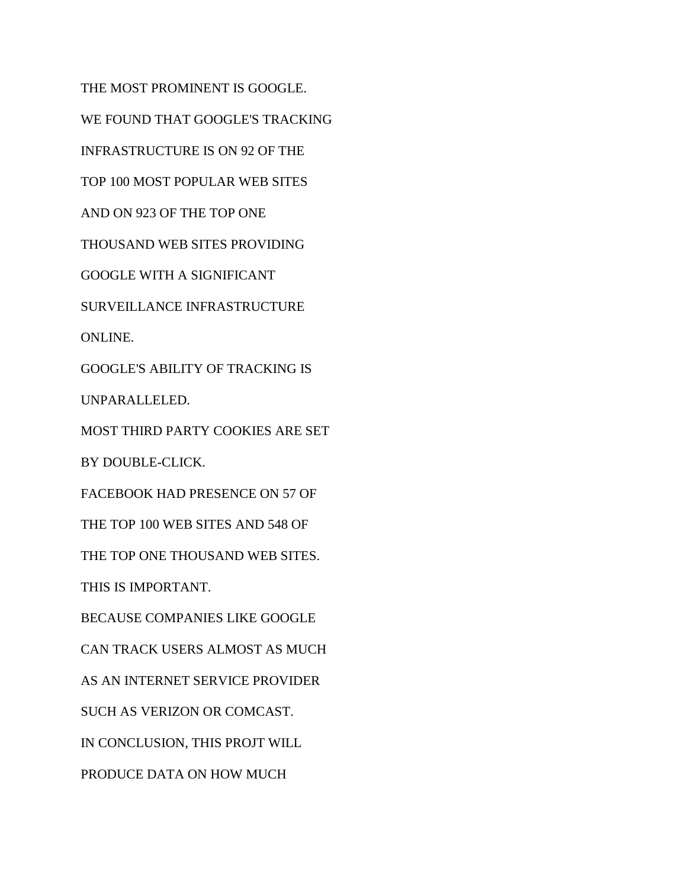THE MOST PROMINENT IS GOOGLE. WE FOUND THAT GOOGLE'S TRACKING INFRASTRUCTURE IS ON 92 OF THE TOP 100 MOST POPULAR WEB SITES AND ON 923 OF THE TOP ONE THOUSAND WEB SITES PROVIDING GOOGLE WITH A SIGNIFICANT SURVEILLANCE INFRASTRUCTURE ONLINE. GOOGLE'S ABILITY OF TRACKING IS UNPARALLELED. MOST THIRD PARTY COOKIES ARE SET BY DOUBLE-CLICK. FACEBOOK HAD PRESENCE ON 57 OF THE TOP 100 WEB SITES AND 548 OF THE TOP ONE THOUSAND WEB SITES. THIS IS IMPORTANT. BECAUSE COMPANIES LIKE GOOGLE CAN TRACK USERS ALMOST AS MUCH AS AN INTERNET SERVICE PROVIDER SUCH AS VERIZON OR COMCAST. IN CONCLUSION, THIS PROJT WILL PRODUCE DATA ON HOW MUCH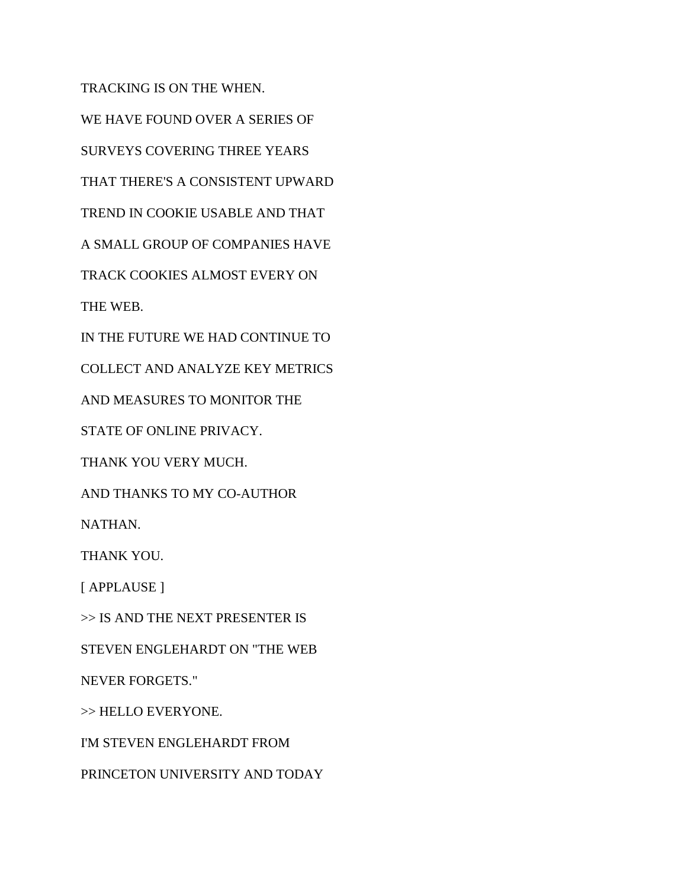TRACKING IS ON THE WHEN. WE HAVE FOUND OVER A SERIES OF SURVEYS COVERING THREE YEARS THAT THERE'S A CONSISTENT UPWARD TREND IN COOKIE USABLE AND THAT A SMALL GROUP OF COMPANIES HAVE TRACK COOKIES ALMOST EVERY ON THE WEB. IN THE FUTURE WE HAD CONTINUE TO COLLECT AND ANALYZE KEY METRICS AND MEASURES TO MONITOR THE STATE OF ONLINE PRIVACY. THANK YOU VERY MUCH. AND THANKS TO MY CO-AUTHOR NATHAN. THANK YOU. [ APPLAUSE ] >> IS AND THE NEXT PRESENTER IS STEVEN ENGLEHARDT ON "THE WEB NEVER FORGETS." >> HELLO EVERYONE. I'M STEVEN ENGLEHARDT FROM PRINCETON UNIVERSITY AND TODAY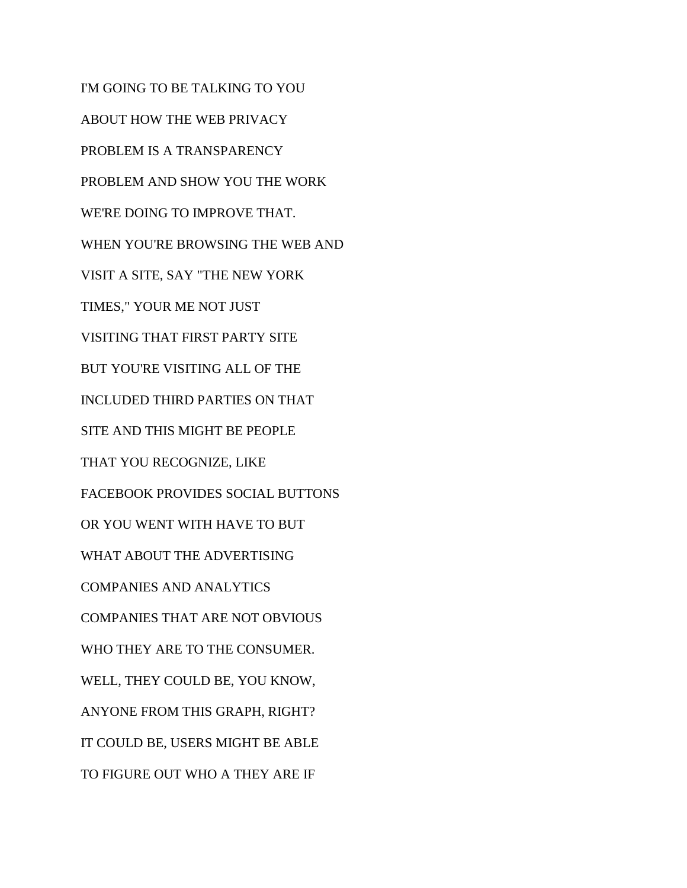I'M GOING TO BE TALKING TO YOU ABOUT HOW THE WEB PRIVACY PROBLEM IS A TRANSPARENCY PROBLEM AND SHOW YOU THE WORK WE'RE DOING TO IMPROVE THAT. WHEN YOU'RE BROWSING THE WEB AND VISIT A SITE, SAY "THE NEW YORK TIMES," YOUR ME NOT JUST VISITING THAT FIRST PARTY SITE BUT YOU'RE VISITING ALL OF THE INCLUDED THIRD PARTIES ON THAT SITE AND THIS MIGHT BE PEOPLE THAT YOU RECOGNIZE, LIKE FACEBOOK PROVIDES SOCIAL BUTTONS OR YOU WENT WITH HAVE TO BUT WHAT ABOUT THE ADVERTISING COMPANIES AND ANALYTICS COMPANIES THAT ARE NOT OBVIOUS WHO THEY ARE TO THE CONSUMER. WELL, THEY COULD BE, YOU KNOW, ANYONE FROM THIS GRAPH, RIGHT? IT COULD BE, USERS MIGHT BE ABLE TO FIGURE OUT WHO A THEY ARE IF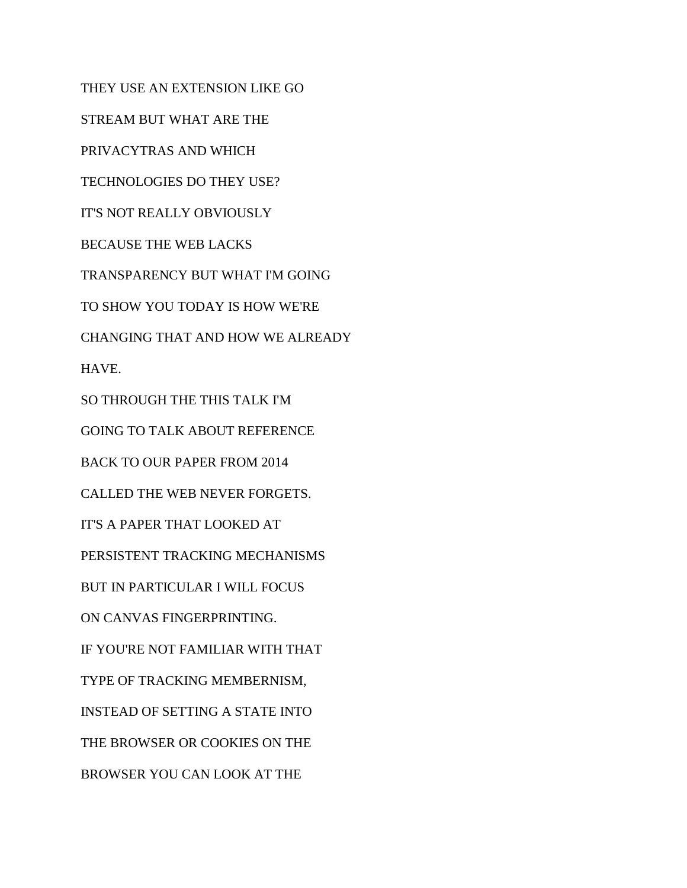THEY USE AN EXTENSION LIKE GO STREAM BUT WHAT ARE THE PRIVACYTRAS AND WHICH TECHNOLOGIES DO THEY USE? IT'S NOT REALLY OBVIOUSLY BECAUSE THE WEB LACKS TRANSPARENCY BUT WHAT I'M GOING TO SHOW YOU TODAY IS HOW WE'RE CHANGING THAT AND HOW WE ALREADY HAVE. SO THROUGH THE THIS TALK I'M GOING TO TALK ABOUT REFERENCE BACK TO OUR PAPER FROM 2014 CALLED THE WEB NEVER FORGETS. IT'S A PAPER THAT LOOKED AT PERSISTENT TRACKING MECHANISMS BUT IN PARTICULAR I WILL FOCUS ON CANVAS FINGERPRINTING. IF YOU'RE NOT FAMILIAR WITH THAT TYPE OF TRACKING MEMBERNISM, INSTEAD OF SETTING A STATE INTO THE BROWSER OR COOKIES ON THE BROWSER YOU CAN LOOK AT THE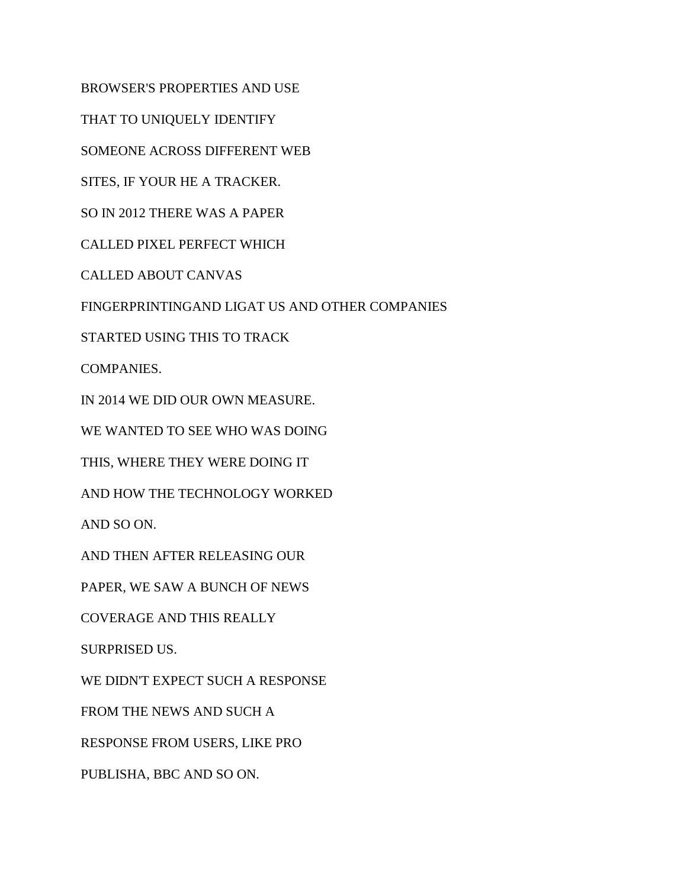BROWSER'S PROPERTIES AND USE

THAT TO UNIQUELY IDENTIFY

SOMEONE ACROSS DIFFERENT WEB

SITES, IF YOUR HE A TRACKER.

SO IN 2012 THERE WAS A PAPER

CALLED PIXEL PERFECT WHICH

CALLED ABOUT CANVAS

FINGERPRINTINGAND LIGAT US AND OTHER COMPANIES

STARTED USING THIS TO TRACK

COMPANIES.

IN 2014 WE DID OUR OWN MEASURE.

WE WANTED TO SEE WHO WAS DOING

THIS, WHERE THEY WERE DOING IT

AND HOW THE TECHNOLOGY WORKED

AND SO ON.

AND THEN AFTER RELEASING OUR

PAPER, WE SAW A BUNCH OF NEWS

COVERAGE AND THIS REALLY

SURPRISED US.

WE DIDN'T EXPECT SUCH A RESPONSE

FROM THE NEWS AND SUCH A

RESPONSE FROM USERS, LIKE PRO

PUBLISHA, BBC AND SO ON.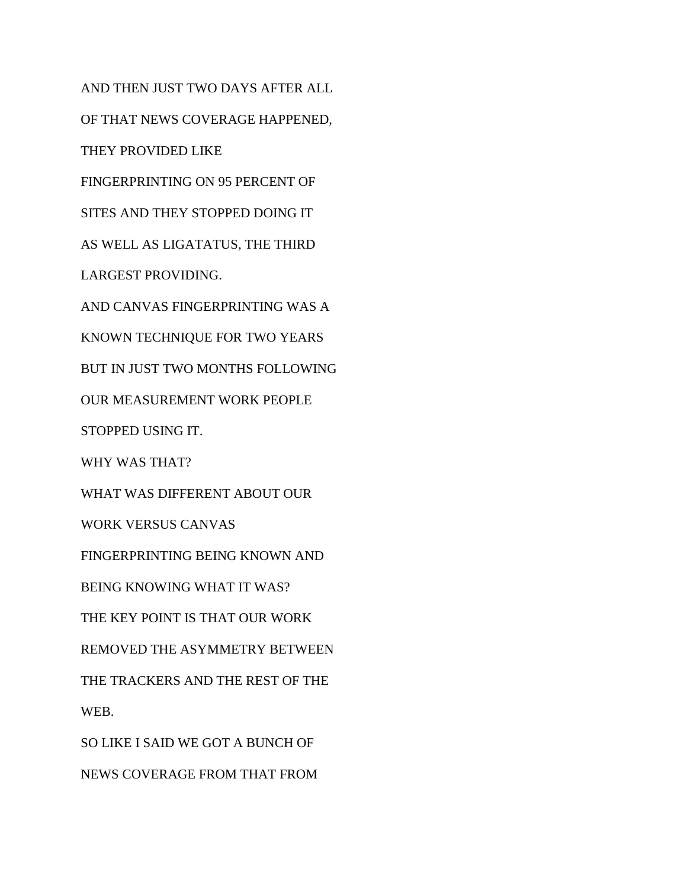AND THEN JUST TWO DAYS AFTER ALL OF THAT NEWS COVERAGE HAPPENED, THEY PROVIDED LIKE FINGERPRINTING ON 95 PERCENT OF SITES AND THEY STOPPED DOING IT AS WELL AS LIGATATUS, THE THIRD LARGEST PROVIDING. AND CANVAS FINGERPRINTING WAS A KNOWN TECHNIQUE FOR TWO YEARS BUT IN JUST TWO MONTHS FOLLOWING OUR MEASUREMENT WORK PEOPLE STOPPED USING IT. WHY WAS THAT? WHAT WAS DIFFERENT ABOUT OUR WORK VERSUS CANVAS FINGERPRINTING BEING KNOWN AND BEING KNOWING WHAT IT WAS? THE KEY POINT IS THAT OUR WORK REMOVED THE ASYMMETRY BETWEEN THE TRACKERS AND THE REST OF THE WEB. SO LIKE I SAID WE GOT A BUNCH OF NEWS COVERAGE FROM THAT FROM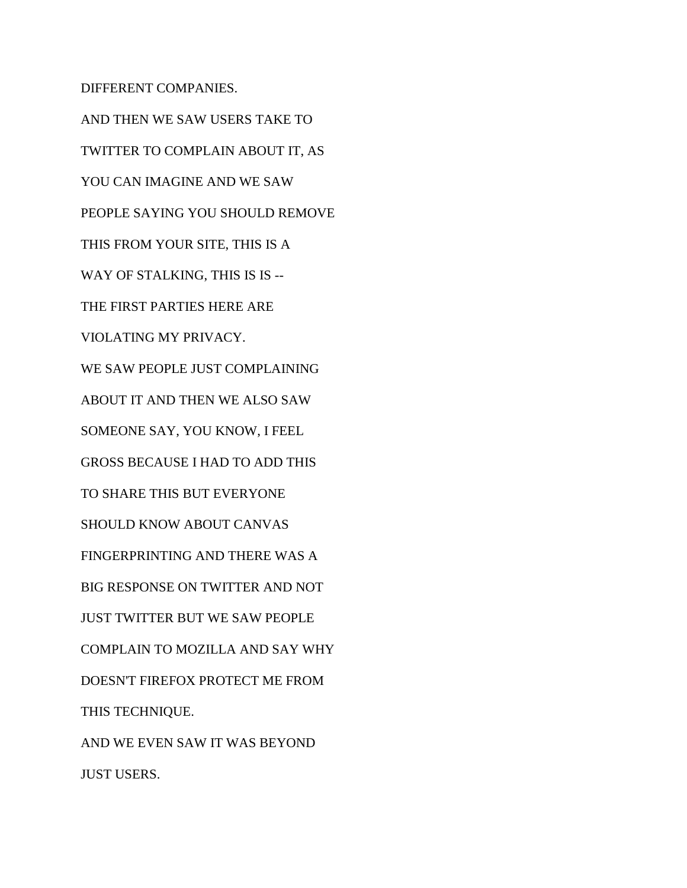DIFFERENT COMPANIES.

AND THEN WE SAW USERS TAKE TO TWITTER TO COMPLAIN ABOUT IT, AS YOU CAN IMAGINE AND WE SAW PEOPLE SAYING YOU SHOULD REMOVE THIS FROM YOUR SITE, THIS IS A WAY OF STALKING, THIS IS IS --THE FIRST PARTIES HERE ARE VIOLATING MY PRIVACY. WE SAW PEOPLE JUST COMPLAINING ABOUT IT AND THEN WE ALSO SAW SOMEONE SAY, YOU KNOW, I FEEL GROSS BECAUSE I HAD TO ADD THIS TO SHARE THIS BUT EVERYONE SHOULD KNOW ABOUT CANVAS FINGERPRINTING AND THERE WAS A BIG RESPONSE ON TWITTER AND NOT JUST TWITTER BUT WE SAW PEOPLE COMPLAIN TO MOZILLA AND SAY WHY DOESN'T FIREFOX PROTECT ME FROM THIS TECHNIQUE. AND WE EVEN SAW IT WAS BEYOND JUST USERS.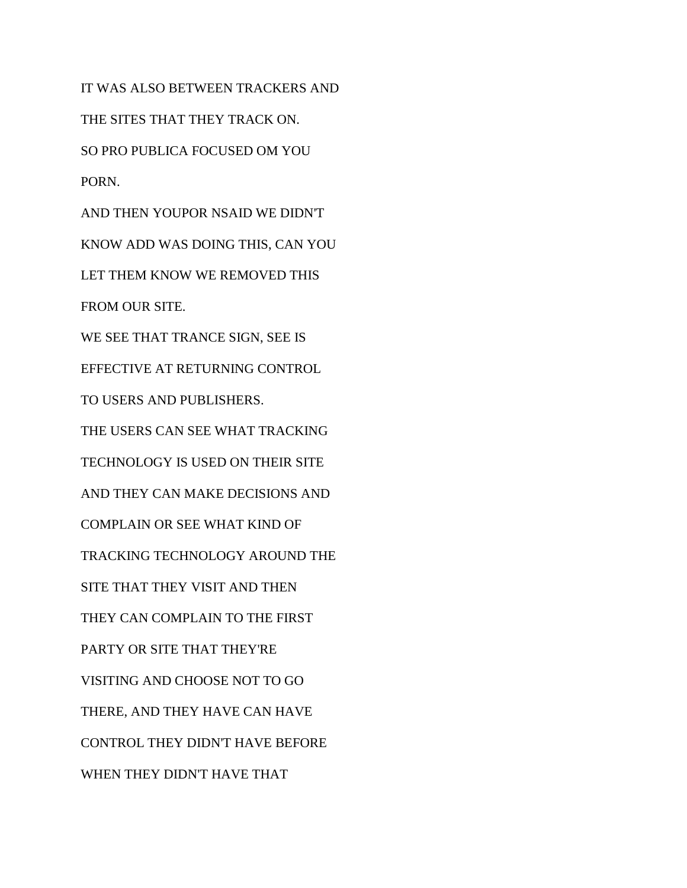IT WAS ALSO BETWEEN TRACKERS AND THE SITES THAT THEY TRACK ON. SO PRO PUBLICA FOCUSED OM YOU PORN. AND THEN YOUPOR NSAID WE DIDN'T KNOW ADD WAS DOING THIS, CAN YOU LET THEM KNOW WE REMOVED THIS FROM OUR SITE. WE SEE THAT TRANCE SIGN, SEE IS EFFECTIVE AT RETURNING CONTROL TO USERS AND PUBLISHERS. THE USERS CAN SEE WHAT TRACKING TECHNOLOGY IS USED ON THEIR SITE AND THEY CAN MAKE DECISIONS AND COMPLAIN OR SEE WHAT KIND OF TRACKING TECHNOLOGY AROUND THE SITE THAT THEY VISIT AND THEN THEY CAN COMPLAIN TO THE FIRST PARTY OR SITE THAT THEY'RE VISITING AND CHOOSE NOT TO GO THERE, AND THEY HAVE CAN HAVE CONTROL THEY DIDN'T HAVE BEFORE WHEN THEY DIDN'T HAVE THAT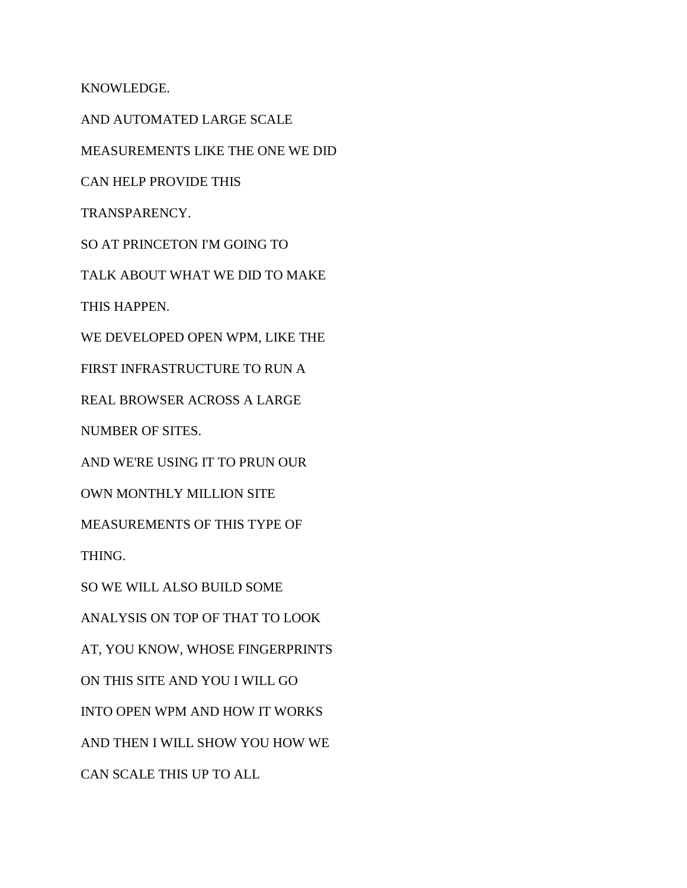KNOWLEDGE.

AND AUTOMATED LARGE SCALE MEASUREMENTS LIKE THE ONE WE DID CAN HELP PROVIDE THIS TRANSPARENCY. SO AT PRINCETON I'M GOING TO TALK ABOUT WHAT WE DID TO MAKE THIS HAPPEN. WE DEVELOPED OPEN WPM, LIKE THE FIRST INFRASTRUCTURE TO RUN A REAL BROWSER ACROSS A LARGE NUMBER OF SITES. AND WE'RE USING IT TO PRUN OUR OWN MONTHLY MILLION SITE MEASUREMENTS OF THIS TYPE OF THING. SO WE WILL ALSO BUILD SOME ANALYSIS ON TOP OF THAT TO LOOK AT, YOU KNOW, WHOSE FINGERPRINTS ON THIS SITE AND YOU I WILL GO INTO OPEN WPM AND HOW IT WORKS AND THEN I WILL SHOW YOU HOW WE CAN SCALE THIS UP TO ALL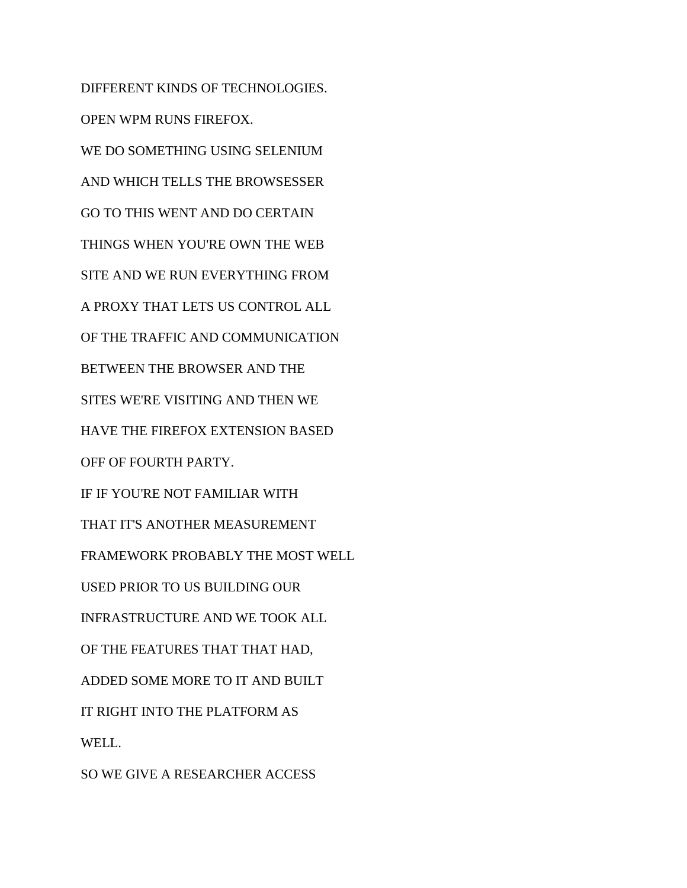DIFFERENT KINDS OF TECHNOLOGIES. OPEN WPM RUNS FIREFOX. WE DO SOMETHING USING SELENIUM AND WHICH TELLS THE BROWSESSER GO TO THIS WENT AND DO CERTAIN THINGS WHEN YOU'RE OWN THE WEB SITE AND WE RUN EVERYTHING FROM A PROXY THAT LETS US CONTROL ALL OF THE TRAFFIC AND COMMUNICATION BETWEEN THE BROWSER AND THE SITES WE'RE VISITING AND THEN WE HAVE THE FIREFOX EXTENSION BASED OFF OF FOURTH PARTY. IF IF YOU'RE NOT FAMILIAR WITH THAT IT'S ANOTHER MEASUREMENT FRAMEWORK PROBABLY THE MOST WELL USED PRIOR TO US BUILDING OUR INFRASTRUCTURE AND WE TOOK ALL OF THE FEATURES THAT THAT HAD, ADDED SOME MORE TO IT AND BUILT IT RIGHT INTO THE PLATFORM AS WELL. SO WE GIVE A RESEARCHER ACCESS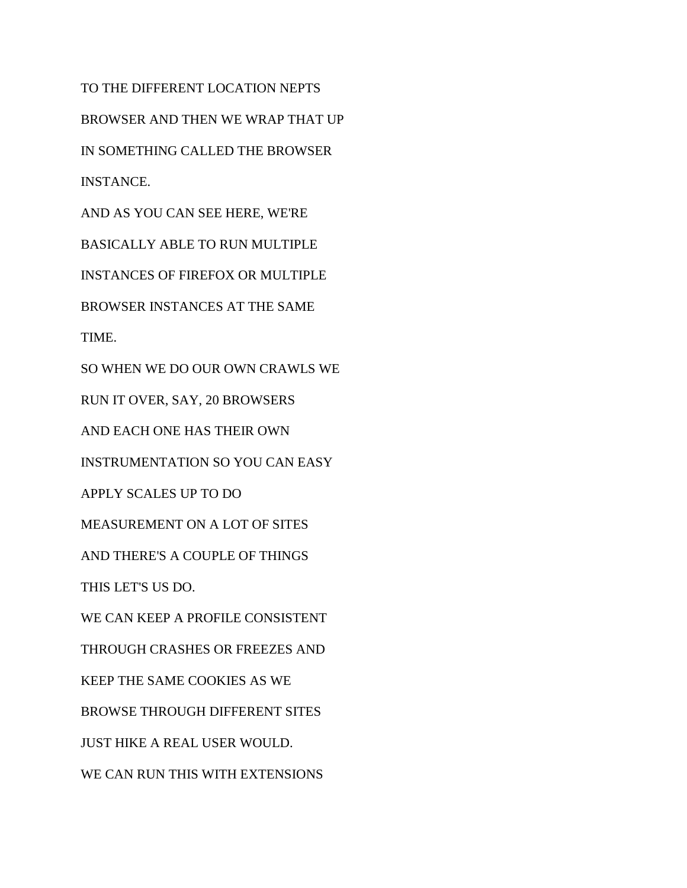TO THE DIFFERENT LOCATION NEPTS BROWSER AND THEN WE WRAP THAT UP IN SOMETHING CALLED THE BROWSER INSTANCE. AND AS YOU CAN SEE HERE, WE'RE BASICALLY ABLE TO RUN MULTIPLE INSTANCES OF FIREFOX OR MULTIPLE BROWSER INSTANCES AT THE SAME TIME. SO WHEN WE DO OUR OWN CRAWLS WE RUN IT OVER, SAY, 20 BROWSERS AND EACH ONE HAS THEIR OWN INSTRUMENTATION SO YOU CAN EASY APPLY SCALES UP TO DO MEASUREMENT ON A LOT OF SITES AND THERE'S A COUPLE OF THINGS THIS LET'S US DO. WE CAN KEEP A PROFILE CONSISTENT THROUGH CRASHES OR FREEZES AND KEEP THE SAME COOKIES AS WE BROWSE THROUGH DIFFERENT SITES JUST HIKE A REAL USER WOULD. WE CAN RUN THIS WITH EXTENSIONS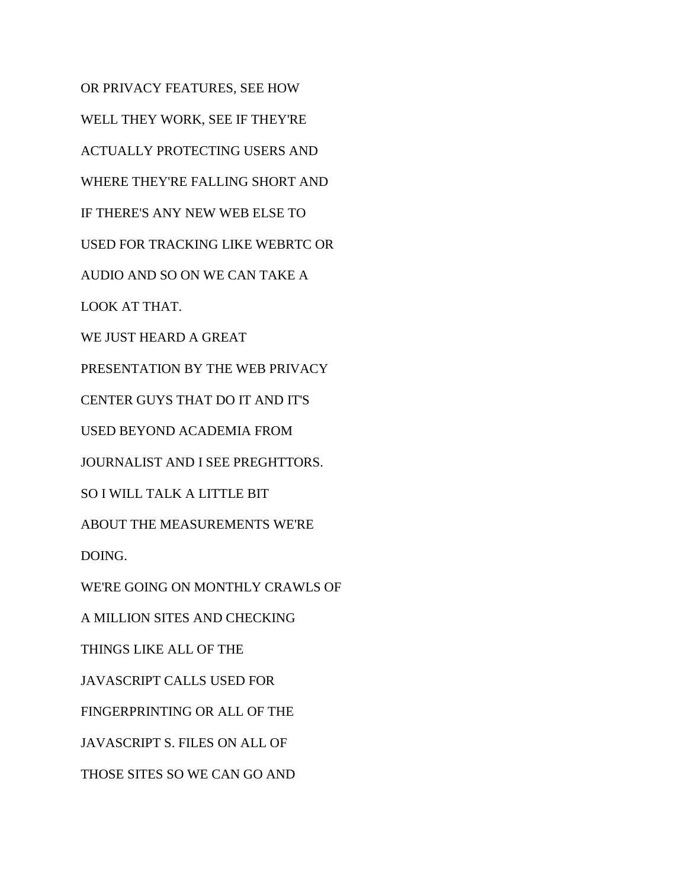OR PRIVACY FEATURES, SEE HOW WELL THEY WORK, SEE IF THEY'RE ACTUALLY PROTECTING USERS AND WHERE THEY'RE FALLING SHORT AND IF THERE'S ANY NEW WEB ELSE TO USED FOR TRACKING LIKE WEBRTC OR AUDIO AND SO ON WE CAN TAKE A LOOK AT THAT. WE JUST HEARD A GREAT PRESENTATION BY THE WEB PRIVACY CENTER GUYS THAT DO IT AND IT'S USED BEYOND ACADEMIA FROM JOURNALIST AND I SEE PREGHTTORS. SO I WILL TALK A LITTLE BIT ABOUT THE MEASUREMENTS WE'RE DOING. WE'RE GOING ON MONTHLY CRAWLS OF A MILLION SITES AND CHECKING THINGS LIKE ALL OF THE JAVASCRIPT CALLS USED FOR FINGERPRINTING OR ALL OF THE JAVASCRIPT S. FILES ON ALL OF THOSE SITES SO WE CAN GO AND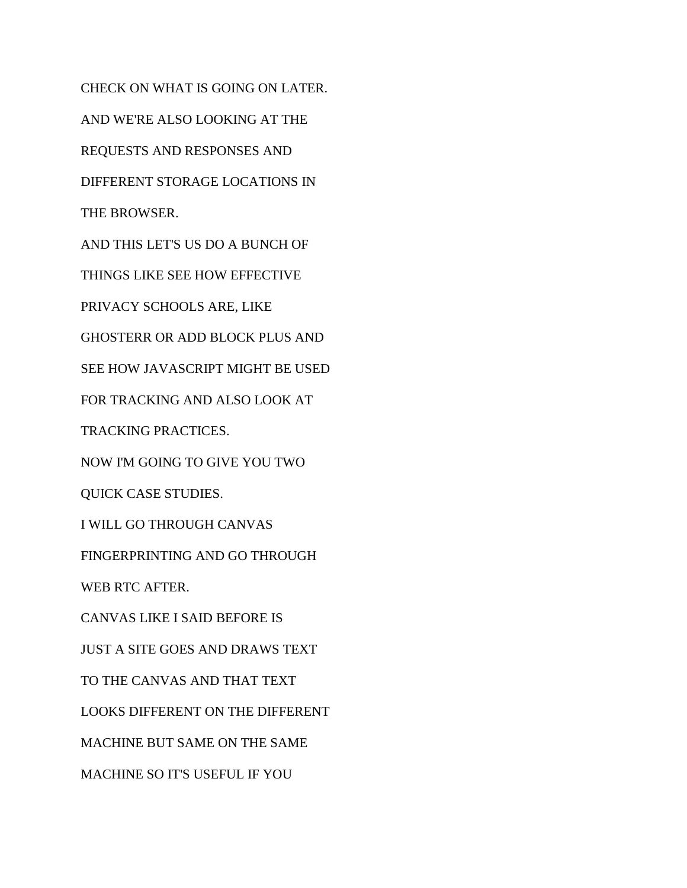CHECK ON WHAT IS GOING ON LATER. AND WE'RE ALSO LOOKING AT THE REQUESTS AND RESPONSES AND DIFFERENT STORAGE LOCATIONS IN THE BROWSER. AND THIS LET'S US DO A BUNCH OF THINGS LIKE SEE HOW EFFECTIVE PRIVACY SCHOOLS ARE, LIKE GHOSTERR OR ADD BLOCK PLUS AND SEE HOW JAVASCRIPT MIGHT BE USED FOR TRACKING AND ALSO LOOK AT TRACKING PRACTICES. NOW I'M GOING TO GIVE YOU TWO QUICK CASE STUDIES. I WILL GO THROUGH CANVAS FINGERPRINTING AND GO THROUGH WEB RTC AFTER. CANVAS LIKE I SAID BEFORE IS JUST A SITE GOES AND DRAWS TEXT TO THE CANVAS AND THAT TEXT LOOKS DIFFERENT ON THE DIFFERENT MACHINE BUT SAME ON THE SAME MACHINE SO IT'S USEFUL IF YOU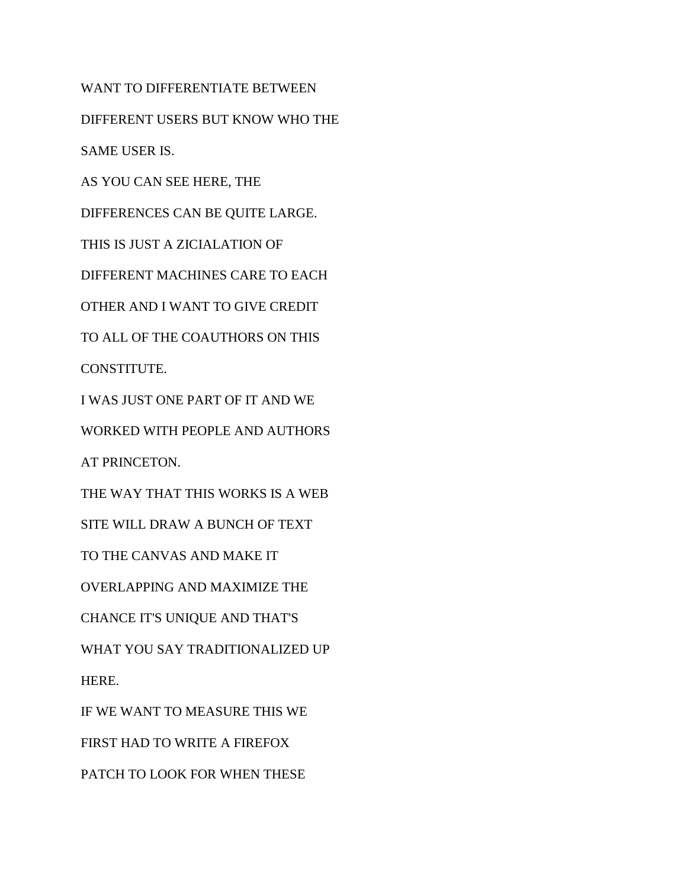WANT TO DIFFERENTIATE BETWEEN

DIFFERENT USERS BUT KNOW WHO THE

SAME USER IS.

AS YOU CAN SEE HERE, THE

DIFFERENCES CAN BE QUITE LARGE.

THIS IS JUST A ZICIALATION OF

DIFFERENT MACHINES CARE TO EACH

OTHER AND I WANT TO GIVE CREDIT

TO ALL OF THE COAUTHORS ON THIS

CONSTITUTE.

I WAS JUST ONE PART OF IT AND WE

WORKED WITH PEOPLE AND AUTHORS

AT PRINCETON.

THE WAY THAT THIS WORKS IS A WEB

SITE WILL DRAW A BUNCH OF TEXT

TO THE CANVAS AND MAKE IT

OVERLAPPING AND MAXIMIZE THE

CHANCE IT'S UNIQUE AND THAT'S

WHAT YOU SAY TRADITIONALIZED UP

HERE.

IF WE WANT TO MEASURE THIS WE

FIRST HAD TO WRITE A FIREFOX

PATCH TO LOOK FOR WHEN THESE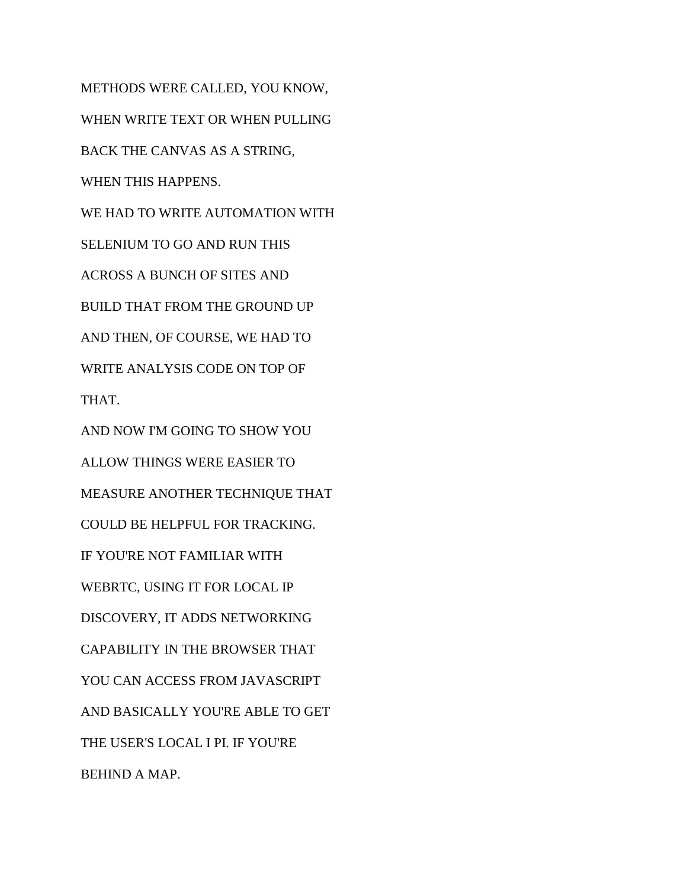METHODS WERE CALLED, YOU KNOW, WHEN WRITE TEXT OR WHEN PULLING BACK THE CANVAS AS A STRING, WHEN THIS HAPPENS. WE HAD TO WRITE AUTOMATION WITH SELENIUM TO GO AND RUN THIS ACROSS A BUNCH OF SITES AND BUILD THAT FROM THE GROUND UP AND THEN, OF COURSE, WE HAD TO WRITE ANALYSIS CODE ON TOP OF THAT. AND NOW I'M GOING TO SHOW YOU ALLOW THINGS WERE EASIER TO MEASURE ANOTHER TECHNIQUE THAT COULD BE HELPFUL FOR TRACKING. IF YOU'RE NOT FAMILIAR WITH WEBRTC, USING IT FOR LOCAL IP DISCOVERY, IT ADDS NETWORKING CAPABILITY IN THE BROWSER THAT YOU CAN ACCESS FROM JAVASCRIPT AND BASICALLY YOU'RE ABLE TO GET THE USER'S LOCAL I PI. IF YOU'RE BEHIND A MAP.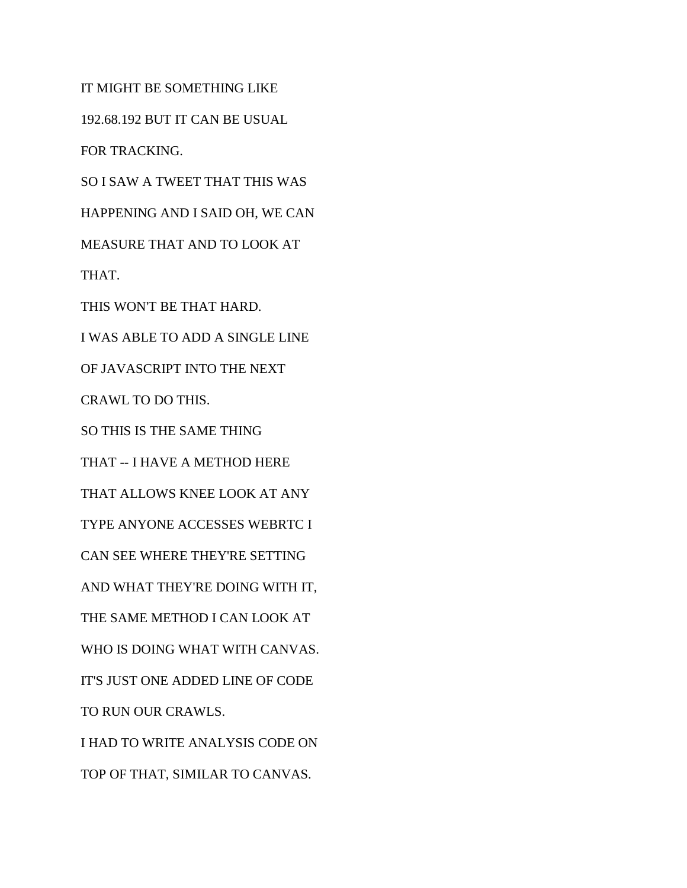IT MIGHT BE SOMETHING LIKE 192.68.192 BUT IT CAN BE USUAL FOR TRACKING. SO I SAW A TWEET THAT THIS WAS HAPPENING AND I SAID OH, WE CAN MEASURE THAT AND TO LOOK AT THAT. THIS WON'T BE THAT HARD. I WAS ABLE TO ADD A SINGLE LINE OF JAVASCRIPT INTO THE NEXT CRAWL TO DO THIS. SO THIS IS THE SAME THING THAT -- I HAVE A METHOD HERE THAT ALLOWS KNEE LOOK AT ANY TYPE ANYONE ACCESSES WEBRTC I CAN SEE WHERE THEY'RE SETTING AND WHAT THEY'RE DOING WITH IT, THE SAME METHOD I CAN LOOK AT WHO IS DOING WHAT WITH CANVAS. IT'S JUST ONE ADDED LINE OF CODE TO RUN OUR CRAWLS. I HAD TO WRITE ANALYSIS CODE ON TOP OF THAT, SIMILAR TO CANVAS.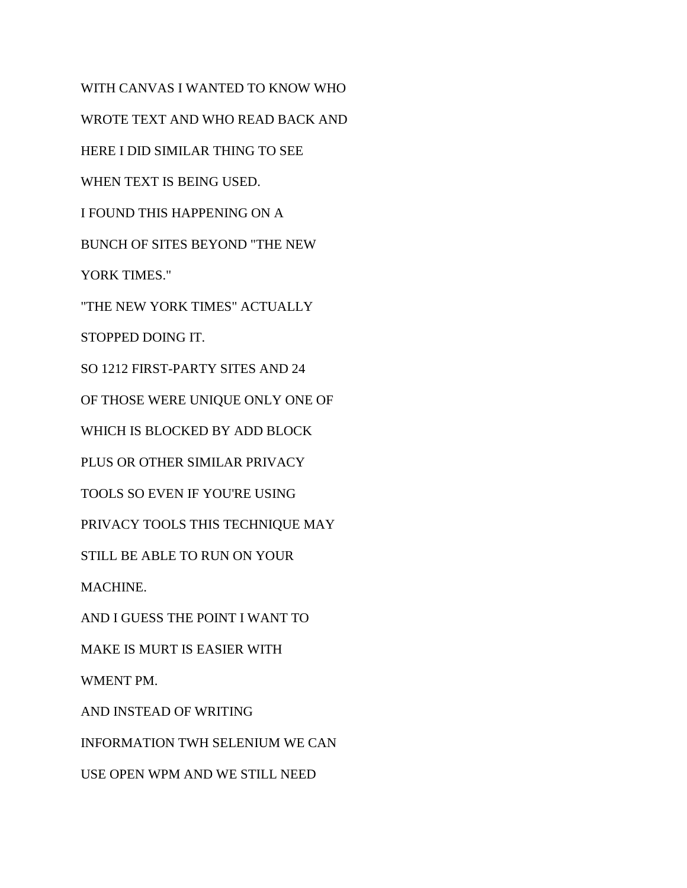WITH CANVAS I WANTED TO KNOW WHO WROTE TEXT AND WHO READ BACK AND HERE I DID SIMILAR THING TO SEE WHEN TEXT IS BEING USED. I FOUND THIS HAPPENING ON A BUNCH OF SITES BEYOND "THE NEW YORK TIMES." "THE NEW YORK TIMES" ACTUALLY STOPPED DOING IT. SO 1212 FIRST-PARTY SITES AND 24 OF THOSE WERE UNIQUE ONLY ONE OF WHICH IS BLOCKED BY ADD BLOCK PLUS OR OTHER SIMILAR PRIVACY TOOLS SO EVEN IF YOU'RE USING PRIVACY TOOLS THIS TECHNIQUE MAY STILL BE ABLE TO RUN ON YOUR MACHINE. AND I GUESS THE POINT I WANT TO MAKE IS MURT IS EASIER WITH WMENT PM. AND INSTEAD OF WRITING INFORMATION TWH SELENIUM WE CAN USE OPEN WPM AND WE STILL NEED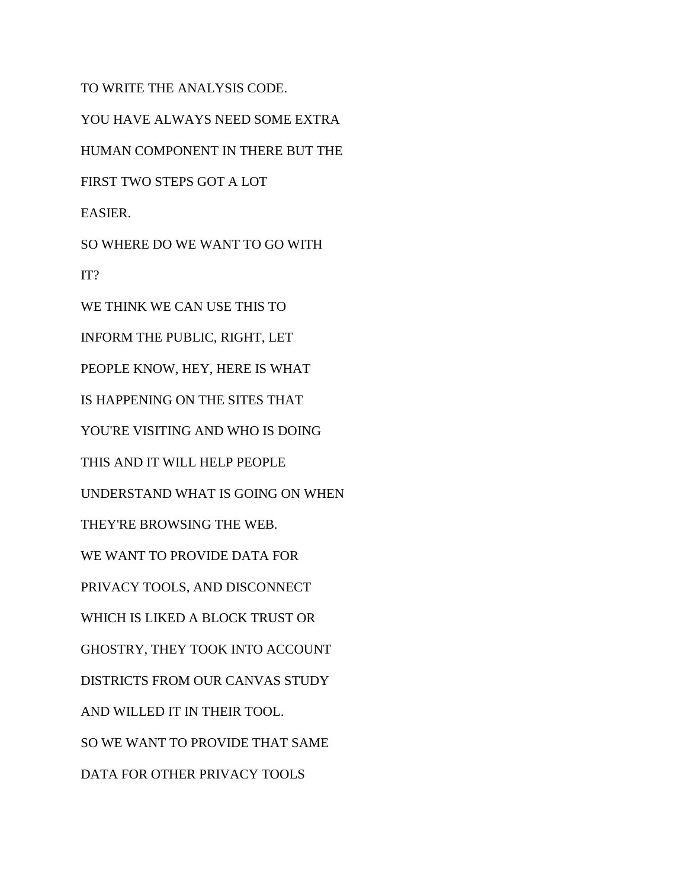TO WRITE THE ANALYSIS CODE. YOU HAVE ALWAYS NEED SOME EXTRA HUMAN COMPONENT IN THERE BUT THE FIRST TWO STEPS GOT A LOT EASIER. SO WHERE DO WE WANT TO GO WITH IT? WE THINK WE CAN USE THIS TO INFORM THE PUBLIC, RIGHT, LET PEOPLE KNOW, HEY, HERE IS WHAT IS HAPPENING ON THE SITES THAT YOU'RE VISITING AND WHO IS DOING THIS AND IT WILL HELP PEOPLE UNDERSTAND WHAT IS GOING ON WHEN THEY'RE BROWSING THE WEB. WE WANT TO PROVIDE DATA FOR PRIVACY TOOLS, AND DISCONNECT WHICH IS LIKED A BLOCK TRUST OR GHOSTRY, THEY TOOK INTO ACCOUNT DISTRICTS FROM OUR CANVAS STUDY AND WILLED IT IN THEIR TOOL. SO WE WANT TO PROVIDE THAT SAME DATA FOR OTHER PRIVACY TOOLS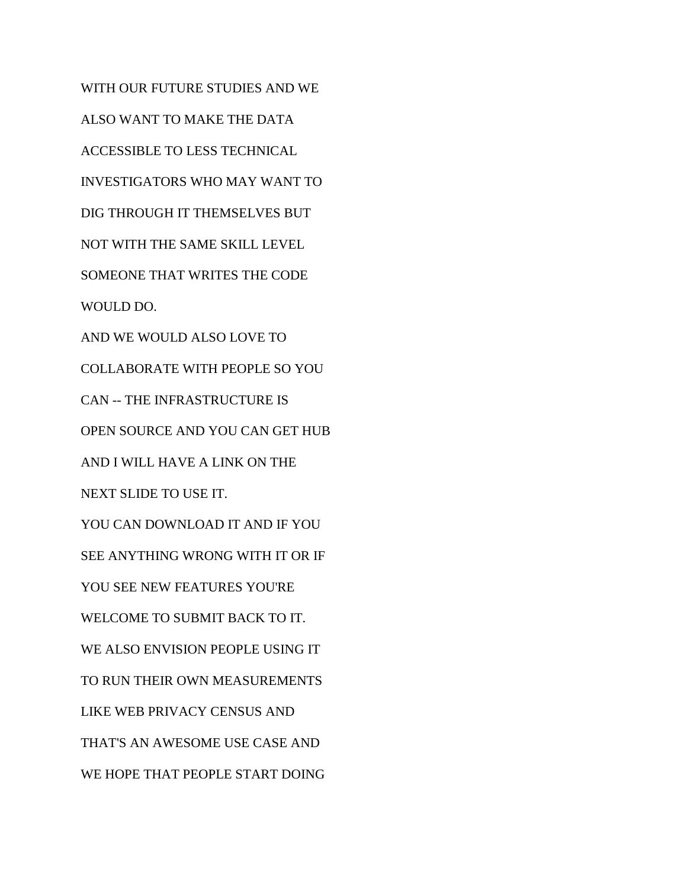WITH OUR FUTURE STUDIES AND WE ALSO WANT TO MAKE THE DATA ACCESSIBLE TO LESS TECHNICAL INVESTIGATORS WHO MAY WANT TO DIG THROUGH IT THEMSELVES BUT NOT WITH THE SAME SKILL LEVEL SOMEONE THAT WRITES THE CODE WOULD DO. AND WE WOULD ALSO LOVE TO COLLABORATE WITH PEOPLE SO YOU CAN -- THE INFRASTRUCTURE IS OPEN SOURCE AND YOU CAN GET HUB AND I WILL HAVE A LINK ON THE NEXT SLIDE TO USE IT. YOU CAN DOWNLOAD IT AND IF YOU SEE ANYTHING WRONG WITH IT OR IF YOU SEE NEW FEATURES YOU'RE WELCOME TO SUBMIT BACK TO IT. WE ALSO ENVISION PEOPLE USING IT TO RUN THEIR OWN MEASUREMENTS LIKE WEB PRIVACY CENSUS AND THAT'S AN AWESOME USE CASE AND WE HOPE THAT PEOPLE START DOING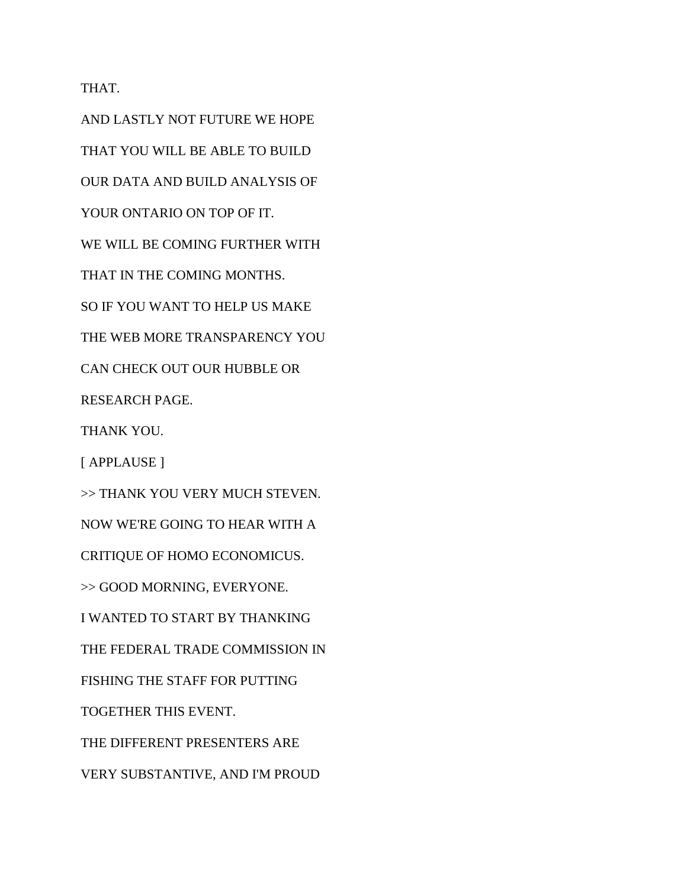THAT.

AND LASTLY NOT FUTURE WE HOPE THAT YOU WILL BE ABLE TO BUILD OUR DATA AND BUILD ANALYSIS OF YOUR ONTARIO ON TOP OF IT. WE WILL BE COMING FURTHER WITH THAT IN THE COMING MONTHS. SO IF YOU WANT TO HELP US MAKE THE WEB MORE TRANSPARENCY YOU CAN CHECK OUT OUR HUBBLE OR RESEARCH PAGE. THANK YOU. [ APPLAUSE ] >> THANK YOU VERY MUCH STEVEN. NOW WE'RE GOING TO HEAR WITH A CRITIQUE OF HOMO ECONOMICUS. >> GOOD MORNING, EVERYONE. I WANTED TO START BY THANKING THE FEDERAL TRADE COMMISSION IN FISHING THE STAFF FOR PUTTING TOGETHER THIS EVENT. THE DIFFERENT PRESENTERS ARE VERY SUBSTANTIVE, AND I'M PROUD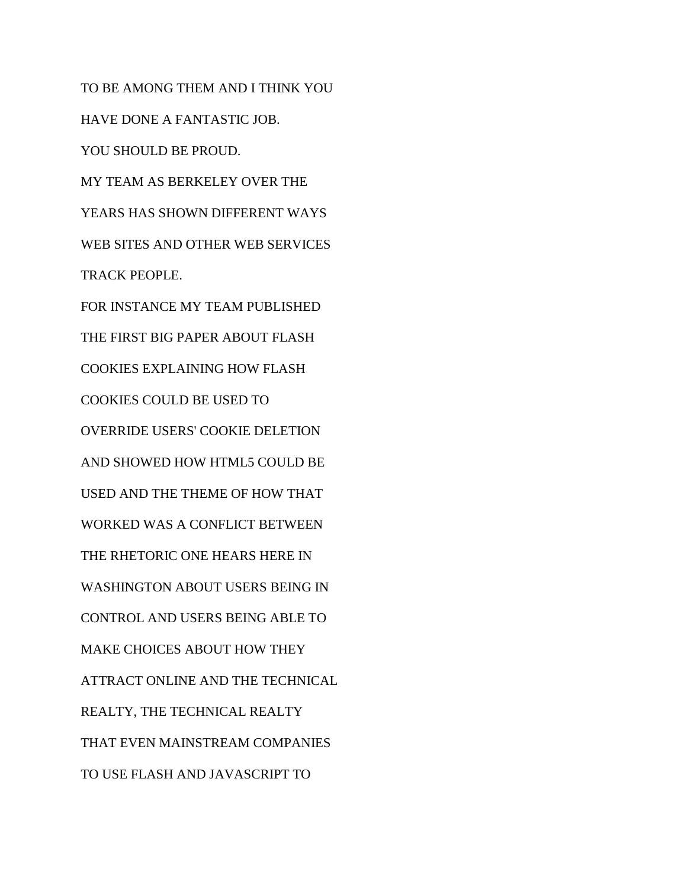TO BE AMONG THEM AND I THINK YOU HAVE DONE A FANTASTIC JOB. YOU SHOULD BE PROUD. MY TEAM AS BERKELEY OVER THE YEARS HAS SHOWN DIFFERENT WAYS WEB SITES AND OTHER WEB SERVICES TRACK PEOPLE. FOR INSTANCE MY TEAM PUBLISHED THE FIRST BIG PAPER ABOUT FLASH COOKIES EXPLAINING HOW FLASH COOKIES COULD BE USED TO OVERRIDE USERS' COOKIE DELETION AND SHOWED HOW HTML5 COULD BE USED AND THE THEME OF HOW THAT WORKED WAS A CONFLICT BETWEEN THE RHETORIC ONE HEARS HERE IN WASHINGTON ABOUT USERS BEING IN CONTROL AND USERS BEING ABLE TO MAKE CHOICES ABOUT HOW THEY ATTRACT ONLINE AND THE TECHNICAL REALTY, THE TECHNICAL REALTY THAT EVEN MAINSTREAM COMPANIES TO USE FLASH AND JAVASCRIPT TO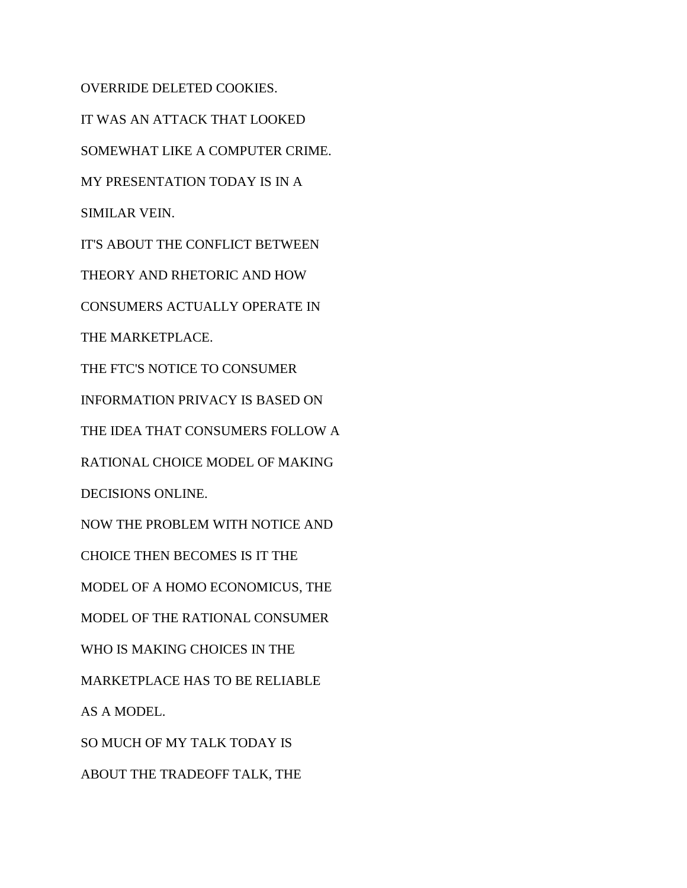OVERRIDE DELETED COOKIES. IT WAS AN ATTACK THAT LOOKED SOMEWHAT LIKE A COMPUTER CRIME. MY PRESENTATION TODAY IS IN A SIMILAR VEIN. IT'S ABOUT THE CONFLICT BETWEEN THEORY AND RHETORIC AND HOW CONSUMERS ACTUALLY OPERATE IN THE MARKETPLACE. THE FTC'S NOTICE TO CONSUMER INFORMATION PRIVACY IS BASED ON THE IDEA THAT CONSUMERS FOLLOW A RATIONAL CHOICE MODEL OF MAKING DECISIONS ONLINE. NOW THE PROBLEM WITH NOTICE AND CHOICE THEN BECOMES IS IT THE MODEL OF A HOMO ECONOMICUS, THE MODEL OF THE RATIONAL CONSUMER WHO IS MAKING CHOICES IN THE MARKETPLACE HAS TO BE RELIABLE AS A MODEL. SO MUCH OF MY TALK TODAY IS ABOUT THE TRADEOFF TALK, THE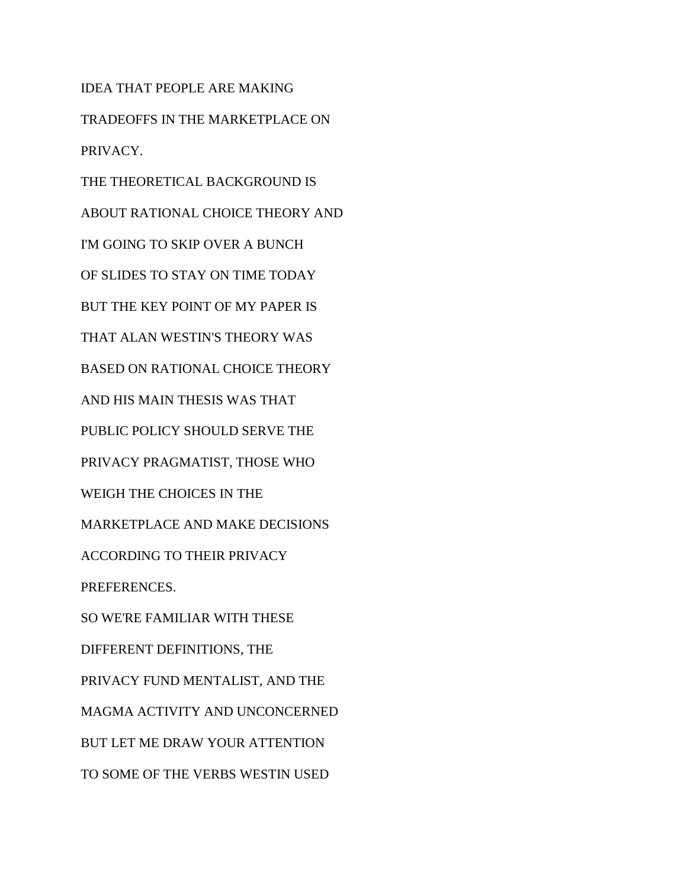IDEA THAT PEOPLE ARE MAKING TRADEOFFS IN THE MARKETPLACE ON PRIVACY. THE THEORETICAL BACKGROUND IS ABOUT RATIONAL CHOICE THEORY AND I'M GOING TO SKIP OVER A BUNCH OF SLIDES TO STAY ON TIME TODAY BUT THE KEY POINT OF MY PAPER IS THAT ALAN WESTIN'S THEORY WAS BASED ON RATIONAL CHOICE THEORY AND HIS MAIN THESIS WAS THAT PUBLIC POLICY SHOULD SERVE THE PRIVACY PRAGMATIST, THOSE WHO WEIGH THE CHOICES IN THE MARKETPLACE AND MAKE DECISIONS ACCORDING TO THEIR PRIVACY PREFERENCES. SO WE'RE FAMILIAR WITH THESE DIFFERENT DEFINITIONS, THE PRIVACY FUND MENTALIST, AND THE MAGMA ACTIVITY AND UNCONCERNED BUT LET ME DRAW YOUR ATTENTION TO SOME OF THE VERBS WESTIN USED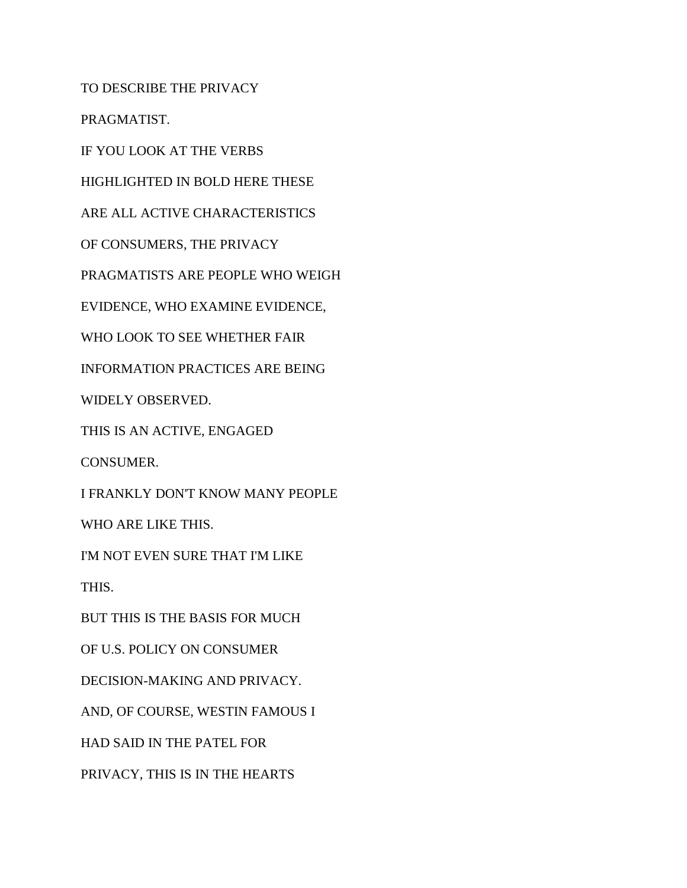TO DESCRIBE THE PRIVACY

PRAGMATIST.

IF YOU LOOK AT THE VERBS

HIGHLIGHTED IN BOLD HERE THESE

ARE ALL ACTIVE CHARACTERISTICS

OF CONSUMERS, THE PRIVACY

PRAGMATISTS ARE PEOPLE WHO WEIGH

EVIDENCE, WHO EXAMINE EVIDENCE,

WHO LOOK TO SEE WHETHER FAIR

INFORMATION PRACTICES ARE BEING

WIDELY OBSERVED.

THIS IS AN ACTIVE, ENGAGED

CONSUMER.

I FRANKLY DON'T KNOW MANY PEOPLE

WHO ARE LIKE THIS.

I'M NOT EVEN SURE THAT I'M LIKE

THIS.

BUT THIS IS THE BASIS FOR MUCH

OF U.S. POLICY ON CONSUMER

DECISION-MAKING AND PRIVACY.

AND, OF COURSE, WESTIN FAMOUS I

HAD SAID IN THE PATEL FOR

PRIVACY, THIS IS IN THE HEARTS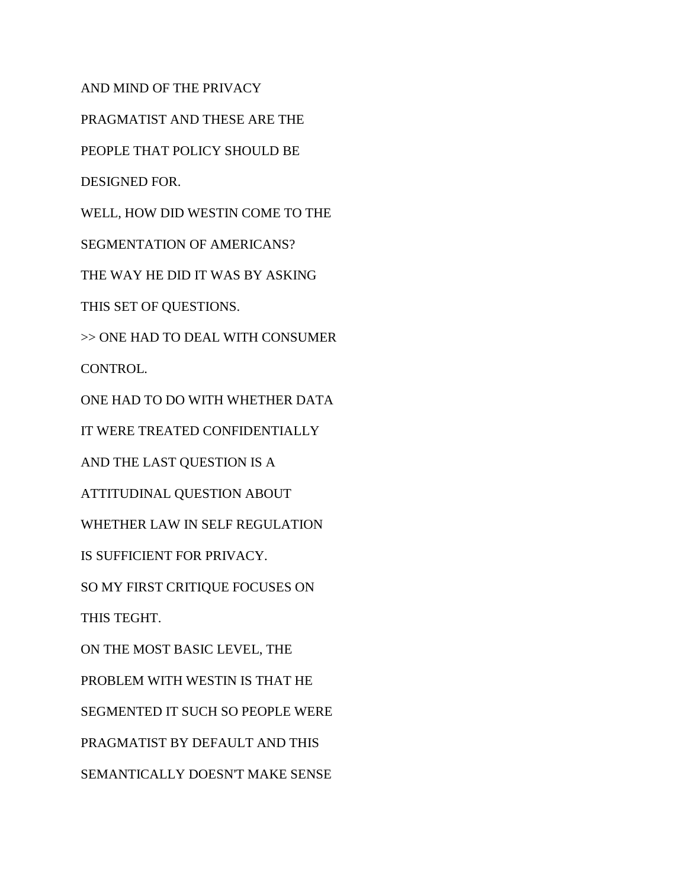AND MIND OF THE PRIVACY

PRAGMATIST AND THESE ARE THE

PEOPLE THAT POLICY SHOULD BE

DESIGNED FOR.

WELL, HOW DID WESTIN COME TO THE

SEGMENTATION OF AMERICANS?

THE WAY HE DID IT WAS BY ASKING

THIS SET OF QUESTIONS.

>> ONE HAD TO DEAL WITH CONSUMER

CONTROL.

ONE HAD TO DO WITH WHETHER DATA

IT WERE TREATED CONFIDENTIALLY

AND THE LAST QUESTION IS A

ATTITUDINAL QUESTION ABOUT

WHETHER LAW IN SELF REGULATION

IS SUFFICIENT FOR PRIVACY.

SO MY FIRST CRITIQUE FOCUSES ON

THIS TEGHT.

ON THE MOST BASIC LEVEL, THE

PROBLEM WITH WESTIN IS THAT HE

SEGMENTED IT SUCH SO PEOPLE WERE

PRAGMATIST BY DEFAULT AND THIS

SEMANTICALLY DOESN'T MAKE SENSE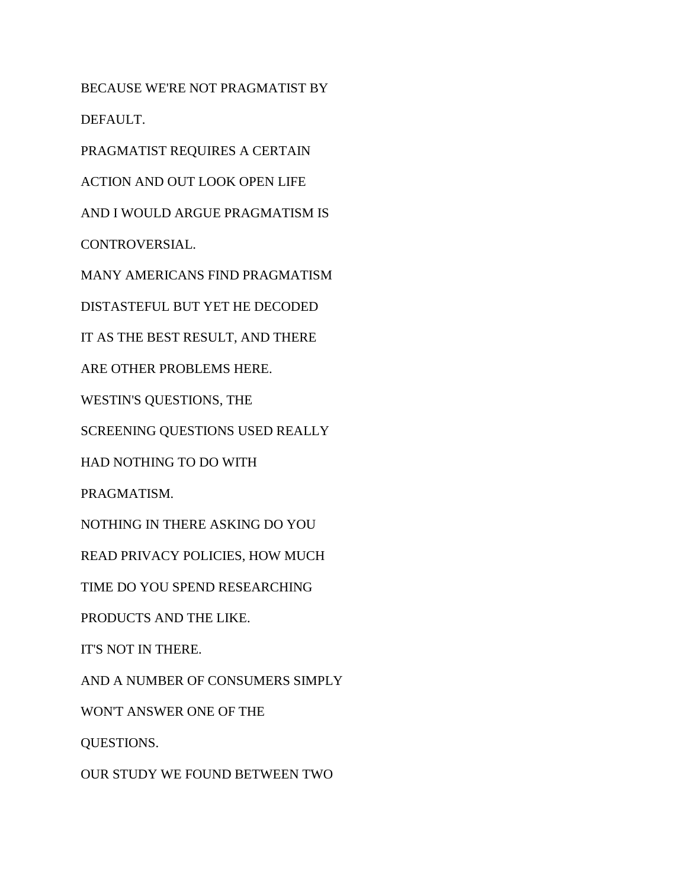BECAUSE WE'RE NOT PRAGMATIST BY DEFAULT.

PRAGMATIST REQUIRES A CERTAIN

ACTION AND OUT LOOK OPEN LIFE

AND I WOULD ARGUE PRAGMATISM IS

CONTROVERSIAL.

MANY AMERICANS FIND PRAGMATISM

DISTASTEFUL BUT YET HE DECODED

IT AS THE BEST RESULT, AND THERE

ARE OTHER PROBLEMS HERE.

WESTIN'S QUESTIONS, THE

SCREENING QUESTIONS USED REALLY

HAD NOTHING TO DO WITH

PRAGMATISM.

NOTHING IN THERE ASKING DO YOU

READ PRIVACY POLICIES, HOW MUCH

TIME DO YOU SPEND RESEARCHING

PRODUCTS AND THE LIKE.

IT'S NOT IN THERE.

AND A NUMBER OF CONSUMERS SIMPLY

WON'T ANSWER ONE OF THE

QUESTIONS.

OUR STUDY WE FOUND BETWEEN TWO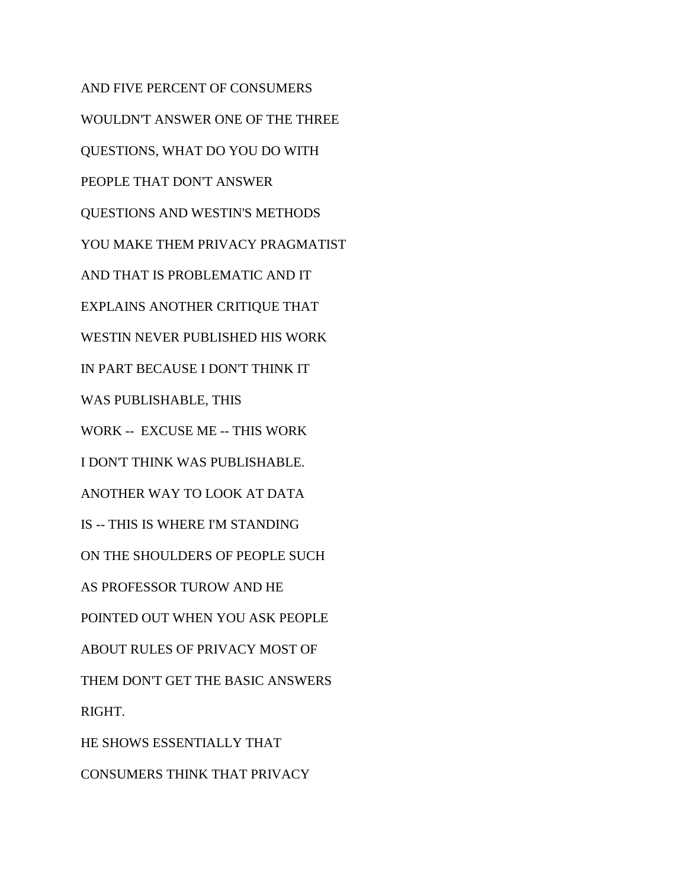AND FIVE PERCENT OF CONSUMERS WOULDN'T ANSWER ONE OF THE THREE QUESTIONS, WHAT DO YOU DO WITH PEOPLE THAT DON'T ANSWER QUESTIONS AND WESTIN'S METHODS YOU MAKE THEM PRIVACY PRAGMATIST AND THAT IS PROBLEMATIC AND IT EXPLAINS ANOTHER CRITIQUE THAT WESTIN NEVER PUBLISHED HIS WORK IN PART BECAUSE I DON'T THINK IT WAS PUBLISHABLE, THIS WORK -- EXCUSE ME -- THIS WORK I DON'T THINK WAS PUBLISHABLE. ANOTHER WAY TO LOOK AT DATA IS -- THIS IS WHERE I'M STANDING ON THE SHOULDERS OF PEOPLE SUCH AS PROFESSOR TUROW AND HE POINTED OUT WHEN YOU ASK PEOPLE ABOUT RULES OF PRIVACY MOST OF THEM DON'T GET THE BASIC ANSWERS RIGHT. HE SHOWS ESSENTIALLY THAT CONSUMERS THINK THAT PRIVACY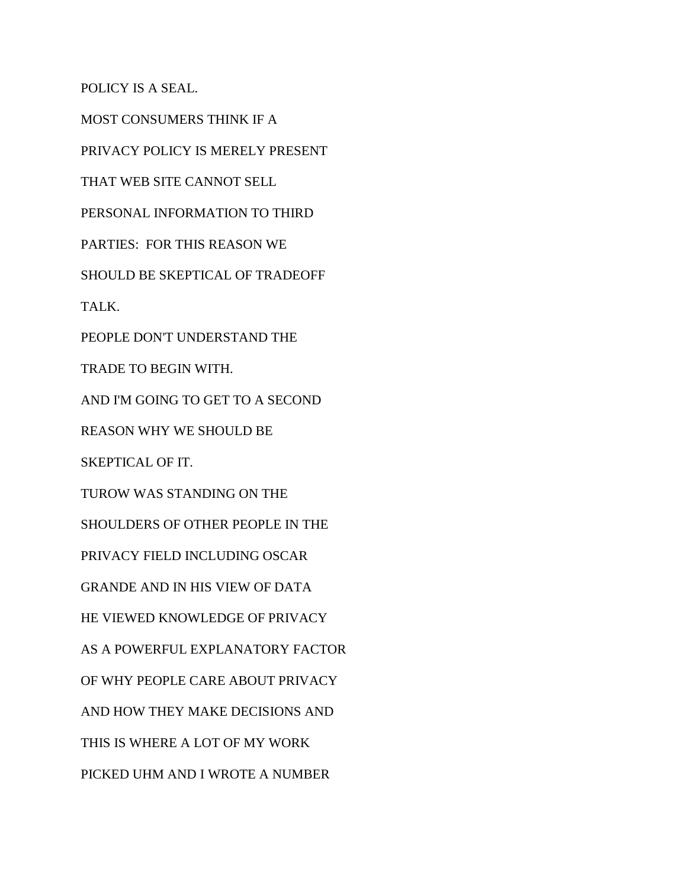POLICY IS A SEAL.

MOST CONSUMERS THINK IF A PRIVACY POLICY IS MERELY PRESENT THAT WEB SITE CANNOT SELL PERSONAL INFORMATION TO THIRD PARTIES: FOR THIS REASON WE SHOULD BE SKEPTICAL OF TRADEOFF TALK. PEOPLE DON'T UNDERSTAND THE TRADE TO BEGIN WITH. AND I'M GOING TO GET TO A SECOND REASON WHY WE SHOULD BE SKEPTICAL OF IT. TUROW WAS STANDING ON THE SHOULDERS OF OTHER PEOPLE IN THE PRIVACY FIELD INCLUDING OSCAR GRANDE AND IN HIS VIEW OF DATA HE VIEWED KNOWLEDGE OF PRIVACY AS A POWERFUL EXPLANATORY FACTOR OF WHY PEOPLE CARE ABOUT PRIVACY AND HOW THEY MAKE DECISIONS AND THIS IS WHERE A LOT OF MY WORK PICKED UHM AND I WROTE A NUMBER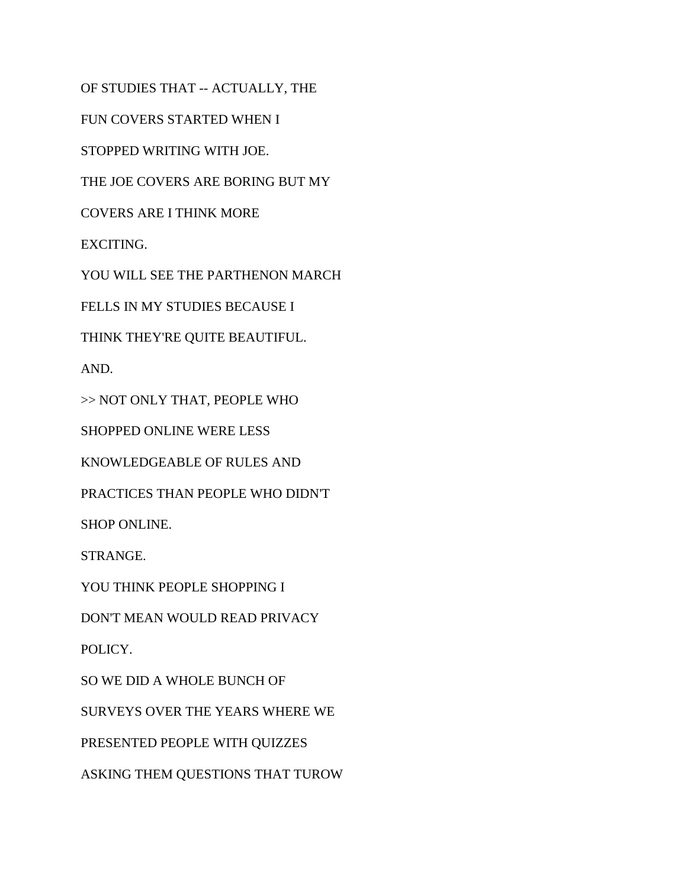OF STUDIES THAT -- ACTUALLY, THE

FUN COVERS STARTED WHEN I

STOPPED WRITING WITH JOE.

THE JOE COVERS ARE BORING BUT MY

COVERS ARE I THINK MORE

EXCITING.

YOU WILL SEE THE PARTHENON MARCH

FELLS IN MY STUDIES BECAUSE I

THINK THEY'RE QUITE BEAUTIFUL.

AND.

>> NOT ONLY THAT, PEOPLE WHO

SHOPPED ONLINE WERE LESS

KNOWLEDGEABLE OF RULES AND

PRACTICES THAN PEOPLE WHO DIDN'T

SHOP ONLINE.

STRANGE.

YOU THINK PEOPLE SHOPPING I

DON'T MEAN WOULD READ PRIVACY

POLICY.

SO WE DID A WHOLE BUNCH OF

SURVEYS OVER THE YEARS WHERE WE

PRESENTED PEOPLE WITH QUIZZES

ASKING THEM QUESTIONS THAT TUROW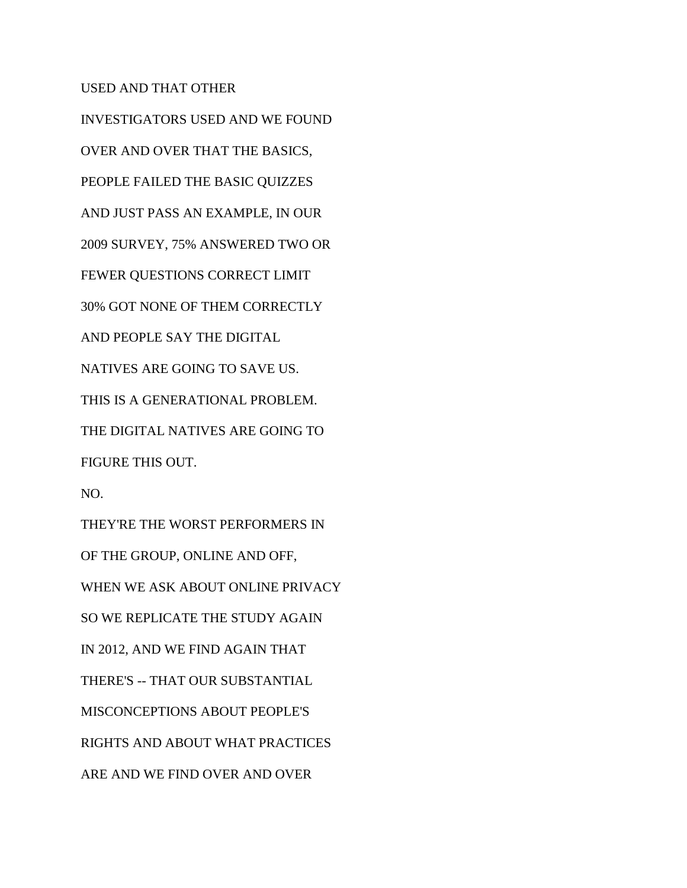## USED AND THAT OTHER

INVESTIGATORS USED AND WE FOUND OVER AND OVER THAT THE BASICS, PEOPLE FAILED THE BASIC QUIZZES AND JUST PASS AN EXAMPLE, IN OUR 2009 SURVEY, 75% ANSWERED TWO OR FEWER QUESTIONS CORRECT LIMIT 30% GOT NONE OF THEM CORRECTLY AND PEOPLE SAY THE DIGITAL NATIVES ARE GOING TO SAVE US. THIS IS A GENERATIONAL PROBLEM. THE DIGITAL NATIVES ARE GOING TO FIGURE THIS OUT. NO. THEY'RE THE WORST PERFORMERS IN OF THE GROUP, ONLINE AND OFF, WHEN WE ASK ABOUT ONLINE PRIVACY SO WE REPLICATE THE STUDY AGAIN IN 2012, AND WE FIND AGAIN THAT THERE'S -- THAT OUR SUBSTANTIAL MISCONCEPTIONS ABOUT PEOPLE'S RIGHTS AND ABOUT WHAT PRACTICES

ARE AND WE FIND OVER AND OVER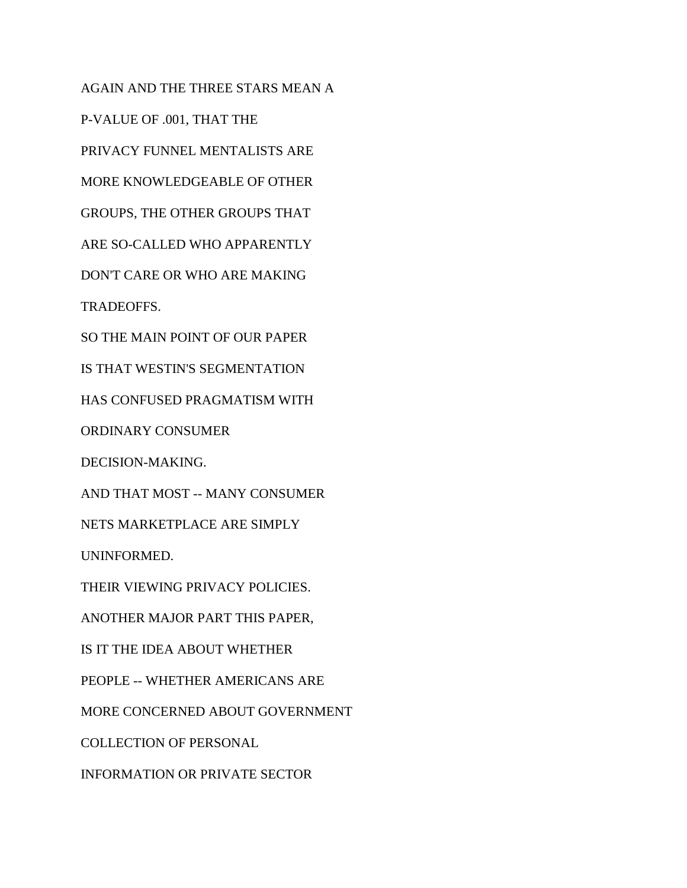AGAIN AND THE THREE STARS MEAN A P-VALUE OF .001, THAT THE PRIVACY FUNNEL MENTALISTS ARE MORE KNOWLEDGEABLE OF OTHER GROUPS, THE OTHER GROUPS THAT ARE SO-CALLED WHO APPARENTLY DON'T CARE OR WHO ARE MAKING TRADEOFFS. SO THE MAIN POINT OF OUR PAPER IS THAT WESTIN'S SEGMENTATION HAS CONFUSED PRAGMATISM WITH ORDINARY CONSUMER DECISION-MAKING. AND THAT MOST -- MANY CONSUMER NETS MARKETPLACE ARE SIMPLY UNINFORMED. THEIR VIEWING PRIVACY POLICIES. ANOTHER MAJOR PART THIS PAPER, IS IT THE IDEA ABOUT WHETHER PEOPLE -- WHETHER AMERICANS ARE MORE CONCERNED ABOUT GOVERNMENT COLLECTION OF PERSONAL

INFORMATION OR PRIVATE SECTOR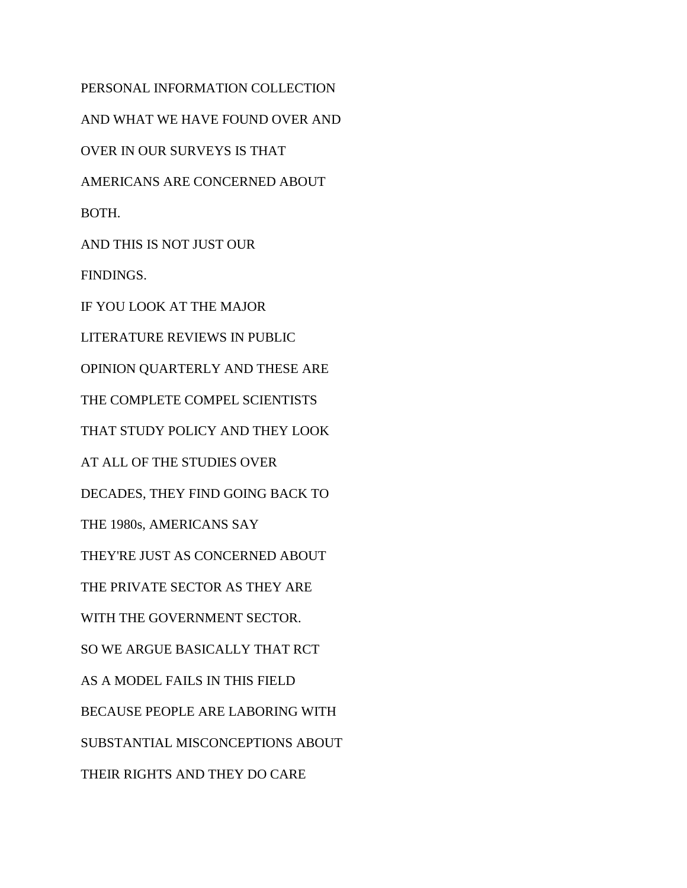PERSONAL INFORMATION COLLECTION AND WHAT WE HAVE FOUND OVER AND OVER IN OUR SURVEYS IS THAT AMERICANS ARE CONCERNED ABOUT BOTH. AND THIS IS NOT JUST OUR FINDINGS. IF YOU LOOK AT THE MAJOR LITERATURE REVIEWS IN PUBLIC OPINION QUARTERLY AND THESE ARE THE COMPLETE COMPEL SCIENTISTS THAT STUDY POLICY AND THEY LOOK AT ALL OF THE STUDIES OVER DECADES, THEY FIND GOING BACK TO THE 1980s, AMERICANS SAY THEY'RE JUST AS CONCERNED ABOUT THE PRIVATE SECTOR AS THEY ARE WITH THE GOVERNMENT SECTOR. SO WE ARGUE BASICALLY THAT RCT AS A MODEL FAILS IN THIS FIELD BECAUSE PEOPLE ARE LABORING WITH SUBSTANTIAL MISCONCEPTIONS ABOUT THEIR RIGHTS AND THEY DO CARE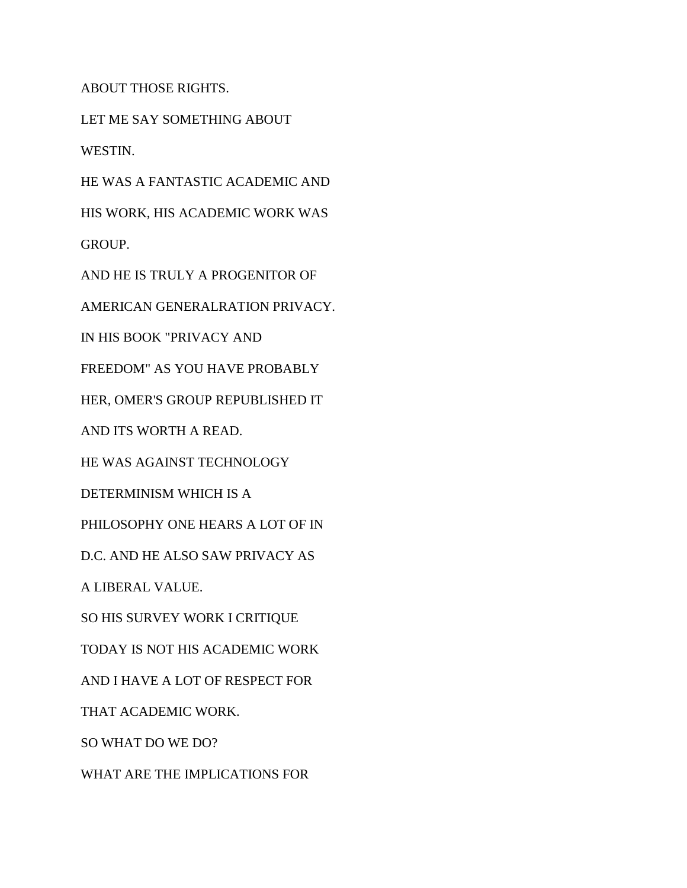ABOUT THOSE RIGHTS.

LET ME SAY SOMETHING ABOUT WESTIN.

HE WAS A FANTASTIC ACADEMIC AND

HIS WORK, HIS ACADEMIC WORK WAS

GROUP.

AND HE IS TRULY A PROGENITOR OF

AMERICAN GENERALRATION PRIVACY.

IN HIS BOOK "PRIVACY AND

FREEDOM" AS YOU HAVE PROBABLY

HER, OMER'S GROUP REPUBLISHED IT

AND ITS WORTH A READ.

HE WAS AGAINST TECHNOLOGY

DETERMINISM WHICH IS A

PHILOSOPHY ONE HEARS A LOT OF IN

D.C. AND HE ALSO SAW PRIVACY AS

A LIBERAL VALUE.

SO HIS SURVEY WORK I CRITIQUE

TODAY IS NOT HIS ACADEMIC WORK

AND I HAVE A LOT OF RESPECT FOR

THAT ACADEMIC WORK.

SO WHAT DO WE DO?

WHAT ARE THE IMPLICATIONS FOR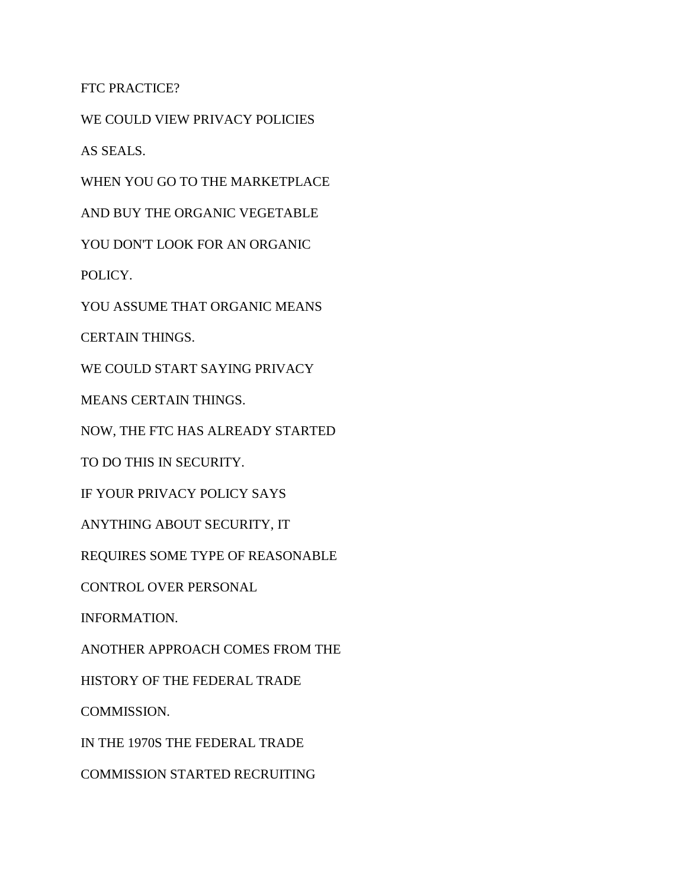FTC PRACTICE?

WE COULD VIEW PRIVACY POLICIES

AS SEALS.

WHEN YOU GO TO THE MARKETPLACE

AND BUY THE ORGANIC VEGETABLE

YOU DON'T LOOK FOR AN ORGANIC

POLICY.

YOU ASSUME THAT ORGANIC MEANS

CERTAIN THINGS.

WE COULD START SAYING PRIVACY

MEANS CERTAIN THINGS.

NOW, THE FTC HAS ALREADY STARTED

TO DO THIS IN SECURITY.

IF YOUR PRIVACY POLICY SAYS

ANYTHING ABOUT SECURITY, IT

REQUIRES SOME TYPE OF REASONABLE

CONTROL OVER PERSONAL

INFORMATION.

ANOTHER APPROACH COMES FROM THE

HISTORY OF THE FEDERAL TRADE

COMMISSION.

IN THE 1970S THE FEDERAL TRADE

COMMISSION STARTED RECRUITING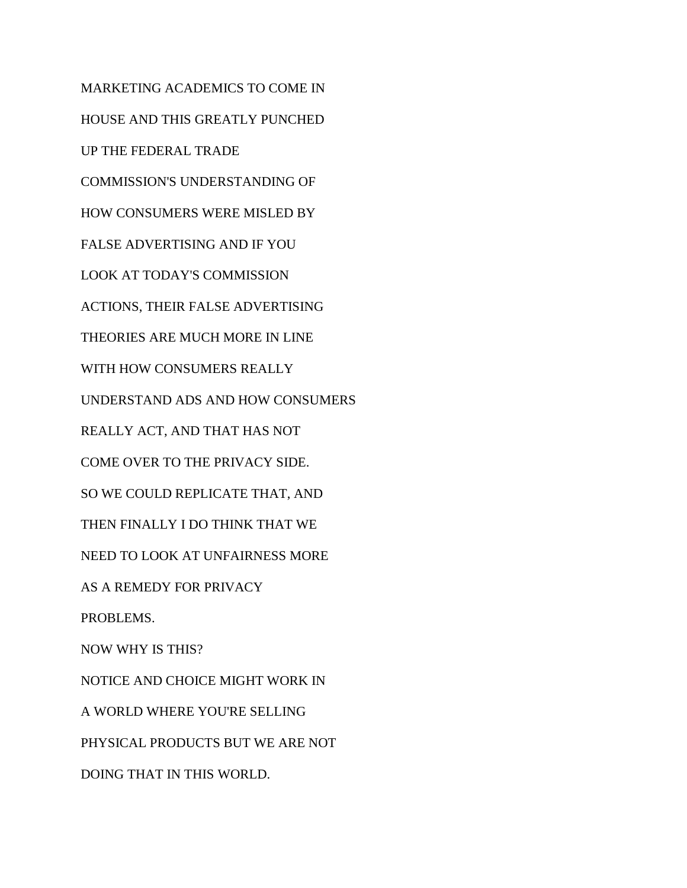MARKETING ACADEMICS TO COME IN HOUSE AND THIS GREATLY PUNCHED UP THE FEDERAL TRADE COMMISSION'S UNDERSTANDING OF HOW CONSUMERS WERE MISLED BY FALSE ADVERTISING AND IF YOU LOOK AT TODAY'S COMMISSION ACTIONS, THEIR FALSE ADVERTISING THEORIES ARE MUCH MORE IN LINE WITH HOW CONSUMERS REALLY UNDERSTAND ADS AND HOW CONSUMERS REALLY ACT, AND THAT HAS NOT COME OVER TO THE PRIVACY SIDE. SO WE COULD REPLICATE THAT, AND THEN FINALLY I DO THINK THAT WE NEED TO LOOK AT UNFAIRNESS MORE AS A REMEDY FOR PRIVACY PROBLEMS. NOW WHY IS THIS? NOTICE AND CHOICE MIGHT WORK IN A WORLD WHERE YOU'RE SELLING PHYSICAL PRODUCTS BUT WE ARE NOT DOING THAT IN THIS WORLD.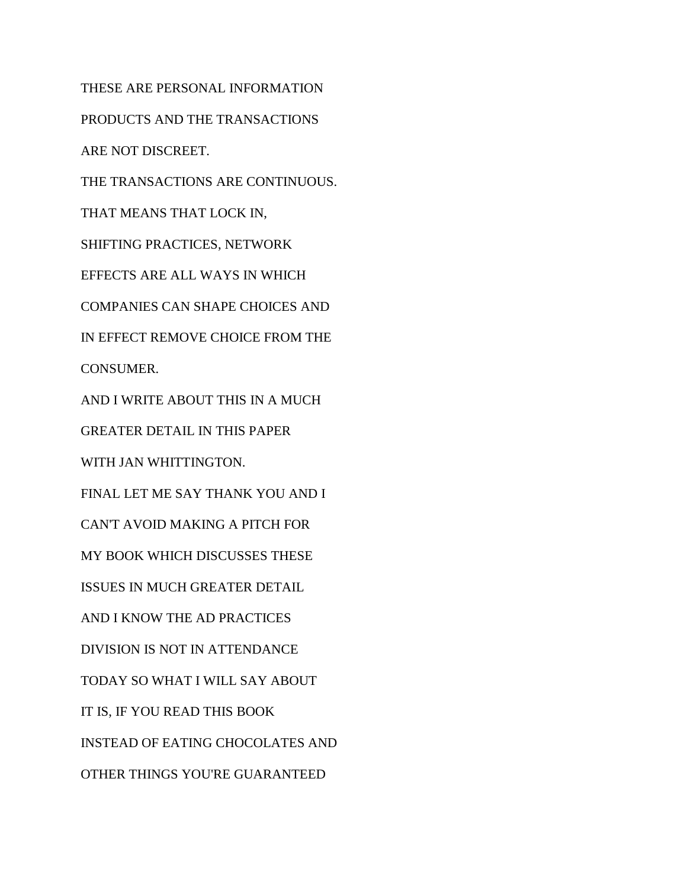THESE ARE PERSONAL INFORMATION PRODUCTS AND THE TRANSACTIONS ARE NOT DISCREET. THE TRANSACTIONS ARE CONTINUOUS. THAT MEANS THAT LOCK IN, SHIFTING PRACTICES, NETWORK EFFECTS ARE ALL WAYS IN WHICH COMPANIES CAN SHAPE CHOICES AND IN EFFECT REMOVE CHOICE FROM THE CONSUMER. AND I WRITE ABOUT THIS IN A MUCH GREATER DETAIL IN THIS PAPER WITH JAN WHITTINGTON. FINAL LET ME SAY THANK YOU AND I CAN'T AVOID MAKING A PITCH FOR MY BOOK WHICH DISCUSSES THESE ISSUES IN MUCH GREATER DETAIL AND I KNOW THE AD PRACTICES DIVISION IS NOT IN ATTENDANCE TODAY SO WHAT I WILL SAY ABOUT IT IS, IF YOU READ THIS BOOK INSTEAD OF EATING CHOCOLATES AND OTHER THINGS YOU'RE GUARANTEED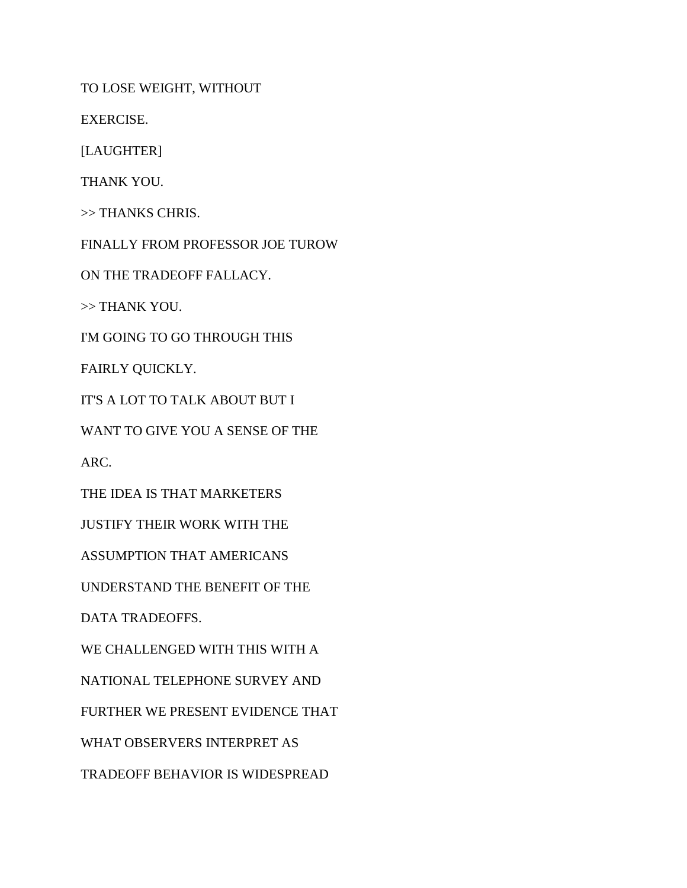TO LOSE WEIGHT, WITHOUT

EXERCISE.

[LAUGHTER]

THANK YOU.

>> THANKS CHRIS.

FINALLY FROM PROFESSOR JOE TUROW

ON THE TRADEOFF FALLACY.

>> THANK YOU.

I'M GOING TO GO THROUGH THIS

FAIRLY QUICKLY.

IT'S A LOT TO TALK ABOUT BUT I

WANT TO GIVE YOU A SENSE OF THE

ARC.

THE IDEA IS THAT MARKETERS

JUSTIFY THEIR WORK WITH THE

ASSUMPTION THAT AMERICANS

UNDERSTAND THE BENEFIT OF THE

DATA TRADEOFFS.

WE CHALLENGED WITH THIS WITH A

NATIONAL TELEPHONE SURVEY AND

FURTHER WE PRESENT EVIDENCE THAT

WHAT OBSERVERS INTERPRET AS

TRADEOFF BEHAVIOR IS WIDESPREAD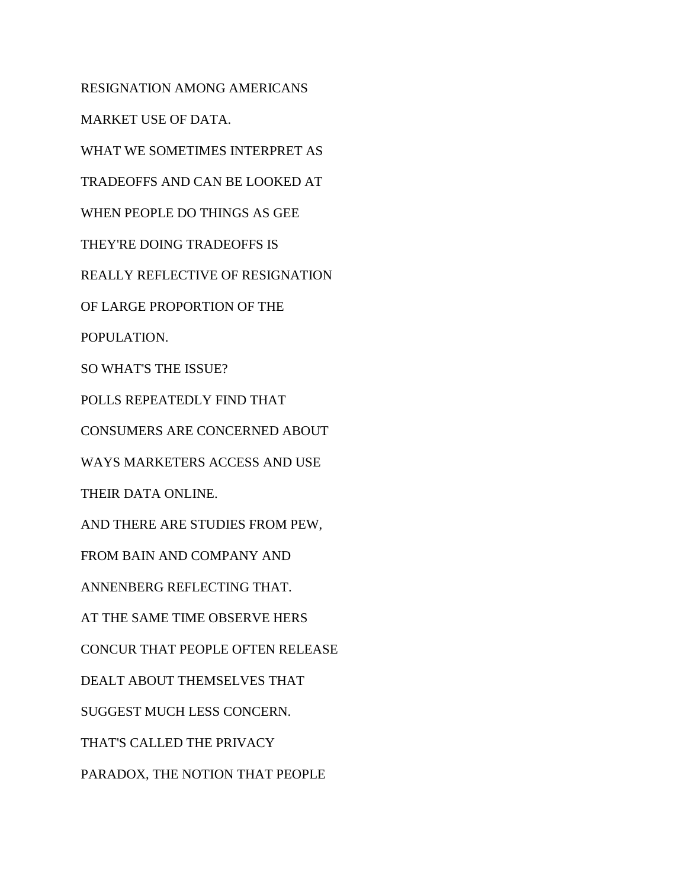RESIGNATION AMONG AMERICANS MARKET USE OF DATA. WHAT WE SOMETIMES INTERPRET AS TRADEOFFS AND CAN BE LOOKED AT WHEN PEOPLE DO THINGS AS GEE THEY'RE DOING TRADEOFFS IS REALLY REFLECTIVE OF RESIGNATION OF LARGE PROPORTION OF THE POPULATION. SO WHAT'S THE ISSUE? POLLS REPEATEDLY FIND THAT CONSUMERS ARE CONCERNED ABOUT WAYS MARKETERS ACCESS AND USE THEIR DATA ONLINE. AND THERE ARE STUDIES FROM PEW, FROM BAIN AND COMPANY AND ANNENBERG REFLECTING THAT. AT THE SAME TIME OBSERVE HERS CONCUR THAT PEOPLE OFTEN RELEASE DEALT ABOUT THEMSELVES THAT SUGGEST MUCH LESS CONCERN. THAT'S CALLED THE PRIVACY PARADOX, THE NOTION THAT PEOPLE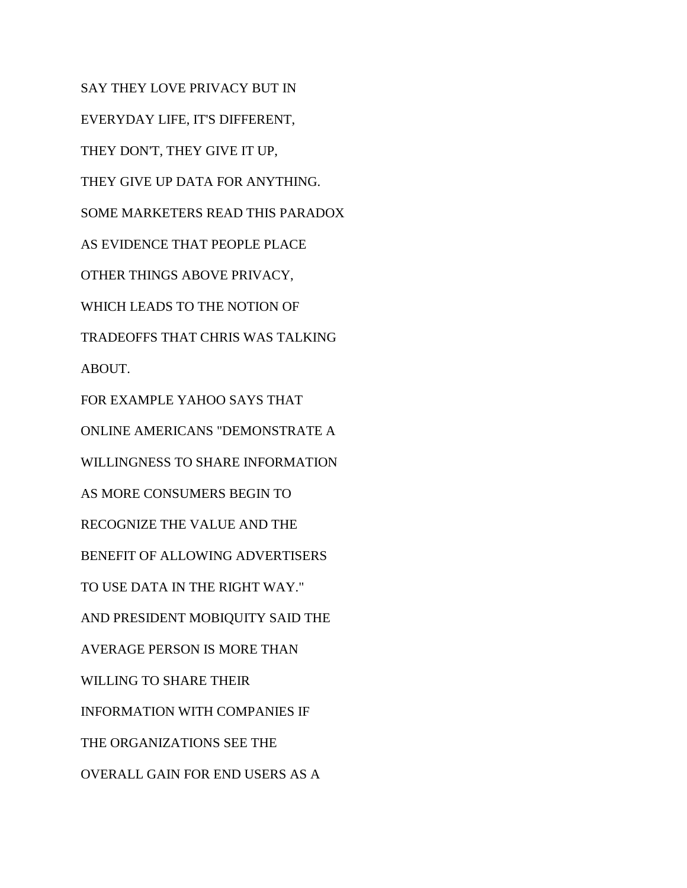SAY THEY LOVE PRIVACY BUT IN EVERYDAY LIFE, IT'S DIFFERENT, THEY DON'T, THEY GIVE IT UP, THEY GIVE UP DATA FOR ANYTHING. SOME MARKETERS READ THIS PARADOX AS EVIDENCE THAT PEOPLE PLACE OTHER THINGS ABOVE PRIVACY, WHICH LEADS TO THE NOTION OF TRADEOFFS THAT CHRIS WAS TALKING ABOUT. FOR EXAMPLE YAHOO SAYS THAT ONLINE AMERICANS "DEMONSTRATE A WILLINGNESS TO SHARE INFORMATION AS MORE CONSUMERS BEGIN TO RECOGNIZE THE VALUE AND THE BENEFIT OF ALLOWING ADVERTISERS TO USE DATA IN THE RIGHT WAY." AND PRESIDENT MOBIQUITY SAID THE AVERAGE PERSON IS MORE THAN WILLING TO SHARE THEIR INFORMATION WITH COMPANIES IF THE ORGANIZATIONS SEE THE OVERALL GAIN FOR END USERS AS A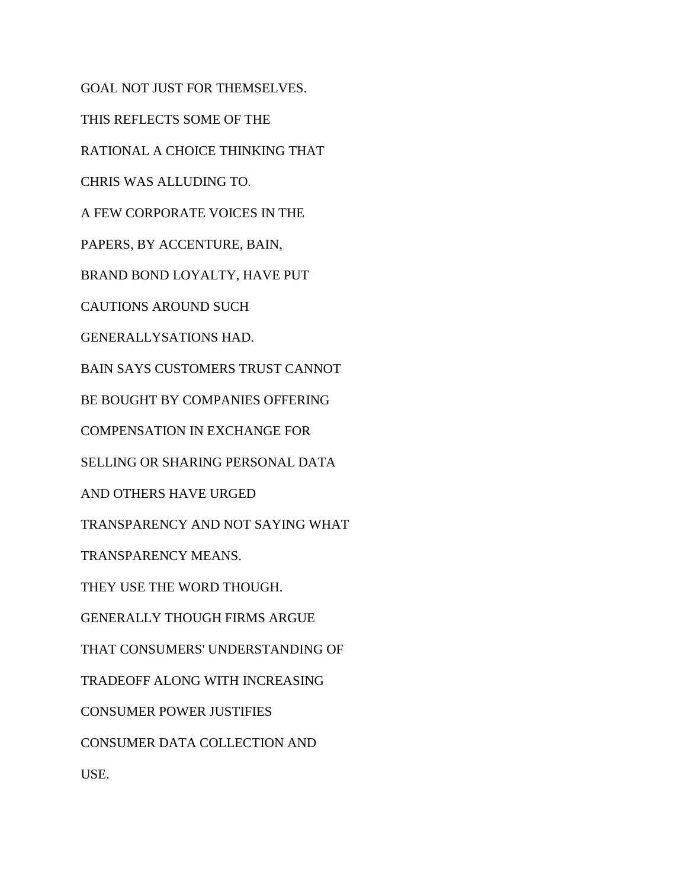GOAL NOT JUST FOR THEMSELVES. THIS REFLECTS SOME OF THE RATIONAL A CHOICE THINKING THAT CHRIS WAS ALLUDING TO. A FEW CORPORATE VOICES IN THE PAPERS, BY ACCENTURE, BAIN, BRAND BOND LOYALTY, HAVE PUT CAUTIONS AROUND SUCH GENERALLYSATIONS HAD. BAIN SAYS CUSTOMERS TRUST CANNOT BE BOUGHT BY COMPANIES OFFERING COMPENSATION IN EXCHANGE FOR SELLING OR SHARING PERSONAL DATA AND OTHERS HAVE URGED TRANSPARENCY AND NOT SAYING WHAT TRANSPARENCY MEANS. THEY USE THE WORD THOUGH. GENERALLY THOUGH FIRMS ARGUE THAT CONSUMERS' UNDERSTANDING OF TRADEOFF ALONG WITH INCREASING CONSUMER POWER JUSTIFIES CONSUMER DATA COLLECTION AND USE.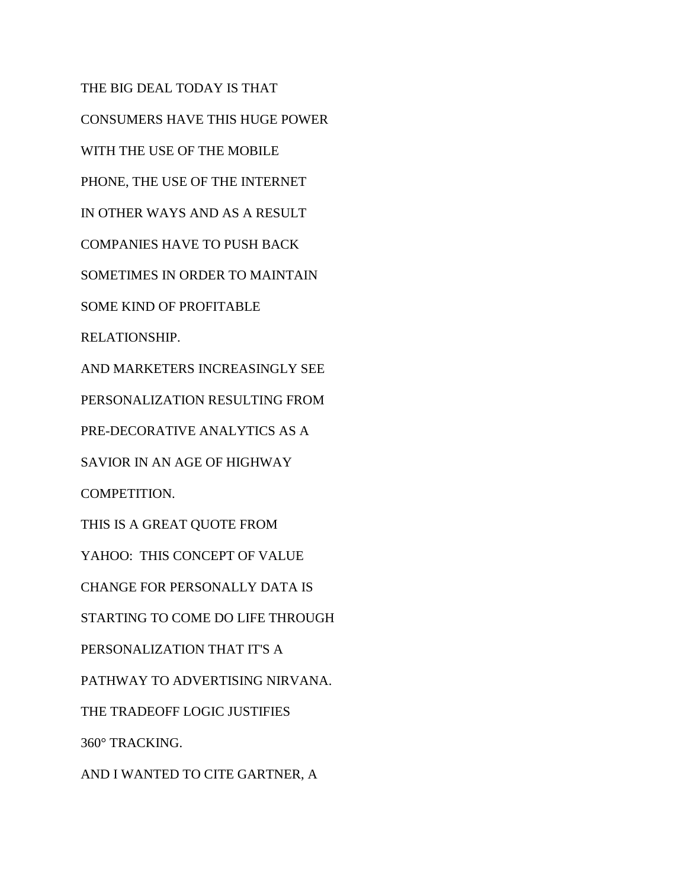THE BIG DEAL TODAY IS THAT CONSUMERS HAVE THIS HUGE POWER WITH THE USE OF THE MOBILE PHONE, THE USE OF THE INTERNET IN OTHER WAYS AND AS A RESULT COMPANIES HAVE TO PUSH BACK SOMETIMES IN ORDER TO MAINTAIN SOME KIND OF PROFITABLE RELATIONSHIP. AND MARKETERS INCREASINGLY SEE PERSONALIZATION RESULTING FROM PRE-DECORATIVE ANALYTICS AS A SAVIOR IN AN AGE OF HIGHWAY COMPETITION. THIS IS A GREAT QUOTE FROM YAHOO: THIS CONCEPT OF VALUE CHANGE FOR PERSONALLY DATA IS STARTING TO COME DO LIFE THROUGH PERSONALIZATION THAT IT'S A PATHWAY TO ADVERTISING NIRVANA. THE TRADEOFF LOGIC JUSTIFIES 360° TRACKING. AND I WANTED TO CITE GARTNER, A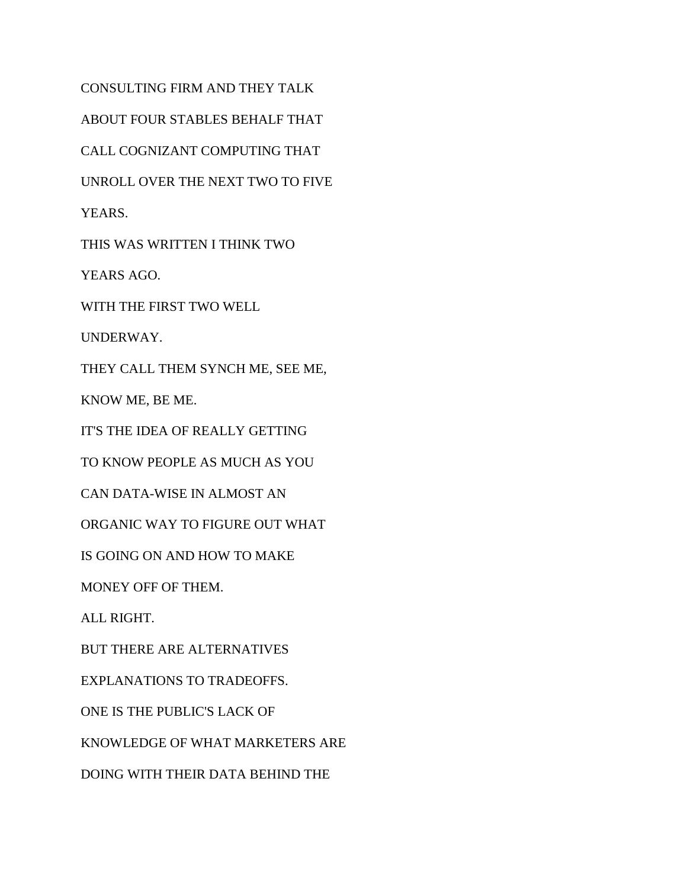CONSULTING FIRM AND THEY TALK ABOUT FOUR STABLES BEHALF THAT CALL COGNIZANT COMPUTING THAT UNROLL OVER THE NEXT TWO TO FIVE YEARS. THIS WAS WRITTEN I THINK TWO YEARS AGO. WITH THE FIRST TWO WELL UNDERWAY. THEY CALL THEM SYNCH ME, SEE ME, KNOW ME, BE ME. IT'S THE IDEA OF REALLY GETTING TO KNOW PEOPLE AS MUCH AS YOU CAN DATA-WISE IN ALMOST AN ORGANIC WAY TO FIGURE OUT WHAT IS GOING ON AND HOW TO MAKE MONEY OFF OF THEM. ALL RIGHT. BUT THERE ARE ALTERNATIVES EXPLANATIONS TO TRADEOFFS. ONE IS THE PUBLIC'S LACK OF KNOWLEDGE OF WHAT MARKETERS ARE DOING WITH THEIR DATA BEHIND THE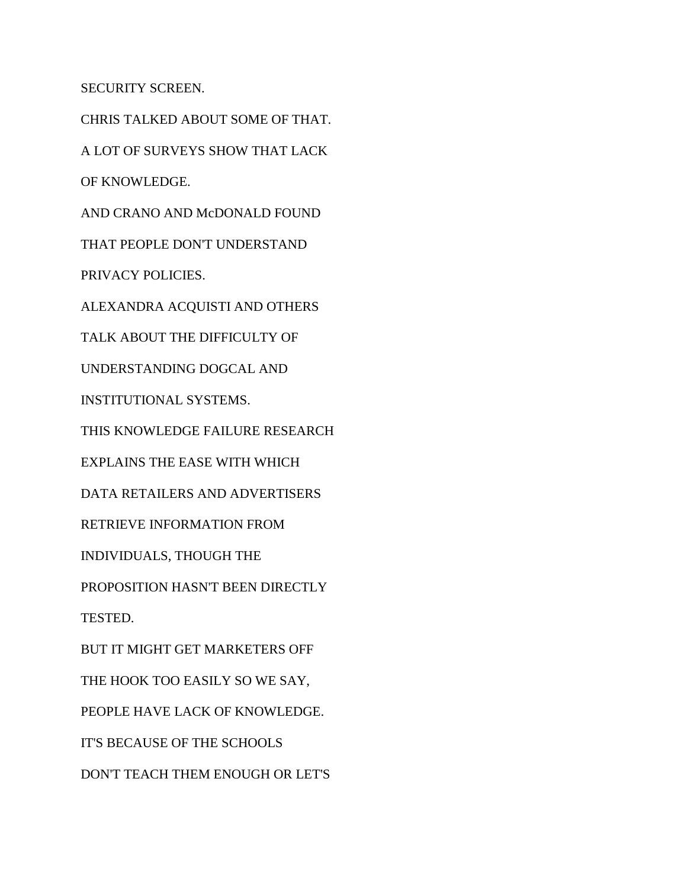SECURITY SCREEN.

CHRIS TALKED ABOUT SOME OF THAT. A LOT OF SURVEYS SHOW THAT LACK OF KNOWLEDGE. AND CRANO AND McDONALD FOUND THAT PEOPLE DON'T UNDERSTAND PRIVACY POLICIES. ALEXANDRA ACQUISTI AND OTHERS TALK ABOUT THE DIFFICULTY OF UNDERSTANDING DOGCAL AND INSTITUTIONAL SYSTEMS. THIS KNOWLEDGE FAILURE RESEARCH EXPLAINS THE EASE WITH WHICH DATA RETAILERS AND ADVERTISERS RETRIEVE INFORMATION FROM INDIVIDUALS, THOUGH THE PROPOSITION HASN'T BEEN DIRECTLY TESTED. BUT IT MIGHT GET MARKETERS OFF THE HOOK TOO EASILY SO WE SAY, PEOPLE HAVE LACK OF KNOWLEDGE. IT'S BECAUSE OF THE SCHOOLS DON'T TEACH THEM ENOUGH OR LET'S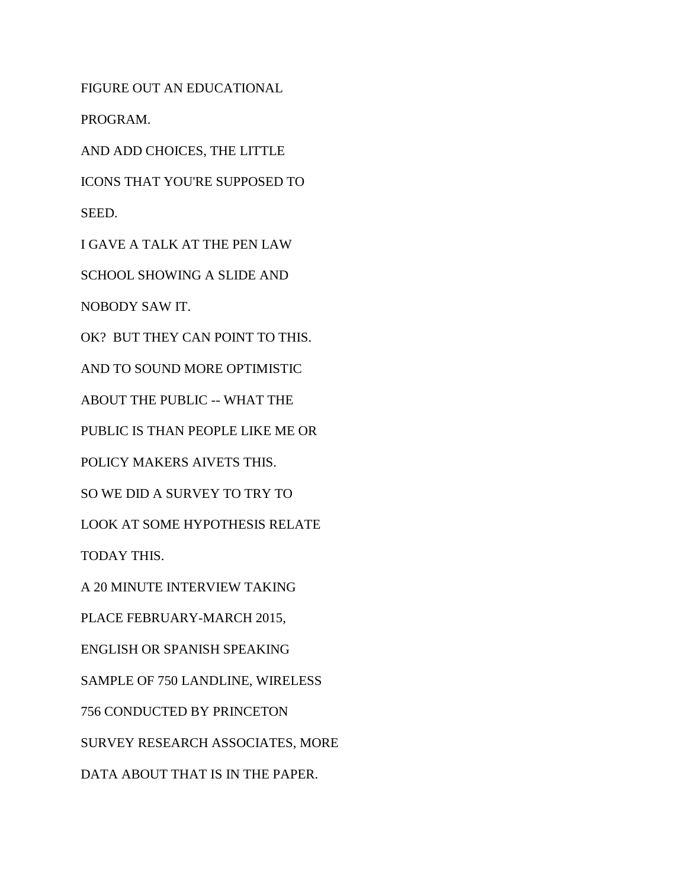FIGURE OUT AN EDUCATIONAL

PROGRAM.

AND ADD CHOICES, THE LITTLE

ICONS THAT YOU'RE SUPPOSED TO SEED.

I GAVE A TALK AT THE PEN LAW

SCHOOL SHOWING A SLIDE AND

NOBODY SAW IT.

OK? BUT THEY CAN POINT TO THIS.

AND TO SOUND MORE OPTIMISTIC

ABOUT THE PUBLIC -- WHAT THE

PUBLIC IS THAN PEOPLE LIKE ME OR

POLICY MAKERS AIVETS THIS.

SO WE DID A SURVEY TO TRY TO

LOOK AT SOME HYPOTHESIS RELATE

TODAY THIS.

A 20 MINUTE INTERVIEW TAKING

PLACE FEBRUARY-MARCH 2015,

ENGLISH OR SPANISH SPEAKING

SAMPLE OF 750 LANDLINE, WIRELESS

756 CONDUCTED BY PRINCETON

SURVEY RESEARCH ASSOCIATES, MORE

DATA ABOUT THAT IS IN THE PAPER.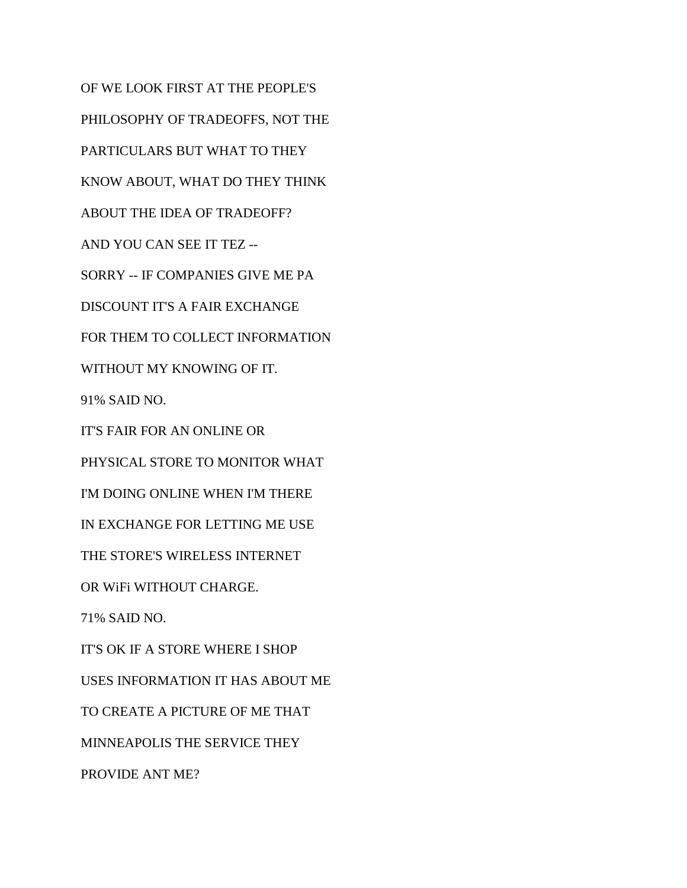OF WE LOOK FIRST AT THE PEOPLE'S PHILOSOPHY OF TRADEOFFS, NOT THE PARTICULARS BUT WHAT TO THEY KNOW ABOUT, WHAT DO THEY THINK ABOUT THE IDEA OF TRADEOFF? AND YOU CAN SEE IT TEZ -- SORRY -- IF COMPANIES GIVE ME PA DISCOUNT IT'S A FAIR EXCHANGE FOR THEM TO COLLECT INFORMATION WITHOUT MY KNOWING OF IT. 91% SAID NO. IT'S FAIR FOR AN ONLINE OR PHYSICAL STORE TO MONITOR WHAT I'M DOING ONLINE WHEN I'M THERE IN EXCHANGE FOR LETTING ME USE THE STORE'S WIRELESS INTERNET OR WiFi WITHOUT CHARGE. 71% SAID NO. IT'S OK IF A STORE WHERE I SHOP USES INFORMATION IT HAS ABOUT ME TO CREATE A PICTURE OF ME THAT MINNEAPOLIS THE SERVICE THEY PROVIDE ANT ME?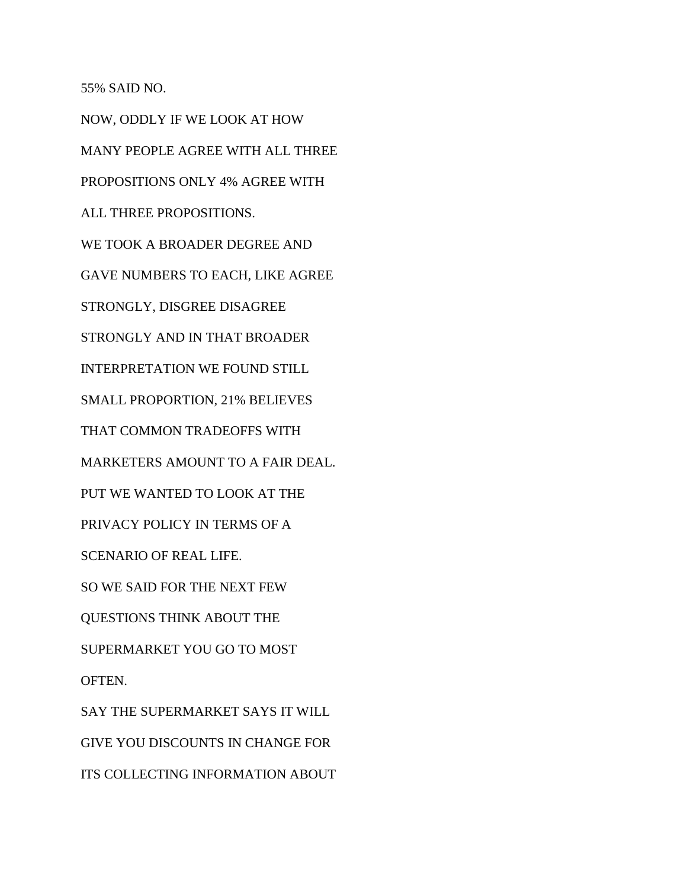55% SAID NO.

NOW, ODDLY IF WE LOOK AT HOW MANY PEOPLE AGREE WITH ALL THREE PROPOSITIONS ONLY 4% AGREE WITH ALL THREE PROPOSITIONS. WE TOOK A BROADER DEGREE AND GAVE NUMBERS TO EACH, LIKE AGREE STRONGLY, DISGREE DISAGREE STRONGLY AND IN THAT BROADER INTERPRETATION WE FOUND STILL SMALL PROPORTION, 21% BELIEVES THAT COMMON TRADEOFFS WITH MARKETERS AMOUNT TO A FAIR DEAL. PUT WE WANTED TO LOOK AT THE PRIVACY POLICY IN TERMS OF A SCENARIO OF REAL LIFE. SO WE SAID FOR THE NEXT FEW QUESTIONS THINK ABOUT THE SUPERMARKET YOU GO TO MOST OFTEN. SAY THE SUPERMARKET SAYS IT WILL GIVE YOU DISCOUNTS IN CHANGE FOR ITS COLLECTING INFORMATION ABOUT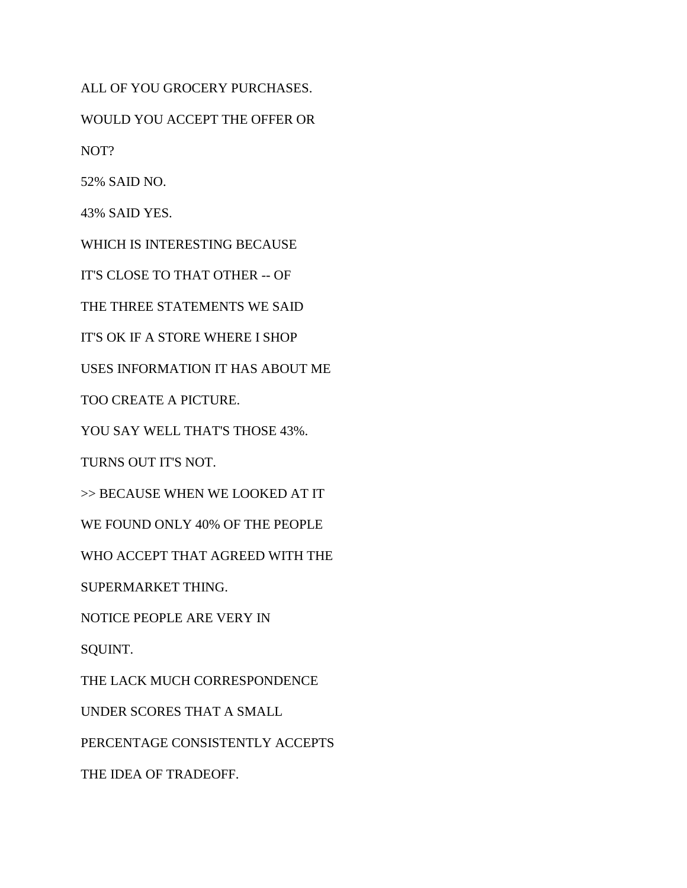ALL OF YOU GROCERY PURCHASES.

WOULD YOU ACCEPT THE OFFER OR

NOT?

52% SAID NO.

43% SAID YES.

WHICH IS INTERESTING BECAUSE

IT'S CLOSE TO THAT OTHER -- OF

THE THREE STATEMENTS WE SAID

IT'S OK IF A STORE WHERE I SHOP

USES INFORMATION IT HAS ABOUT ME

TOO CREATE A PICTURE.

YOU SAY WELL THAT'S THOSE 43%.

TURNS OUT IT'S NOT.

>> BECAUSE WHEN WE LOOKED AT IT

WE FOUND ONLY 40% OF THE PEOPLE

WHO ACCEPT THAT AGREED WITH THE

SUPERMARKET THING.

NOTICE PEOPLE ARE VERY IN

SQUINT.

THE LACK MUCH CORRESPONDENCE

UNDER SCORES THAT A SMALL

PERCENTAGE CONSISTENTLY ACCEPTS

THE IDEA OF TRADEOFF.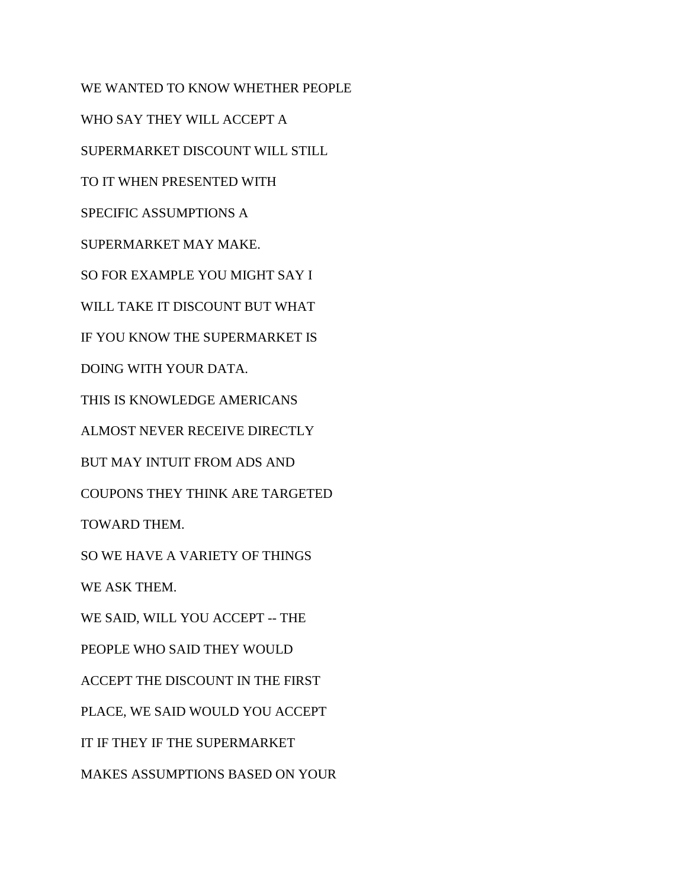WE WANTED TO KNOW WHETHER PEOPLE WHO SAY THEY WILL ACCEPT A SUPERMARKET DISCOUNT WILL STILL TO IT WHEN PRESENTED WITH SPECIFIC ASSUMPTIONS A SUPERMARKET MAY MAKE. SO FOR EXAMPLE YOU MIGHT SAY I WILL TAKE IT DISCOUNT BUT WHAT IF YOU KNOW THE SUPERMARKET IS DOING WITH YOUR DATA. THIS IS KNOWLEDGE AMERICANS ALMOST NEVER RECEIVE DIRECTLY BUT MAY INTUIT FROM ADS AND COUPONS THEY THINK ARE TARGETED TOWARD THEM. SO WE HAVE A VARIETY OF THINGS WE ASK THEM. WE SAID, WILL YOU ACCEPT -- THE PEOPLE WHO SAID THEY WOULD ACCEPT THE DISCOUNT IN THE FIRST PLACE, WE SAID WOULD YOU ACCEPT IT IF THEY IF THE SUPERMARKET MAKES ASSUMPTIONS BASED ON YOUR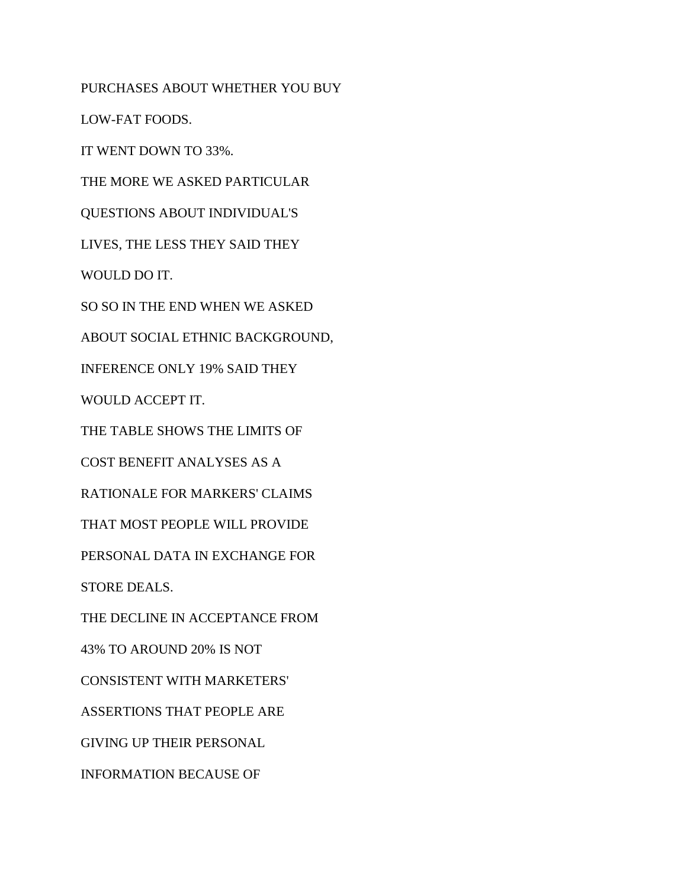PURCHASES ABOUT WHETHER YOU BUY LOW-FAT FOODS. IT WENT DOWN TO 33%. THE MORE WE ASKED PARTICULAR QUESTIONS ABOUT INDIVIDUAL'S LIVES, THE LESS THEY SAID THEY WOULD DO IT. SO SO IN THE END WHEN WE ASKED ABOUT SOCIAL ETHNIC BACKGROUND, INFERENCE ONLY 19% SAID THEY WOULD ACCEPT IT. THE TABLE SHOWS THE LIMITS OF COST BENEFIT ANALYSES AS A RATIONALE FOR MARKERS' CLAIMS THAT MOST PEOPLE WILL PROVIDE PERSONAL DATA IN EXCHANGE FOR STORE DEALS. THE DECLINE IN ACCEPTANCE FROM 43% TO AROUND 20% IS NOT CONSISTENT WITH MARKETERS' ASSERTIONS THAT PEOPLE ARE GIVING UP THEIR PERSONAL INFORMATION BECAUSE OF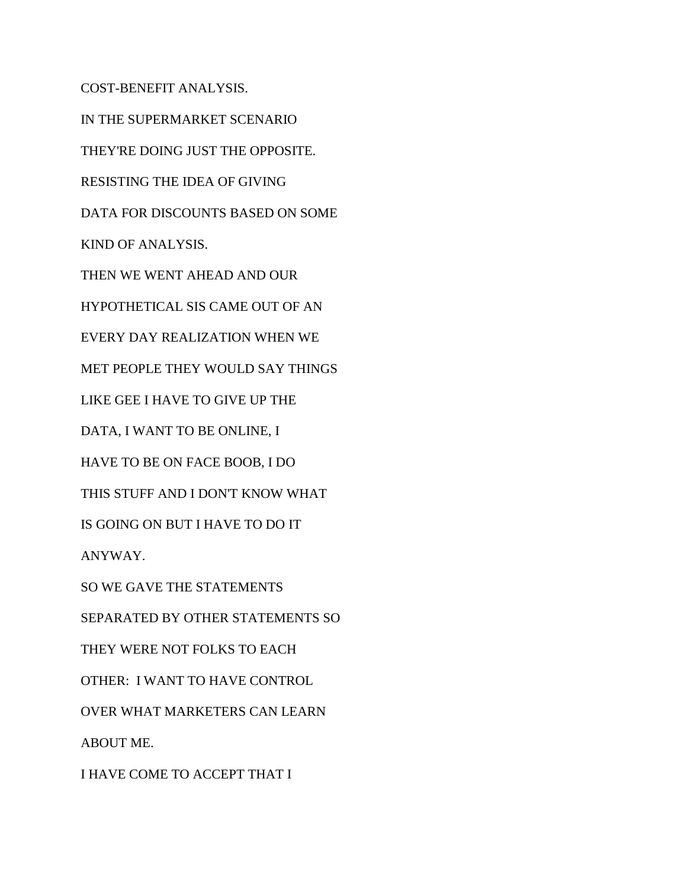COST-BENEFIT ANALYSIS. IN THE SUPERMARKET SCENARIO THEY'RE DOING JUST THE OPPOSITE. RESISTING THE IDEA OF GIVING DATA FOR DISCOUNTS BASED ON SOME KIND OF ANALYSIS. THEN WE WENT AHEAD AND OUR HYPOTHETICAL SIS CAME OUT OF AN EVERY DAY REALIZATION WHEN WE MET PEOPLE THEY WOULD SAY THINGS LIKE GEE I HAVE TO GIVE UP THE DATA, I WANT TO BE ONLINE, I HAVE TO BE ON FACE BOOB, I DO THIS STUFF AND I DON'T KNOW WHAT IS GOING ON BUT I HAVE TO DO IT ANYWAY. SO WE GAVE THE STATEMENTS SEPARATED BY OTHER STATEMENTS SO THEY WERE NOT FOLKS TO EACH OTHER: I WANT TO HAVE CONTROL OVER WHAT MARKETERS CAN LEARN ABOUT ME. I HAVE COME TO ACCEPT THAT I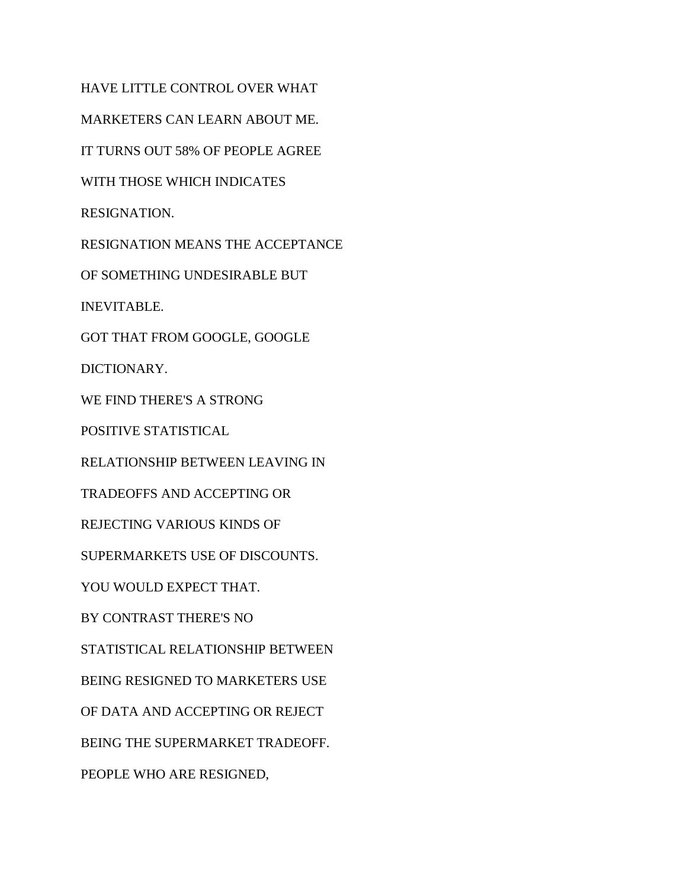HAVE LITTLE CONTROL OVER WHAT MARKETERS CAN LEARN ABOUT ME. IT TURNS OUT 58% OF PEOPLE AGREE WITH THOSE WHICH INDICATES RESIGNATION. RESIGNATION MEANS THE ACCEPTANCE OF SOMETHING UNDESIRABLE BUT INEVITABLE. GOT THAT FROM GOOGLE, GOOGLE DICTIONARY. WE FIND THERE'S A STRONG POSITIVE STATISTICAL RELATIONSHIP BETWEEN LEAVING IN TRADEOFFS AND ACCEPTING OR REJECTING VARIOUS KINDS OF SUPERMARKETS USE OF DISCOUNTS. YOU WOULD EXPECT THAT. BY CONTRAST THERE'S NO STATISTICAL RELATIONSHIP BETWEEN BEING RESIGNED TO MARKETERS USE OF DATA AND ACCEPTING OR REJECT BEING THE SUPERMARKET TRADEOFF. PEOPLE WHO ARE RESIGNED,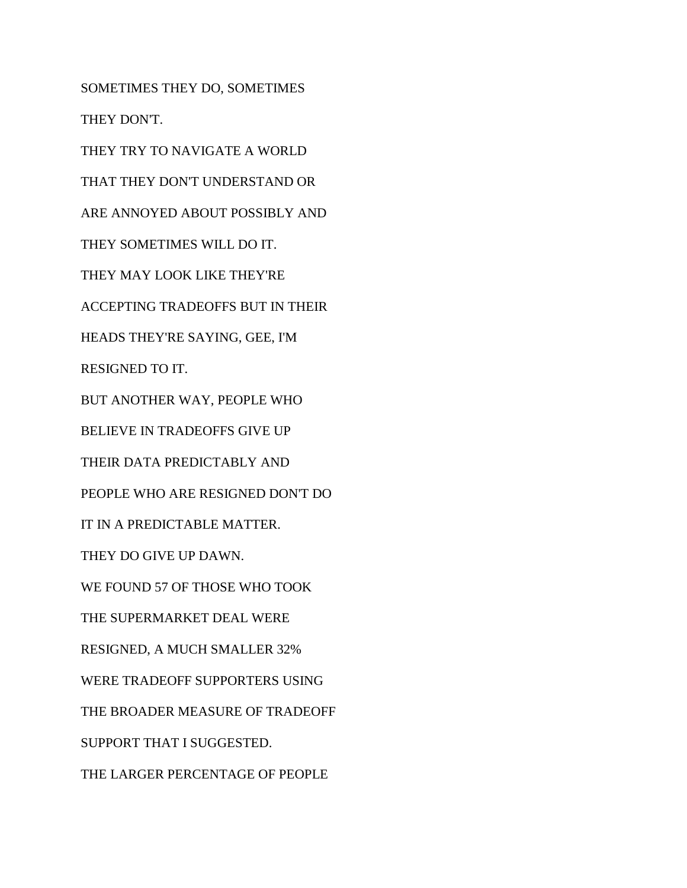SOMETIMES THEY DO, SOMETIMES THEY DON'T. THEY TRY TO NAVIGATE A WORLD THAT THEY DON'T UNDERSTAND OR ARE ANNOYED ABOUT POSSIBLY AND THEY SOMETIMES WILL DO IT. THEY MAY LOOK LIKE THEY'RE ACCEPTING TRADEOFFS BUT IN THEIR HEADS THEY'RE SAYING, GEE, I'M RESIGNED TO IT. BUT ANOTHER WAY, PEOPLE WHO BELIEVE IN TRADEOFFS GIVE UP THEIR DATA PREDICTABLY AND PEOPLE WHO ARE RESIGNED DON'T DO IT IN A PREDICTABLE MATTER. THEY DO GIVE UP DAWN. WE FOUND 57 OF THOSE WHO TOOK THE SUPERMARKET DEAL WERE RESIGNED, A MUCH SMALLER 32% WERE TRADEOFF SUPPORTERS USING THE BROADER MEASURE OF TRADEOFF SUPPORT THAT I SUGGESTED. THE LARGER PERCENTAGE OF PEOPLE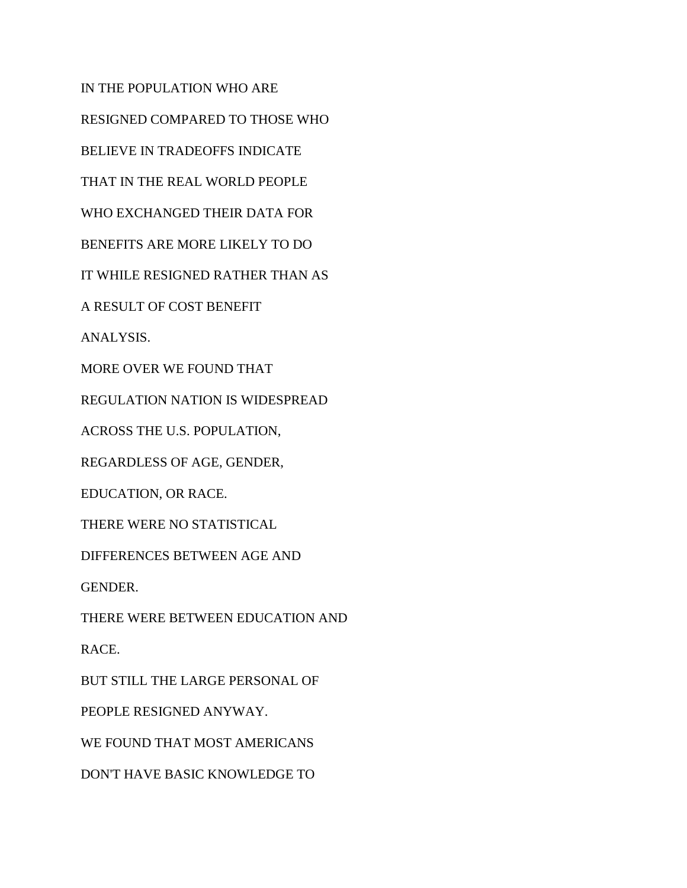IN THE POPULATION WHO ARE RESIGNED COMPARED TO THOSE WHO BELIEVE IN TRADEOFFS INDICATE THAT IN THE REAL WORLD PEOPLE WHO EXCHANGED THEIR DATA FOR BENEFITS ARE MORE LIKELY TO DO IT WHILE RESIGNED RATHER THAN AS A RESULT OF COST BENEFIT ANALYSIS. MORE OVER WE FOUND THAT REGULATION NATION IS WIDESPREAD ACROSS THE U.S. POPULATION, REGARDLESS OF AGE, GENDER, EDUCATION, OR RACE. THERE WERE NO STATISTICAL DIFFERENCES BETWEEN AGE AND GENDER. THERE WERE BETWEEN EDUCATION AND RACE. BUT STILL THE LARGE PERSONAL OF PEOPLE RESIGNED ANYWAY. WE FOUND THAT MOST AMERICANS DON'T HAVE BASIC KNOWLEDGE TO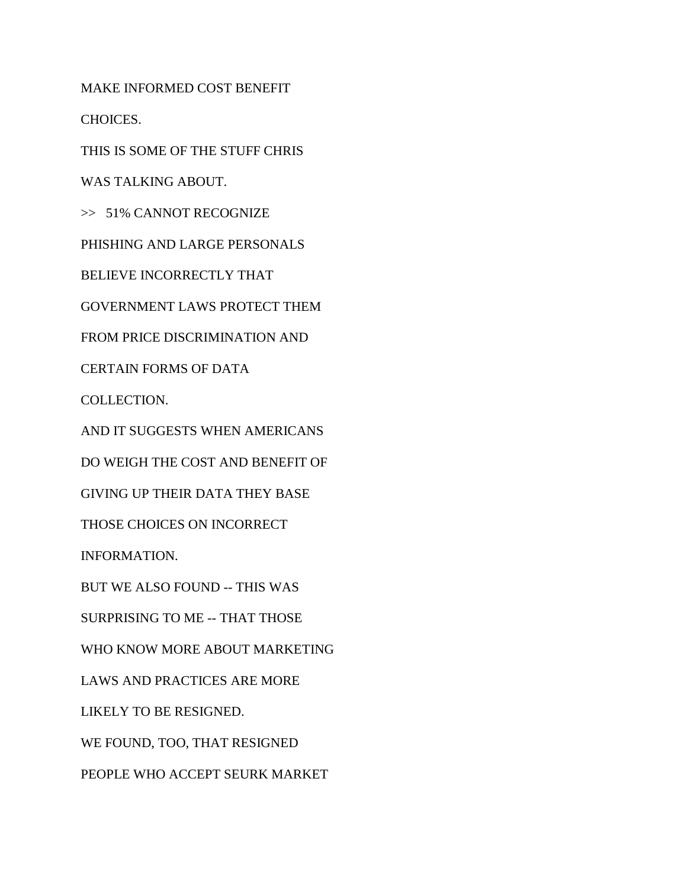MAKE INFORMED COST BENEFIT

CHOICES.

THIS IS SOME OF THE STUFF CHRIS

WAS TALKING ABOUT.

>> 51% CANNOT RECOGNIZE

PHISHING AND LARGE PERSONALS

BELIEVE INCORRECTLY THAT

GOVERNMENT LAWS PROTECT THEM

FROM PRICE DISCRIMINATION AND

CERTAIN FORMS OF DATA

COLLECTION.

AND IT SUGGESTS WHEN AMERICANS

DO WEIGH THE COST AND BENEFIT OF

GIVING UP THEIR DATA THEY BASE

THOSE CHOICES ON INCORRECT

INFORMATION.

BUT WE ALSO FOUND -- THIS WAS

SURPRISING TO ME -- THAT THOSE

WHO KNOW MORE ABOUT MARKETING

LAWS AND PRACTICES ARE MORE

LIKELY TO BE RESIGNED.

WE FOUND, TOO, THAT RESIGNED

PEOPLE WHO ACCEPT SEURK MARKET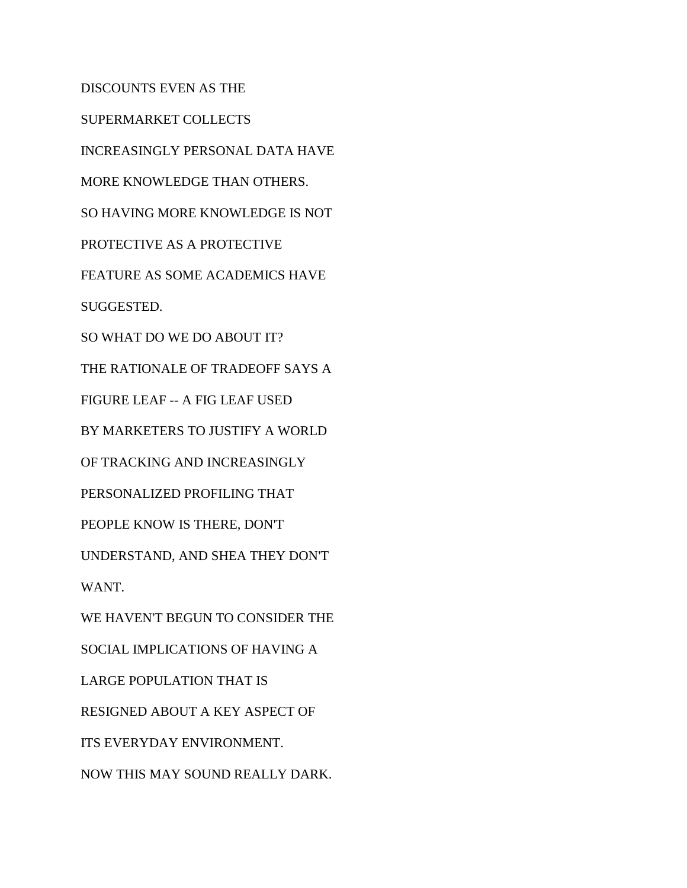DISCOUNTS EVEN AS THE

SUPERMARKET COLLECTS

INCREASINGLY PERSONAL DATA HAVE

MORE KNOWLEDGE THAN OTHERS.

SO HAVING MORE KNOWLEDGE IS NOT

PROTECTIVE AS A PROTECTIVE

FEATURE AS SOME ACADEMICS HAVE

SUGGESTED.

SO WHAT DO WE DO ABOUT IT?

THE RATIONALE OF TRADEOFF SAYS A

FIGURE LEAF -- A FIG LEAF USED

BY MARKETERS TO JUSTIFY A WORLD

OF TRACKING AND INCREASINGLY

PERSONALIZED PROFILING THAT

PEOPLE KNOW IS THERE, DON'T

UNDERSTAND, AND SHEA THEY DON'T

WANT.

WE HAVEN'T BEGUN TO CONSIDER THE

SOCIAL IMPLICATIONS OF HAVING A

LARGE POPULATION THAT IS

RESIGNED ABOUT A KEY ASPECT OF

ITS EVERYDAY ENVIRONMENT.

NOW THIS MAY SOUND REALLY DARK.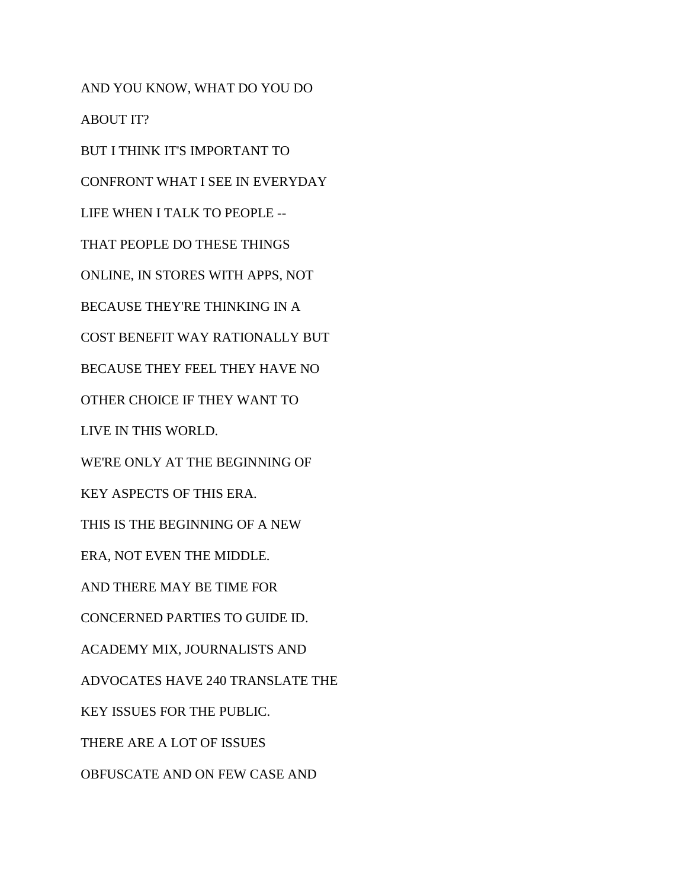AND YOU KNOW, WHAT DO YOU DO ABOUT IT? BUT I THINK IT'S IMPORTANT TO CONFRONT WHAT I SEE IN EVERYDAY LIFE WHEN I TALK TO PEOPLE -- THAT PEOPLE DO THESE THINGS ONLINE, IN STORES WITH APPS, NOT BECAUSE THEY'RE THINKING IN A COST BENEFIT WAY RATIONALLY BUT BECAUSE THEY FEEL THEY HAVE NO OTHER CHOICE IF THEY WANT TO LIVE IN THIS WORLD. WE'RE ONLY AT THE BEGINNING OF KEY ASPECTS OF THIS ERA. THIS IS THE BEGINNING OF A NEW ERA, NOT EVEN THE MIDDLE. AND THERE MAY BE TIME FOR CONCERNED PARTIES TO GUIDE ID. ACADEMY MIX, JOURNALISTS AND ADVOCATES HAVE 240 TRANSLATE THE KEY ISSUES FOR THE PUBLIC. THERE ARE A LOT OF ISSUES OBFUSCATE AND ON FEW CASE AND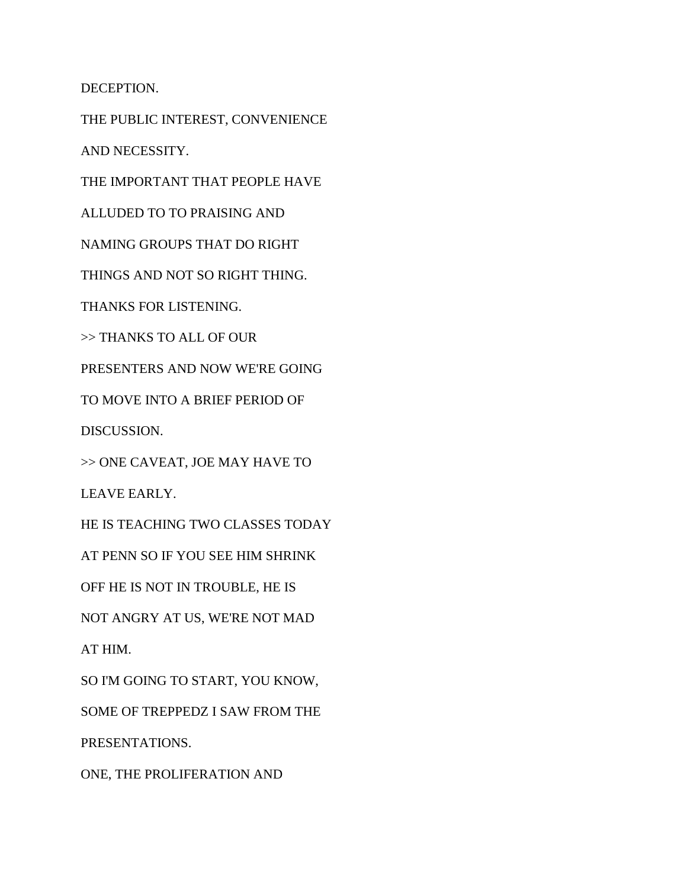DECEPTION.

THE PUBLIC INTEREST, CONVENIENCE

AND NECESSITY.

THE IMPORTANT THAT PEOPLE HAVE

ALLUDED TO TO PRAISING AND

NAMING GROUPS THAT DO RIGHT

THINGS AND NOT SO RIGHT THING.

THANKS FOR LISTENING.

>> THANKS TO ALL OF OUR

PRESENTERS AND NOW WE'RE GOING

TO MOVE INTO A BRIEF PERIOD OF

DISCUSSION.

>> ONE CAVEAT, JOE MAY HAVE TO

LEAVE EARLY.

HE IS TEACHING TWO CLASSES TODAY

AT PENN SO IF YOU SEE HIM SHRINK

OFF HE IS NOT IN TROUBLE, HE IS

NOT ANGRY AT US, WE'RE NOT MAD

AT HIM.

SO I'M GOING TO START, YOU KNOW,

SOME OF TREPPEDZ I SAW FROM THE

PRESENTATIONS.

ONE, THE PROLIFERATION AND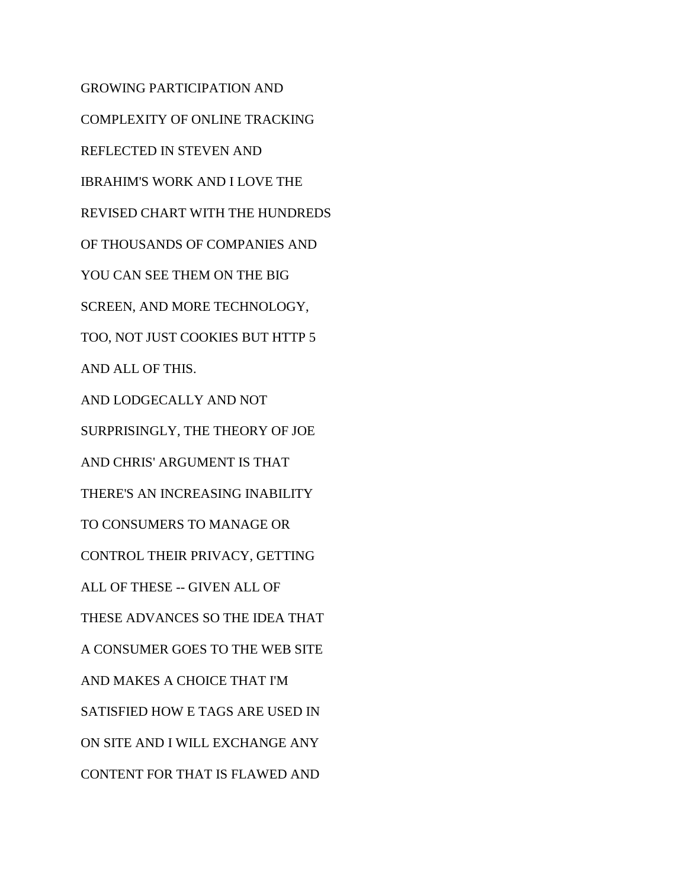GROWING PARTICIPATION AND COMPLEXITY OF ONLINE TRACKING REFLECTED IN STEVEN AND IBRAHIM'S WORK AND I LOVE THE REVISED CHART WITH THE HUNDREDS OF THOUSANDS OF COMPANIES AND YOU CAN SEE THEM ON THE BIG SCREEN, AND MORE TECHNOLOGY, TOO, NOT JUST COOKIES BUT HTTP 5 AND ALL OF THIS. AND LODGECALLY AND NOT SURPRISINGLY, THE THEORY OF JOE AND CHRIS' ARGUMENT IS THAT THERE'S AN INCREASING INABILITY TO CONSUMERS TO MANAGE OR CONTROL THEIR PRIVACY, GETTING ALL OF THESE -- GIVEN ALL OF THESE ADVANCES SO THE IDEA THAT A CONSUMER GOES TO THE WEB SITE AND MAKES A CHOICE THAT I'M SATISFIED HOW E TAGS ARE USED IN ON SITE AND I WILL EXCHANGE ANY CONTENT FOR THAT IS FLAWED AND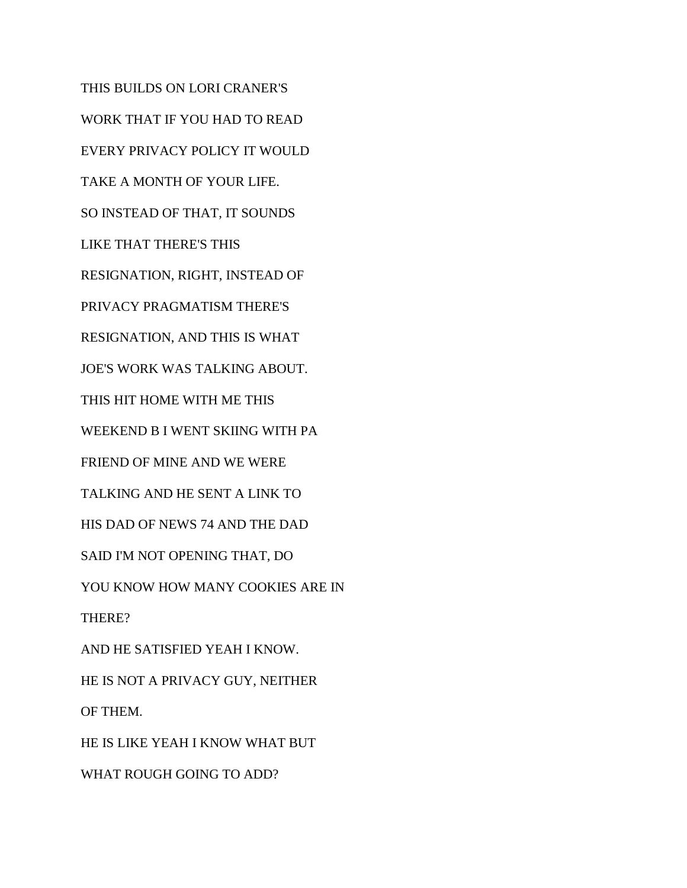THIS BUILDS ON LORI CRANER'S WORK THAT IF YOU HAD TO READ EVERY PRIVACY POLICY IT WOULD TAKE A MONTH OF YOUR LIFE. SO INSTEAD OF THAT, IT SOUNDS LIKE THAT THERE'S THIS RESIGNATION, RIGHT, INSTEAD OF PRIVACY PRAGMATISM THERE'S RESIGNATION, AND THIS IS WHAT JOE'S WORK WAS TALKING ABOUT. THIS HIT HOME WITH ME THIS WEEKEND B I WENT SKIING WITH PA FRIEND OF MINE AND WE WERE TALKING AND HE SENT A LINK TO HIS DAD OF NEWS 74 AND THE DAD SAID I'M NOT OPENING THAT, DO YOU KNOW HOW MANY COOKIES ARE IN THERE? AND HE SATISFIED YEAH I KNOW. HE IS NOT A PRIVACY GUY, NEITHER OF THEM. HE IS LIKE YEAH I KNOW WHAT BUT WHAT ROUGH GOING TO ADD?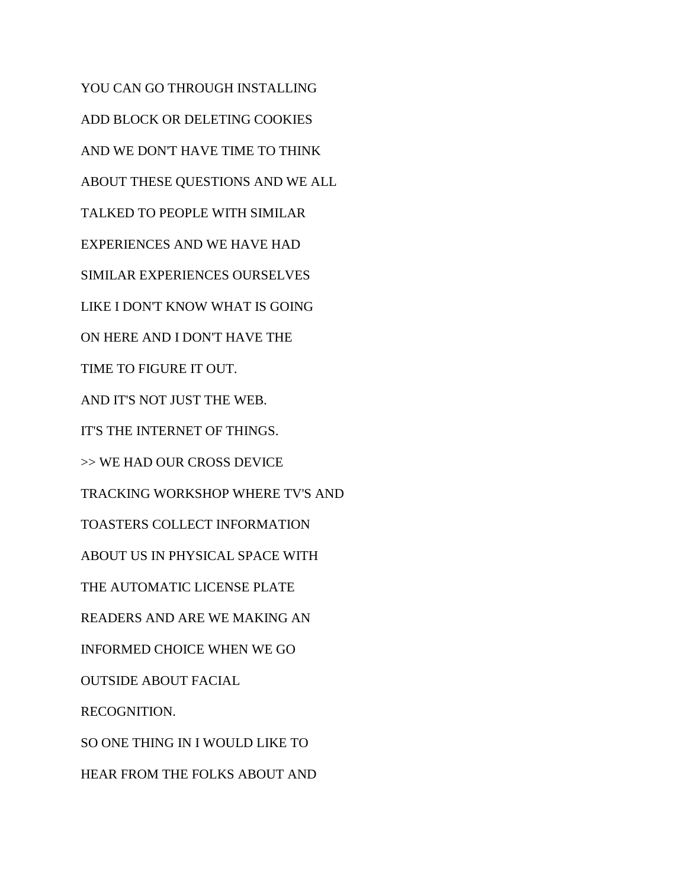YOU CAN GO THROUGH INSTALLING ADD BLOCK OR DELETING COOKIES AND WE DON'T HAVE TIME TO THINK ABOUT THESE QUESTIONS AND WE ALL TALKED TO PEOPLE WITH SIMILAR EXPERIENCES AND WE HAVE HAD SIMILAR EXPERIENCES OURSELVES LIKE I DON'T KNOW WHAT IS GOING ON HERE AND I DON'T HAVE THE TIME TO FIGURE IT OUT. AND IT'S NOT JUST THE WEB. IT'S THE INTERNET OF THINGS. >> WE HAD OUR CROSS DEVICE TRACKING WORKSHOP WHERE TV'S AND TOASTERS COLLECT INFORMATION ABOUT US IN PHYSICAL SPACE WITH THE AUTOMATIC LICENSE PLATE READERS AND ARE WE MAKING AN INFORMED CHOICE WHEN WE GO OUTSIDE ABOUT FACIAL RECOGNITION. SO ONE THING IN I WOULD LIKE TO HEAR FROM THE FOLKS ABOUT AND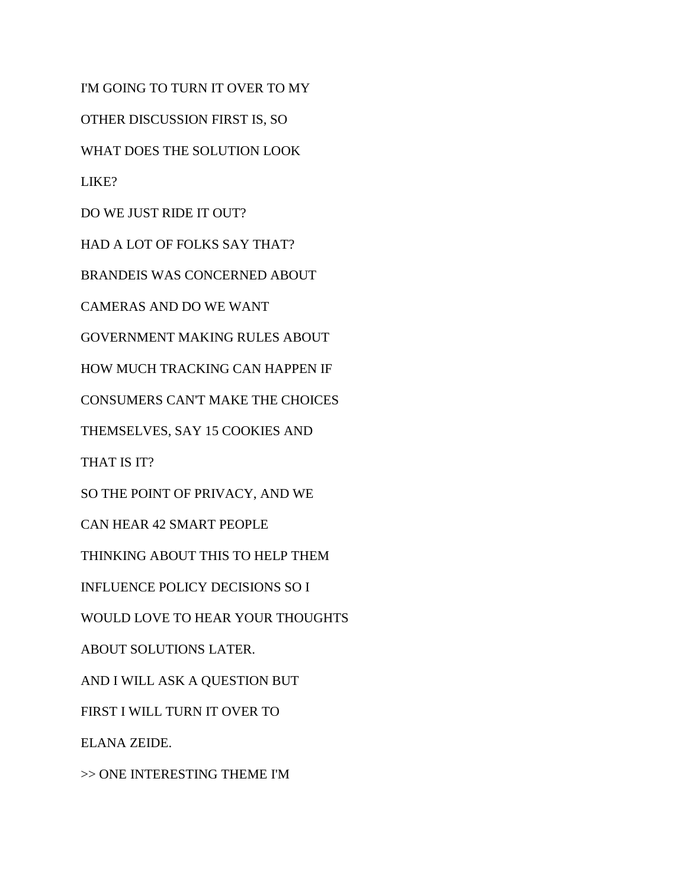I'M GOING TO TURN IT OVER TO MY OTHER DISCUSSION FIRST IS, SO WHAT DOES THE SOLUTION LOOK LIKE? DO WE JUST RIDE IT OUT? HAD A LOT OF FOLKS SAY THAT? BRANDEIS WAS CONCERNED ABOUT CAMERAS AND DO WE WANT GOVERNMENT MAKING RULES ABOUT HOW MUCH TRACKING CAN HAPPEN IF CONSUMERS CAN'T MAKE THE CHOICES THEMSELVES, SAY 15 COOKIES AND THAT IS IT? SO THE POINT OF PRIVACY, AND WE CAN HEAR 42 SMART PEOPLE THINKING ABOUT THIS TO HELP THEM INFLUENCE POLICY DECISIONS SO I WOULD LOVE TO HEAR YOUR THOUGHTS ABOUT SOLUTIONS LATER. AND I WILL ASK A QUESTION BUT FIRST I WILL TURN IT OVER TO ELANA ZEIDE. >> ONE INTERESTING THEME I'M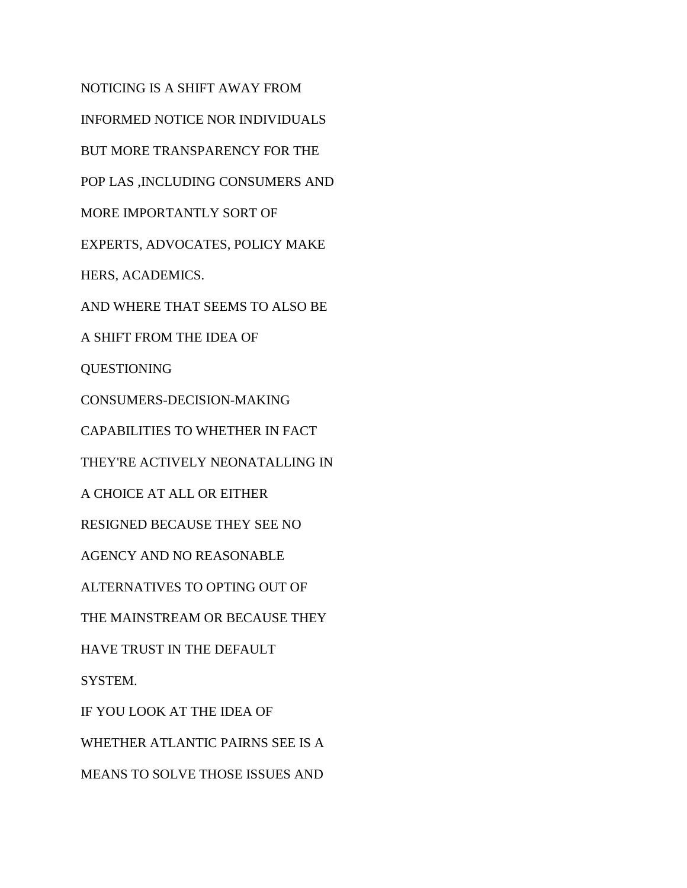NOTICING IS A SHIFT AWAY FROM INFORMED NOTICE NOR INDIVIDUALS BUT MORE TRANSPARENCY FOR THE POP LAS ,INCLUDING CONSUMERS AND MORE IMPORTANTLY SORT OF EXPERTS, ADVOCATES, POLICY MAKE HERS, ACADEMICS. AND WHERE THAT SEEMS TO ALSO BE A SHIFT FROM THE IDEA OF QUESTIONING CONSUMERS-DECISION-MAKING CAPABILITIES TO WHETHER IN FACT THEY'RE ACTIVELY NEONATALLING IN A CHOICE AT ALL OR EITHER RESIGNED BECAUSE THEY SEE NO AGENCY AND NO REASONABLE ALTERNATIVES TO OPTING OUT OF THE MAINSTREAM OR BECAUSE THEY HAVE TRUST IN THE DEFAULT SYSTEM. IF YOU LOOK AT THE IDEA OF WHETHER ATLANTIC PAIRNS SEE IS A MEANS TO SOLVE THOSE ISSUES AND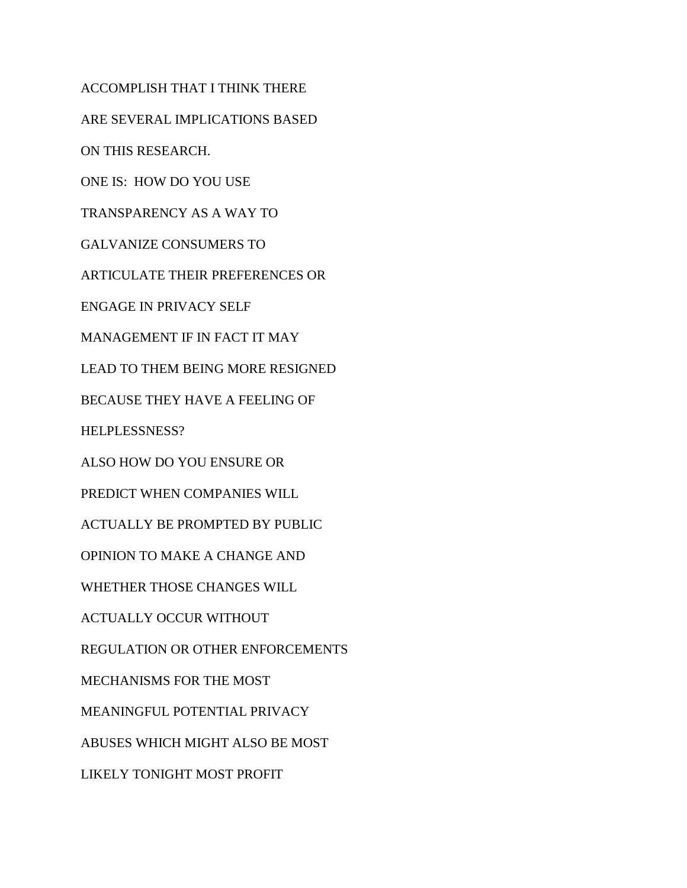ACCOMPLISH THAT I THINK THERE ARE SEVERAL IMPLICATIONS BASED ON THIS RESEARCH. ONE IS: HOW DO YOU USE TRANSPARENCY AS A WAY TO GALVANIZE CONSUMERS TO ARTICULATE THEIR PREFERENCES OR ENGAGE IN PRIVACY SELF MANAGEMENT IF IN FACT IT MAY LEAD TO THEM BEING MORE RESIGNED BECAUSE THEY HAVE A FEELING OF HELPLESSNESS? ALSO HOW DO YOU ENSURE OR PREDICT WHEN COMPANIES WILL ACTUALLY BE PROMPTED BY PUBLIC OPINION TO MAKE A CHANGE AND WHETHER THOSE CHANGES WILL ACTUALLY OCCUR WITHOUT REGULATION OR OTHER ENFORCEMENTS MECHANISMS FOR THE MOST MEANINGFUL POTENTIAL PRIVACY ABUSES WHICH MIGHT ALSO BE MOST LIKELY TONIGHT MOST PROFIT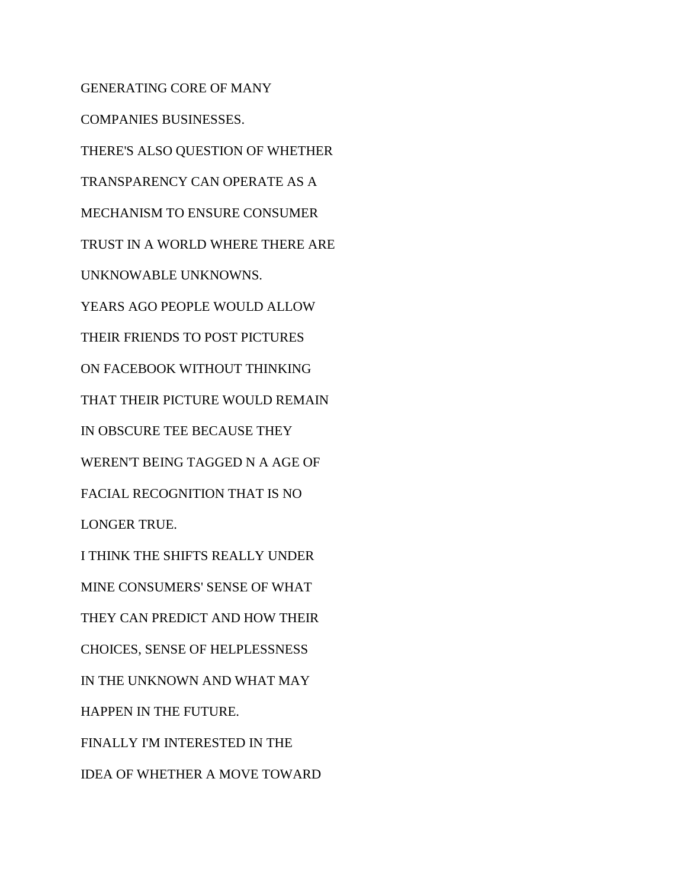GENERATING CORE OF MANY COMPANIES BUSINESSES. THERE'S ALSO QUESTION OF WHETHER TRANSPARENCY CAN OPERATE AS A MECHANISM TO ENSURE CONSUMER TRUST IN A WORLD WHERE THERE ARE UNKNOWABLE UNKNOWNS. YEARS AGO PEOPLE WOULD ALLOW THEIR FRIENDS TO POST PICTURES ON FACEBOOK WITHOUT THINKING THAT THEIR PICTURE WOULD REMAIN IN OBSCURE TEE BECAUSE THEY WEREN'T BEING TAGGED N A AGE OF FACIAL RECOGNITION THAT IS NO LONGER TRUE. I THINK THE SHIFTS REALLY UNDER MINE CONSUMERS' SENSE OF WHAT THEY CAN PREDICT AND HOW THEIR CHOICES, SENSE OF HELPLESSNESS IN THE UNKNOWN AND WHAT MAY HAPPEN IN THE FUTURE. FINALLY I'M INTERESTED IN THE IDEA OF WHETHER A MOVE TOWARD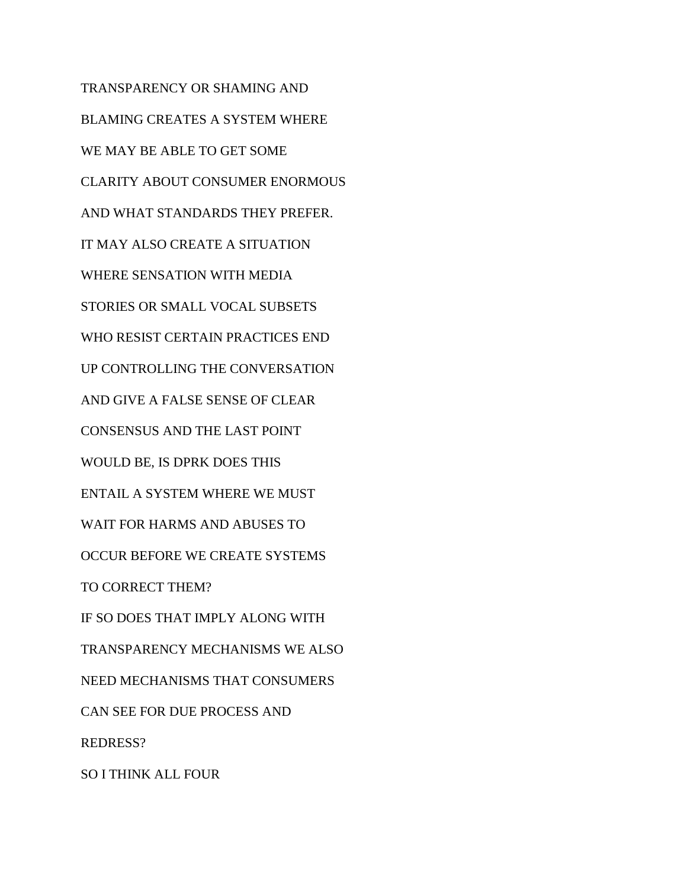TRANSPARENCY OR SHAMING AND BLAMING CREATES A SYSTEM WHERE WE MAY BE ABLE TO GET SOME CLARITY ABOUT CONSUMER ENORMOUS AND WHAT STANDARDS THEY PREFER. IT MAY ALSO CREATE A SITUATION WHERE SENSATION WITH MEDIA STORIES OR SMALL VOCAL SUBSETS WHO RESIST CERTAIN PRACTICES END UP CONTROLLING THE CONVERSATION AND GIVE A FALSE SENSE OF CLEAR CONSENSUS AND THE LAST POINT WOULD BE, IS DPRK DOES THIS ENTAIL A SYSTEM WHERE WE MUST WAIT FOR HARMS AND ABUSES TO OCCUR BEFORE WE CREATE SYSTEMS TO CORRECT THEM? IF SO DOES THAT IMPLY ALONG WITH TRANSPARENCY MECHANISMS WE ALSO NEED MECHANISMS THAT CONSUMERS CAN SEE FOR DUE PROCESS AND REDRESS? SO I THINK ALL FOUR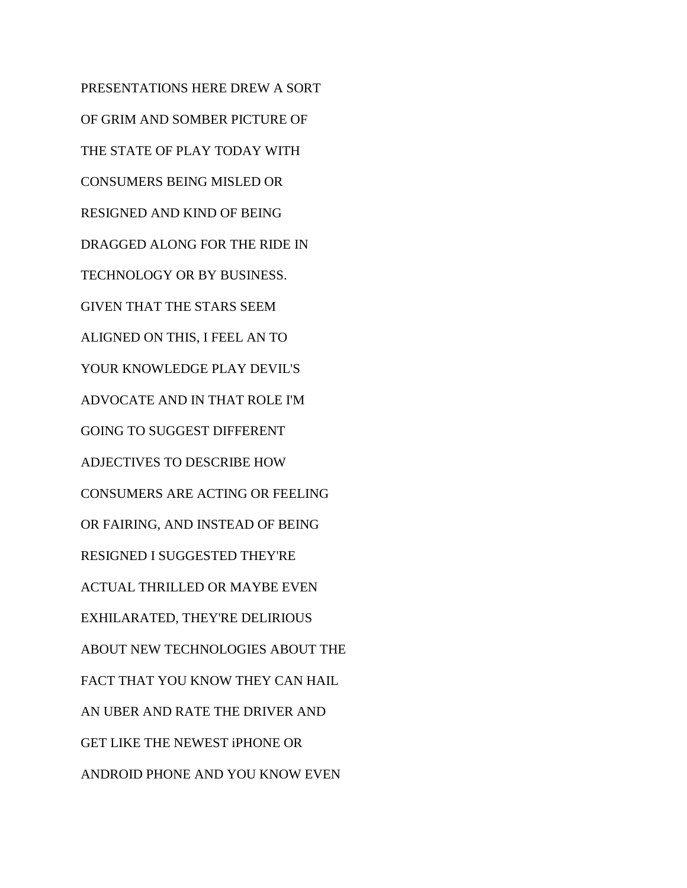PRESENTATIONS HERE DREW A SORT OF GRIM AND SOMBER PICTURE OF THE STATE OF PLAY TODAY WITH CONSUMERS BEING MISLED OR RESIGNED AND KIND OF BEING DRAGGED ALONG FOR THE RIDE IN TECHNOLOGY OR BY BUSINESS. GIVEN THAT THE STARS SEEM ALIGNED ON THIS, I FEEL AN TO YOUR KNOWLEDGE PLAY DEVIL'S ADVOCATE AND IN THAT ROLE I'M GOING TO SUGGEST DIFFERENT ADJECTIVES TO DESCRIBE HOW CONSUMERS ARE ACTING OR FEELING OR FAIRING, AND INSTEAD OF BEING RESIGNED I SUGGESTED THEY'RE ACTUAL THRILLED OR MAYBE EVEN EXHILARATED, THEY'RE DELIRIOUS ABOUT NEW TECHNOLOGIES ABOUT THE FACT THAT YOU KNOW THEY CAN HAIL AN UBER AND RATE THE DRIVER AND GET LIKE THE NEWEST iPHONE OR ANDROID PHONE AND YOU KNOW EVEN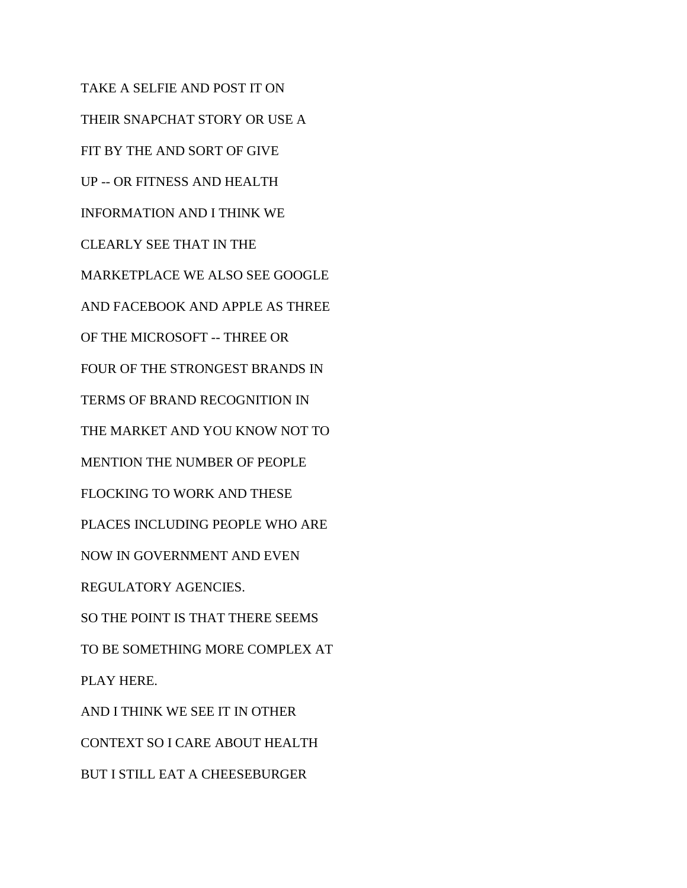TAKE A SELFIE AND POST IT ON THEIR SNAPCHAT STORY OR USE A FIT BY THE AND SORT OF GIVE UP -- OR FITNESS AND HEALTH INFORMATION AND I THINK WE CLEARLY SEE THAT IN THE MARKETPLACE WE ALSO SEE GOOGLE AND FACEBOOK AND APPLE AS THREE OF THE MICROSOFT -- THREE OR FOUR OF THE STRONGEST BRANDS IN TERMS OF BRAND RECOGNITION IN THE MARKET AND YOU KNOW NOT TO MENTION THE NUMBER OF PEOPLE FLOCKING TO WORK AND THESE PLACES INCLUDING PEOPLE WHO ARE NOW IN GOVERNMENT AND EVEN REGULATORY AGENCIES. SO THE POINT IS THAT THERE SEEMS TO BE SOMETHING MORE COMPLEX AT PLAY HERE. AND I THINK WE SEE IT IN OTHER CONTEXT SO I CARE ABOUT HEALTH

BUT I STILL EAT A CHEESEBURGER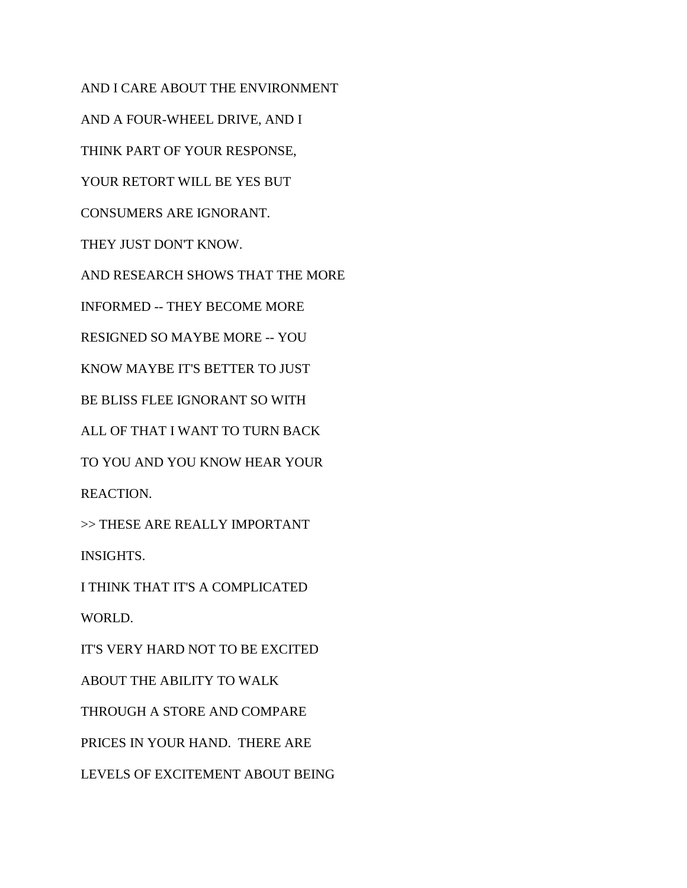AND I CARE ABOUT THE ENVIRONMENT AND A FOUR-WHEEL DRIVE, AND I THINK PART OF YOUR RESPONSE, YOUR RETORT WILL BE YES BUT CONSUMERS ARE IGNORANT. THEY JUST DON'T KNOW. AND RESEARCH SHOWS THAT THE MORE INFORMED -- THEY BECOME MORE RESIGNED SO MAYBE MORE -- YOU KNOW MAYBE IT'S BETTER TO JUST BE BLISS FLEE IGNORANT SO WITH ALL OF THAT I WANT TO TURN BACK TO YOU AND YOU KNOW HEAR YOUR REACTION. >> THESE ARE REALLY IMPORTANT INSIGHTS. I THINK THAT IT'S A COMPLICATED WORLD. IT'S VERY HARD NOT TO BE EXCITED ABOUT THE ABILITY TO WALK THROUGH A STORE AND COMPARE PRICES IN YOUR HAND. THERE ARE LEVELS OF EXCITEMENT ABOUT BEING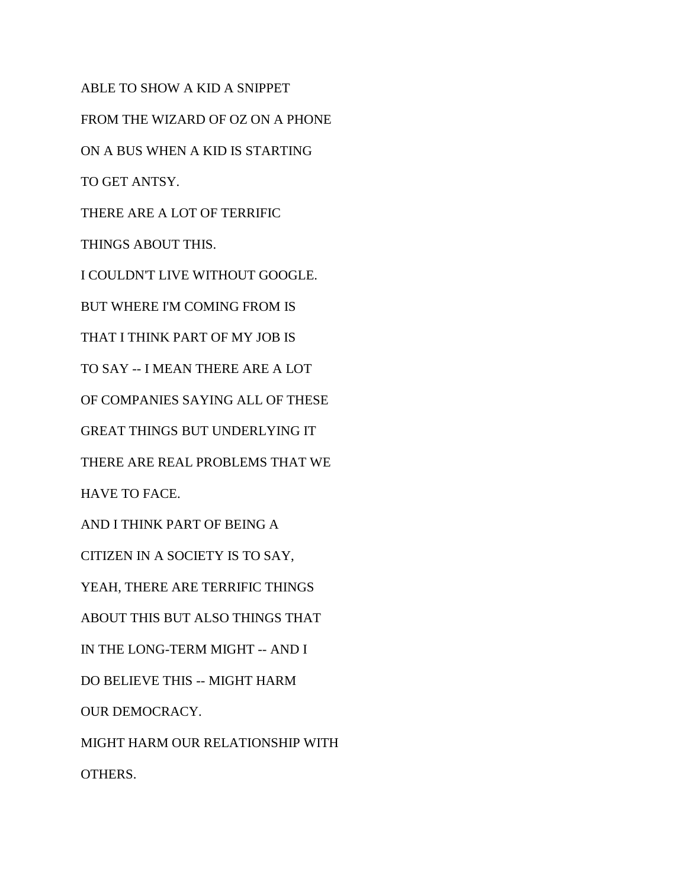ABLE TO SHOW A KID A SNIPPET FROM THE WIZARD OF OZ ON A PHONE ON A BUS WHEN A KID IS STARTING TO GET ANTSY. THERE ARE A LOT OF TERRIFIC THINGS ABOUT THIS. I COULDN'T LIVE WITHOUT GOOGLE. BUT WHERE I'M COMING FROM IS THAT I THINK PART OF MY JOB IS TO SAY -- I MEAN THERE ARE A LOT OF COMPANIES SAYING ALL OF THESE GREAT THINGS BUT UNDERLYING IT THERE ARE REAL PROBLEMS THAT WE HAVE TO FACE. AND I THINK PART OF BEING A CITIZEN IN A SOCIETY IS TO SAY, YEAH, THERE ARE TERRIFIC THINGS ABOUT THIS BUT ALSO THINGS THAT IN THE LONG-TERM MIGHT -- AND I DO BELIEVE THIS -- MIGHT HARM OUR DEMOCRACY. MIGHT HARM OUR RELATIONSHIP WITH OTHERS.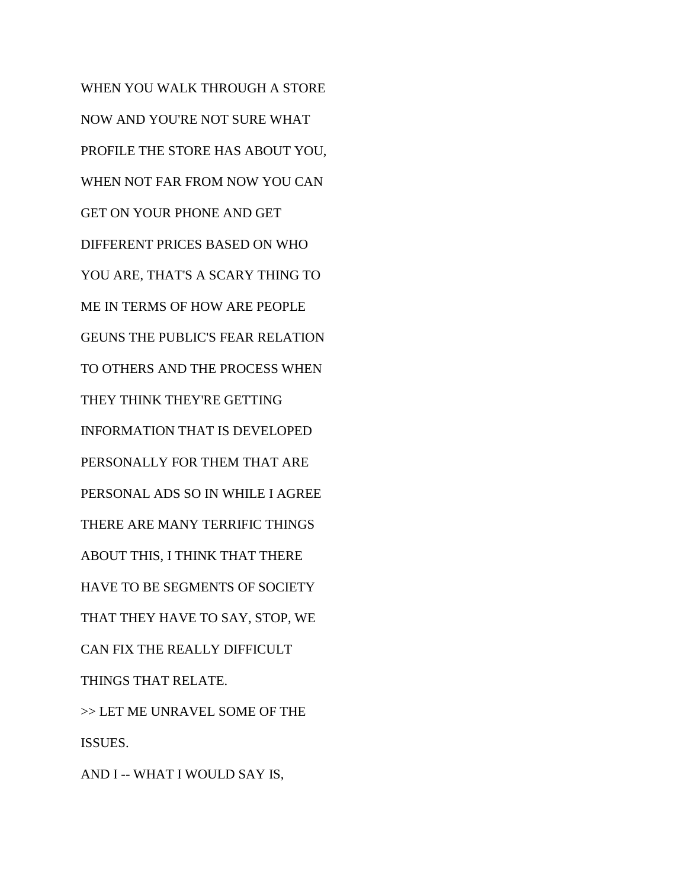WHEN YOU WALK THROUGH A STORE NOW AND YOU'RE NOT SURE WHAT PROFILE THE STORE HAS ABOUT YOU, WHEN NOT FAR FROM NOW YOU CAN GET ON YOUR PHONE AND GET DIFFERENT PRICES BASED ON WHO YOU ARE, THAT'S A SCARY THING TO ME IN TERMS OF HOW ARE PEOPLE GEUNS THE PUBLIC'S FEAR RELATION TO OTHERS AND THE PROCESS WHEN THEY THINK THEY'RE GETTING INFORMATION THAT IS DEVELOPED PERSONALLY FOR THEM THAT ARE PERSONAL ADS SO IN WHILE I AGREE THERE ARE MANY TERRIFIC THINGS ABOUT THIS, I THINK THAT THERE HAVE TO BE SEGMENTS OF SOCIETY THAT THEY HAVE TO SAY, STOP, WE CAN FIX THE REALLY DIFFICULT THINGS THAT RELATE. >> LET ME UNRAVEL SOME OF THE ISSUES. AND I -- WHAT I WOULD SAY IS,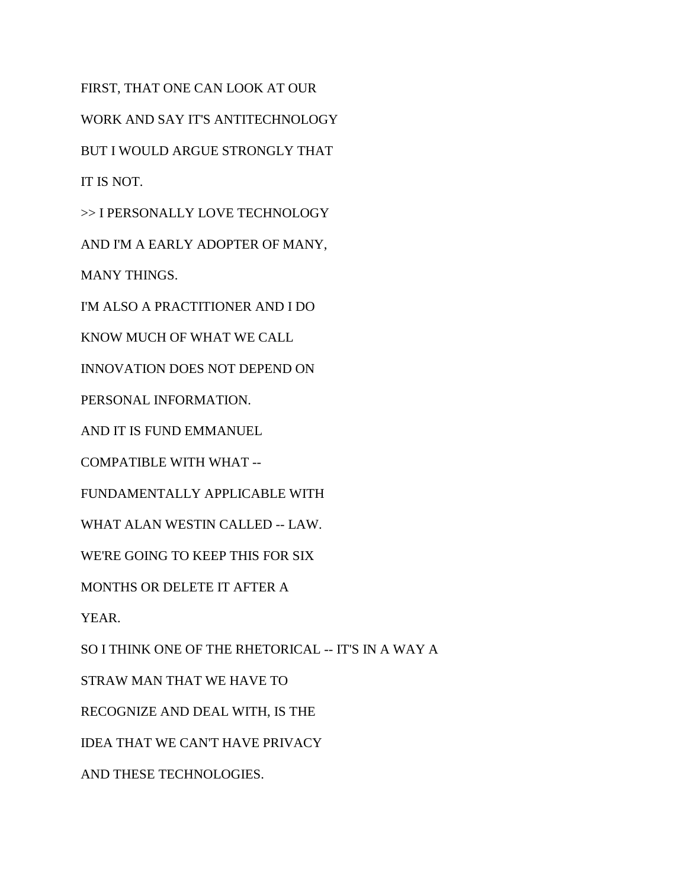FIRST, THAT ONE CAN LOOK AT OUR WORK AND SAY IT'S ANTITECHNOLOGY BUT I WOULD ARGUE STRONGLY THAT IT IS NOT. >> I PERSONALLY LOVE TECHNOLOGY AND I'M A EARLY ADOPTER OF MANY, MANY THINGS. I'M ALSO A PRACTITIONER AND I DO KNOW MUCH OF WHAT WE CALL INNOVATION DOES NOT DEPEND ON PERSONAL INFORMATION. AND IT IS FUND EMMANUEL COMPATIBLE WITH WHAT -- FUNDAMENTALLY APPLICABLE WITH WHAT ALAN WESTIN CALLED -- LAW. WE'RE GOING TO KEEP THIS FOR SIX MONTHS OR DELETE IT AFTER A YEAR. SO I THINK ONE OF THE RHETORICAL -- IT'S IN A WAY A STRAW MAN THAT WE HAVE TO RECOGNIZE AND DEAL WITH, IS THE IDEA THAT WE CAN'T HAVE PRIVACY

AND THESE TECHNOLOGIES.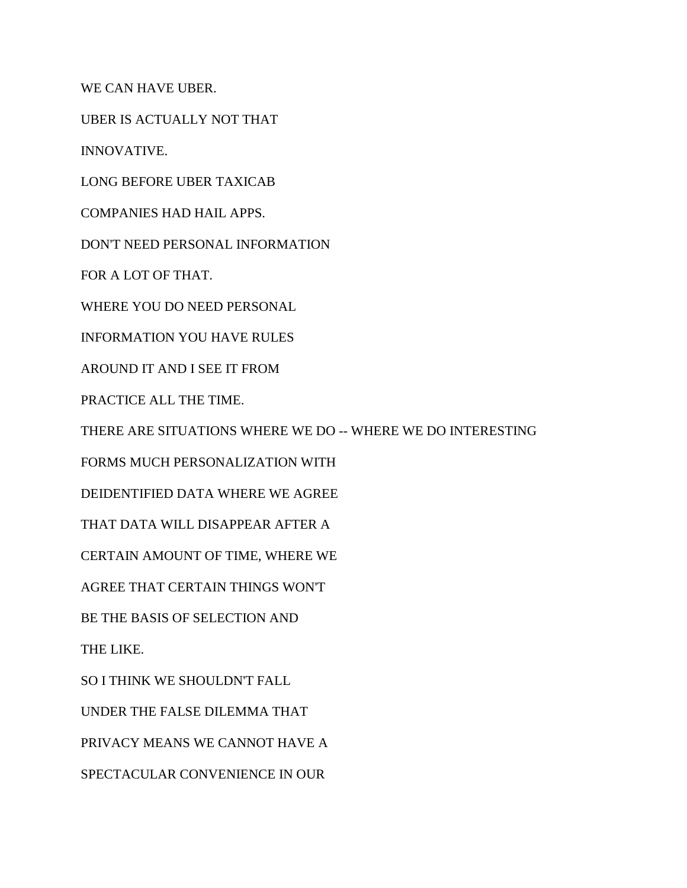WE CAN HAVE UBER.

UBER IS ACTUALLY NOT THAT

INNOVATIVE.

LONG BEFORE UBER TAXICAB

COMPANIES HAD HAIL APPS.

DON'T NEED PERSONAL INFORMATION

FOR A LOT OF THAT.

WHERE YOU DO NEED PERSONAL

INFORMATION YOU HAVE RULES

AROUND IT AND I SEE IT FROM

PRACTICE ALL THE TIME.

THERE ARE SITUATIONS WHERE WE DO -- WHERE WE DO INTERESTING

FORMS MUCH PERSONALIZATION WITH

DEIDENTIFIED DATA WHERE WE AGREE

THAT DATA WILL DISAPPEAR AFTER A

CERTAIN AMOUNT OF TIME, WHERE WE

AGREE THAT CERTAIN THINGS WON'T

BE THE BASIS OF SELECTION AND

THE LIKE.

SO I THINK WE SHOULDN'T FALL

UNDER THE FALSE DILEMMA THAT

PRIVACY MEANS WE CANNOT HAVE A

SPECTACULAR CONVENIENCE IN OUR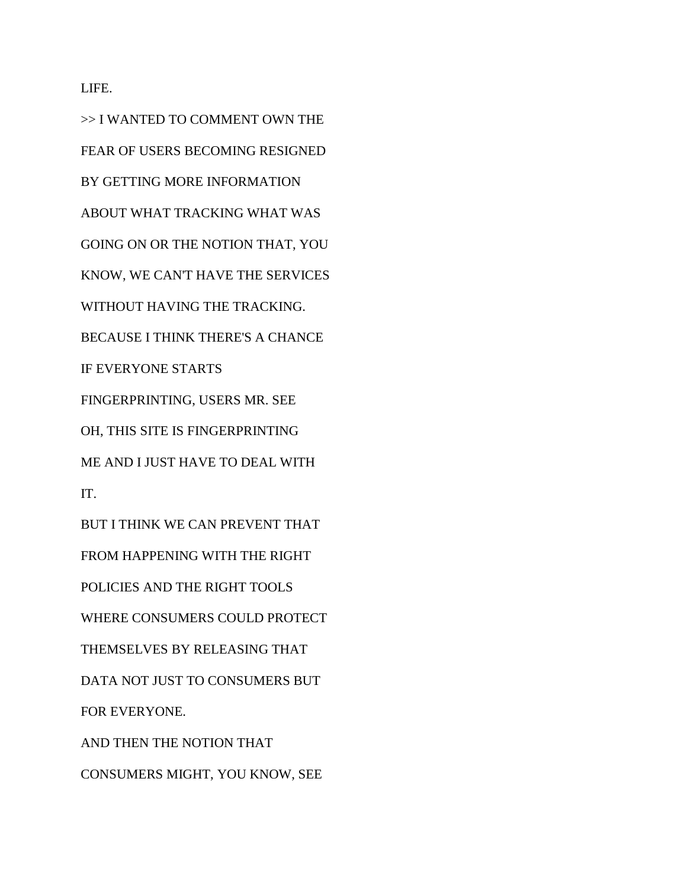LIFE.

>> I WANTED TO COMMENT OWN THE FEAR OF USERS BECOMING RESIGNED BY GETTING MORE INFORMATION ABOUT WHAT TRACKING WHAT WAS GOING ON OR THE NOTION THAT, YOU KNOW, WE CAN'T HAVE THE SERVICES WITHOUT HAVING THE TRACKING. BECAUSE I THINK THERE'S A CHANCE IF EVERYONE STARTS FINGERPRINTING, USERS MR. SEE OH, THIS SITE IS FINGERPRINTING ME AND I JUST HAVE TO DEAL WITH IT. BUT I THINK WE CAN PREVENT THAT FROM HAPPENING WITH THE RIGHT POLICIES AND THE RIGHT TOOLS WHERE CONSUMERS COULD PROTECT THEMSELVES BY RELEASING THAT DATA NOT JUST TO CONSUMERS BUT FOR EVERYONE. AND THEN THE NOTION THAT

CONSUMERS MIGHT, YOU KNOW, SEE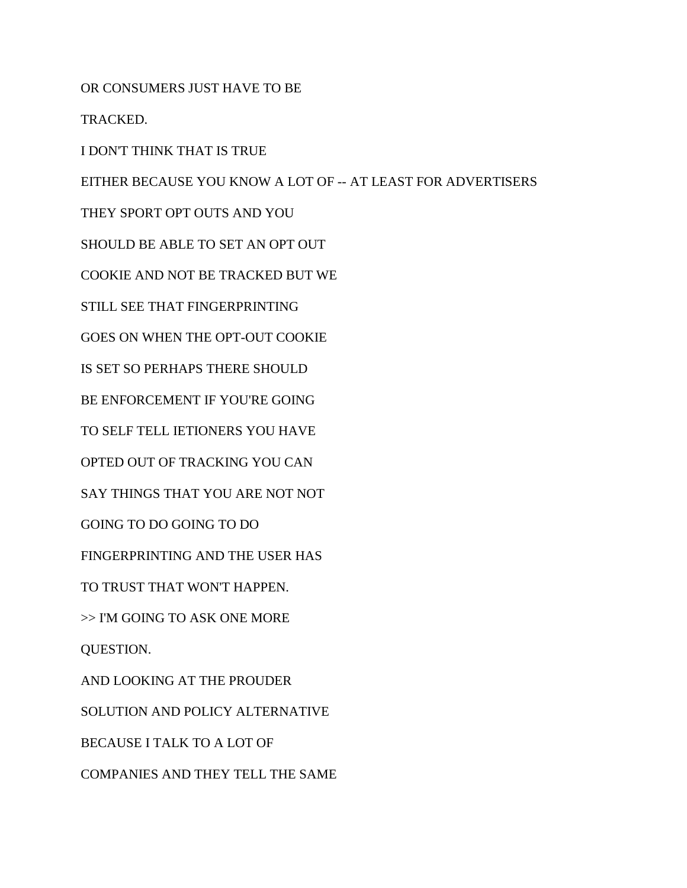OR CONSUMERS JUST HAVE TO BE

TRACKED.

I DON'T THINK THAT IS TRUE

EITHER BECAUSE YOU KNOW A LOT OF -- AT LEAST FOR ADVERTISERS

THEY SPORT OPT OUTS AND YOU

SHOULD BE ABLE TO SET AN OPT OUT

COOKIE AND NOT BE TRACKED BUT WE

STILL SEE THAT FINGERPRINTING

GOES ON WHEN THE OPT-OUT COOKIE

IS SET SO PERHAPS THERE SHOULD

BE ENFORCEMENT IF YOU'RE GOING

TO SELF TELL IETIONERS YOU HAVE

OPTED OUT OF TRACKING YOU CAN

SAY THINGS THAT YOU ARE NOT NOT

GOING TO DO GOING TO DO

FINGERPRINTING AND THE USER HAS

TO TRUST THAT WON'T HAPPEN.

>> I'M GOING TO ASK ONE MORE

QUESTION.

AND LOOKING AT THE PROUDER

SOLUTION AND POLICY ALTERNATIVE

BECAUSE I TALK TO A LOT OF

COMPANIES AND THEY TELL THE SAME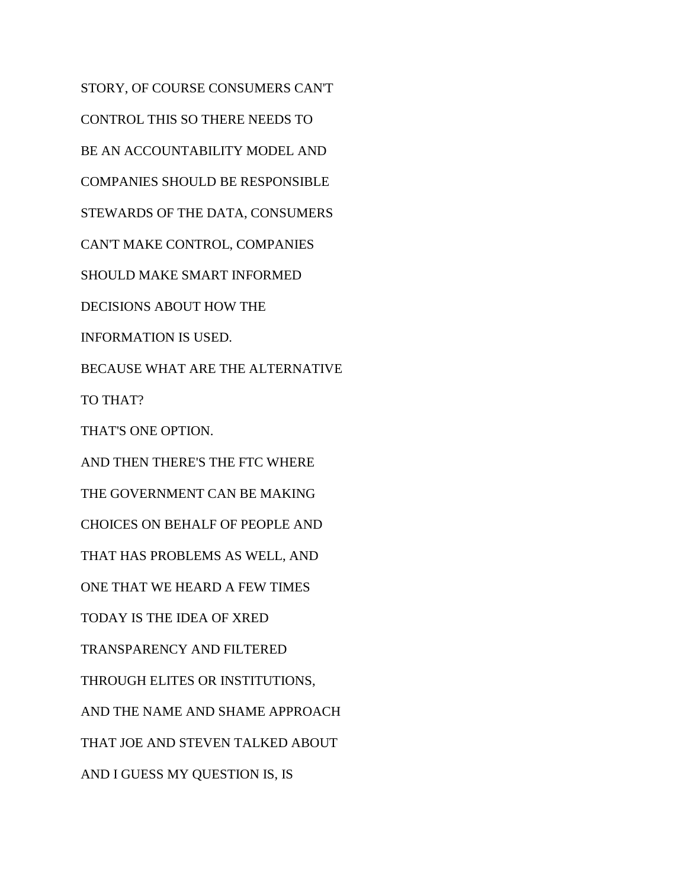STORY, OF COURSE CONSUMERS CAN'T CONTROL THIS SO THERE NEEDS TO BE AN ACCOUNTABILITY MODEL AND COMPANIES SHOULD BE RESPONSIBLE STEWARDS OF THE DATA, CONSUMERS CAN'T MAKE CONTROL, COMPANIES SHOULD MAKE SMART INFORMED DECISIONS ABOUT HOW THE INFORMATION IS USED. BECAUSE WHAT ARE THE ALTERNATIVE TO THAT? THAT'S ONE OPTION. AND THEN THERE'S THE FTC WHERE THE GOVERNMENT CAN BE MAKING CHOICES ON BEHALF OF PEOPLE AND THAT HAS PROBLEMS AS WELL, AND ONE THAT WE HEARD A FEW TIMES TODAY IS THE IDEA OF XRED TRANSPARENCY AND FILTERED THROUGH ELITES OR INSTITUTIONS, AND THE NAME AND SHAME APPROACH THAT JOE AND STEVEN TALKED ABOUT AND I GUESS MY QUESTION IS, IS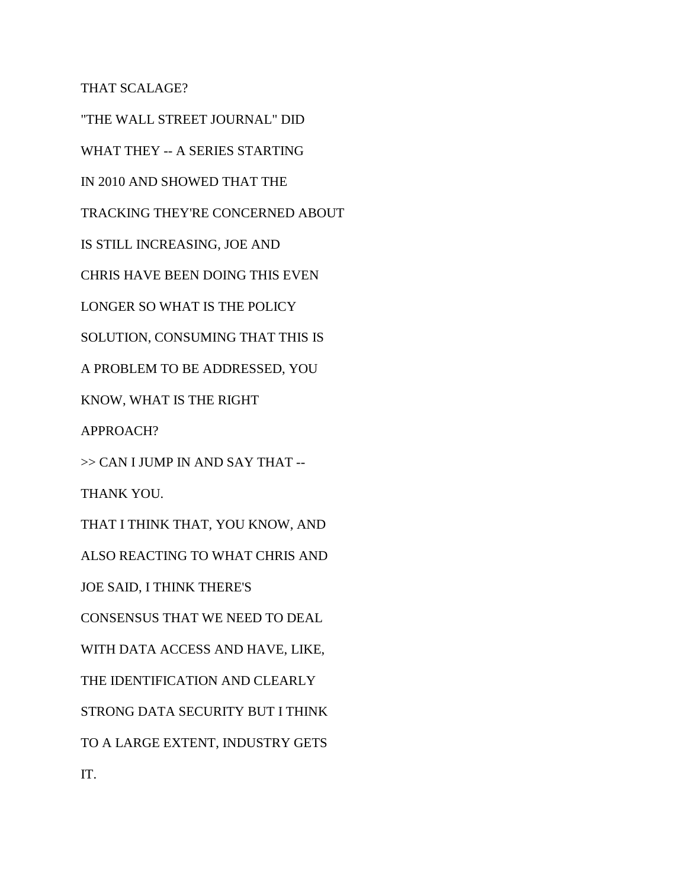THAT SCALAGE?

"THE WALL STREET JOURNAL" DID WHAT THEY -- A SERIES STARTING IN 2010 AND SHOWED THAT THE TRACKING THEY'RE CONCERNED ABOUT IS STILL INCREASING, JOE AND CHRIS HAVE BEEN DOING THIS EVEN LONGER SO WHAT IS THE POLICY SOLUTION, CONSUMING THAT THIS IS A PROBLEM TO BE ADDRESSED, YOU KNOW, WHAT IS THE RIGHT APPROACH? >> CAN I JUMP IN AND SAY THAT -- THANK YOU. THAT I THINK THAT, YOU KNOW, AND ALSO REACTING TO WHAT CHRIS AND JOE SAID, I THINK THERE'S CONSENSUS THAT WE NEED TO DEAL WITH DATA ACCESS AND HAVE, LIKE, THE IDENTIFICATION AND CLEARLY STRONG DATA SECURITY BUT I THINK TO A LARGE EXTENT, INDUSTRY GETS IT.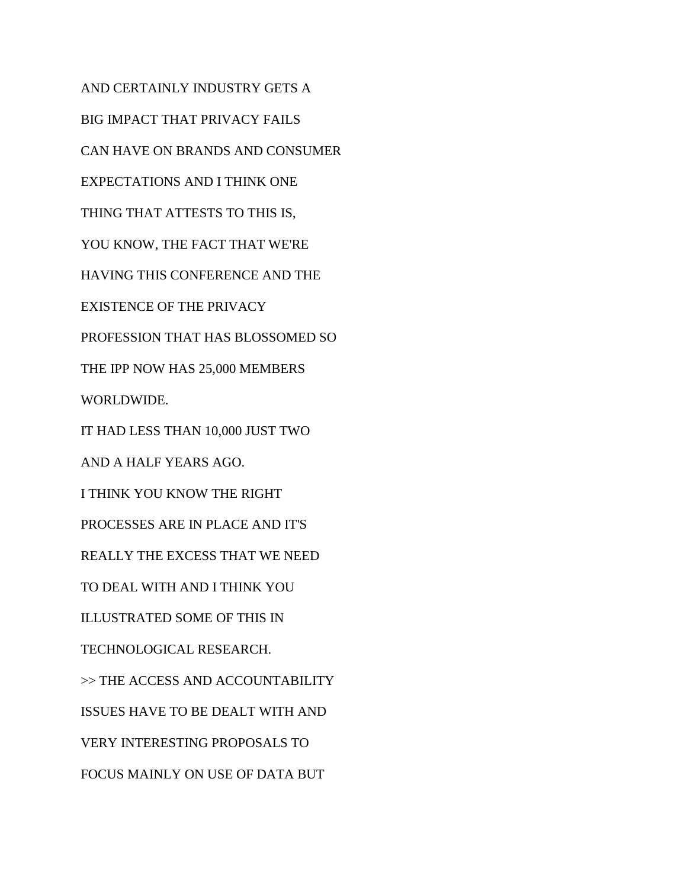AND CERTAINLY INDUSTRY GETS A BIG IMPACT THAT PRIVACY FAILS CAN HAVE ON BRANDS AND CONSUMER EXPECTATIONS AND I THINK ONE THING THAT ATTESTS TO THIS IS, YOU KNOW, THE FACT THAT WE'RE HAVING THIS CONFERENCE AND THE EXISTENCE OF THE PRIVACY PROFESSION THAT HAS BLOSSOMED SO THE IPP NOW HAS 25,000 MEMBERS WORLDWIDE. IT HAD LESS THAN 10,000 JUST TWO AND A HALF YEARS AGO. I THINK YOU KNOW THE RIGHT PROCESSES ARE IN PLACE AND IT'S REALLY THE EXCESS THAT WE NEED TO DEAL WITH AND I THINK YOU ILLUSTRATED SOME OF THIS IN TECHNOLOGICAL RESEARCH. >> THE ACCESS AND ACCOUNTABILITY ISSUES HAVE TO BE DEALT WITH AND VERY INTERESTING PROPOSALS TO FOCUS MAINLY ON USE OF DATA BUT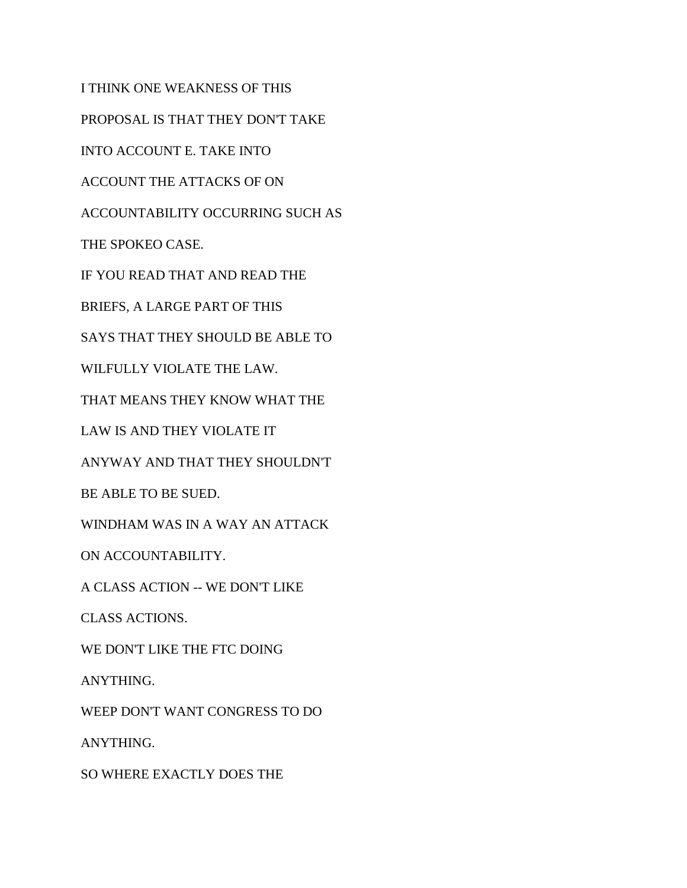I THINK ONE WEAKNESS OF THIS PROPOSAL IS THAT THEY DON'T TAKE INTO ACCOUNT E. TAKE INTO ACCOUNT THE ATTACKS OF ON ACCOUNTABILITY OCCURRING SUCH AS THE SPOKEO CASE. IF YOU READ THAT AND READ THE BRIEFS, A LARGE PART OF THIS SAYS THAT THEY SHOULD BE ABLE TO WILFULLY VIOLATE THE LAW. THAT MEANS THEY KNOW WHAT THE LAW IS AND THEY VIOLATE IT ANYWAY AND THAT THEY SHOULDN'T BE ABLE TO BE SUED. WINDHAM WAS IN A WAY AN ATTACK ON ACCOUNTABILITY. A CLASS ACTION -- WE DON'T LIKE CLASS ACTIONS. WE DON'T LIKE THE FTC DOING ANYTHING. WEEP DON'T WANT CONGRESS TO DO ANYTHING. SO WHERE EXACTLY DOES THE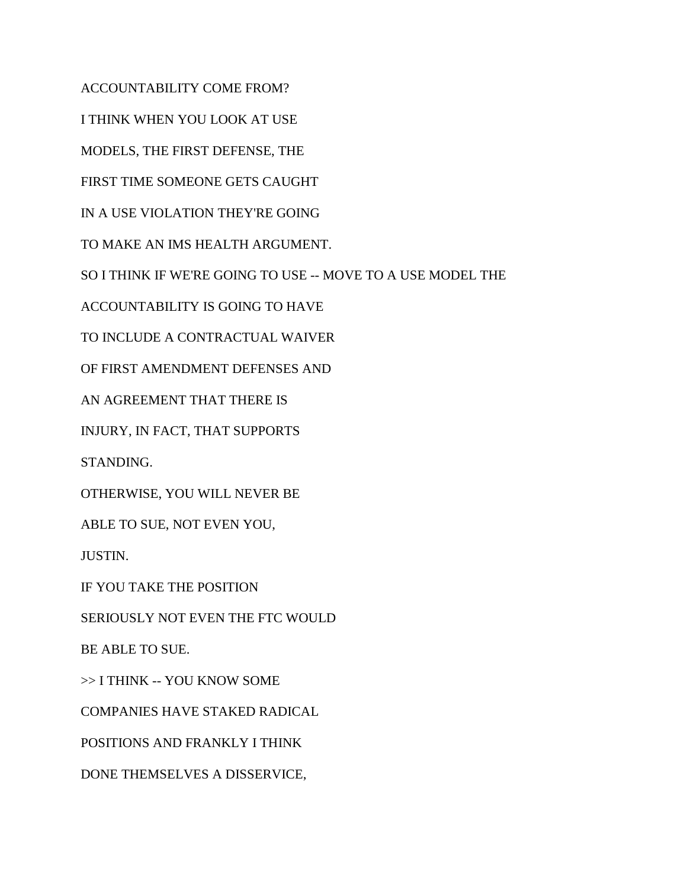ACCOUNTABILITY COME FROM?

I THINK WHEN YOU LOOK AT USE

MODELS, THE FIRST DEFENSE, THE

FIRST TIME SOMEONE GETS CAUGHT

IN A USE VIOLATION THEY'RE GOING

TO MAKE AN IMS HEALTH ARGUMENT.

SO I THINK IF WE'RE GOING TO USE -- MOVE TO A USE MODEL THE

ACCOUNTABILITY IS GOING TO HAVE

TO INCLUDE A CONTRACTUAL WAIVER

OF FIRST AMENDMENT DEFENSES AND

AN AGREEMENT THAT THERE IS

INJURY, IN FACT, THAT SUPPORTS

STANDING.

OTHERWISE, YOU WILL NEVER BE

ABLE TO SUE, NOT EVEN YOU,

JUSTIN.

IF YOU TAKE THE POSITION

SERIOUSLY NOT EVEN THE FTC WOULD

BE ABLE TO SUE.

>> I THINK -- YOU KNOW SOME

COMPANIES HAVE STAKED RADICAL

POSITIONS AND FRANKLY I THINK

DONE THEMSELVES A DISSERVICE,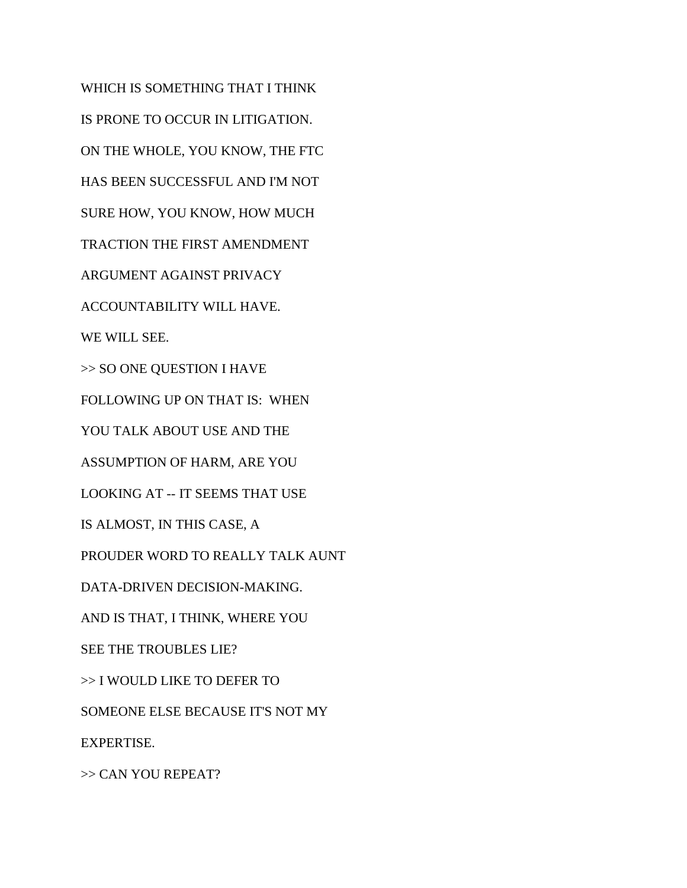WHICH IS SOMETHING THAT I THINK IS PRONE TO OCCUR IN LITIGATION. ON THE WHOLE, YOU KNOW, THE FTC HAS BEEN SUCCESSFUL AND I'M NOT SURE HOW, YOU KNOW, HOW MUCH TRACTION THE FIRST AMENDMENT ARGUMENT AGAINST PRIVACY ACCOUNTABILITY WILL HAVE. WE WILL SEE. >> SO ONE QUESTION I HAVE FOLLOWING UP ON THAT IS: WHEN YOU TALK ABOUT USE AND THE ASSUMPTION OF HARM, ARE YOU LOOKING AT -- IT SEEMS THAT USE IS ALMOST, IN THIS CASE, A PROUDER WORD TO REALLY TALK AUNT DATA-DRIVEN DECISION-MAKING. AND IS THAT, I THINK, WHERE YOU SEE THE TROUBLES LIE? >> I WOULD LIKE TO DEFER TO SOMEONE ELSE BECAUSE IT'S NOT MY EXPERTISE. >> CAN YOU REPEAT?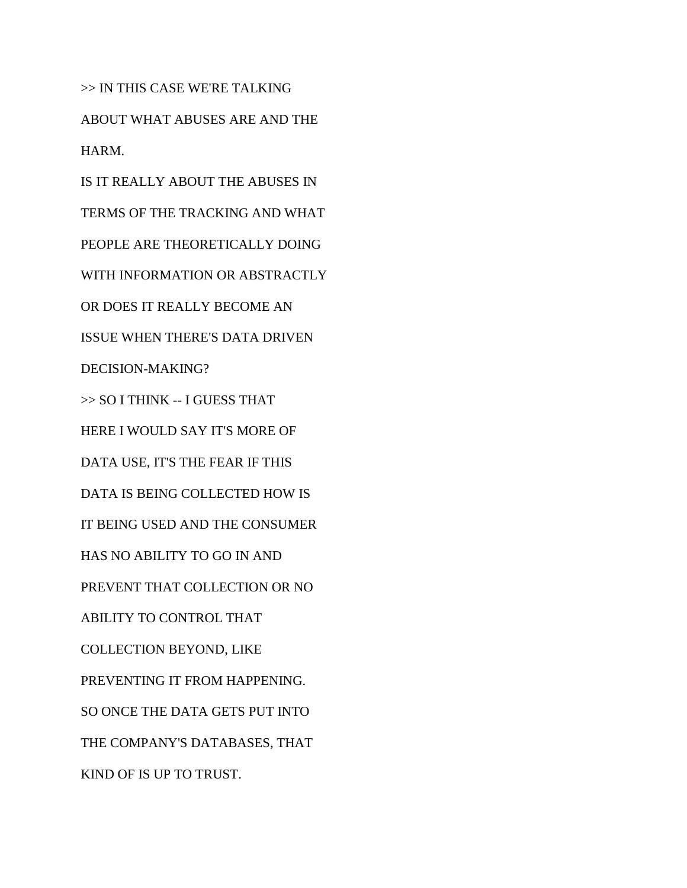>> IN THIS CASE WE'RE TALKING ABOUT WHAT ABUSES ARE AND THE HARM.

IS IT REALLY ABOUT THE ABUSES IN TERMS OF THE TRACKING AND WHAT PEOPLE ARE THEORETICALLY DOING WITH INFORMATION OR ABSTRACTLY OR DOES IT REALLY BECOME AN ISSUE WHEN THERE'S DATA DRIVEN DECISION-MAKING? >> SO I THINK -- I GUESS THAT HERE I WOULD SAY IT'S MORE OF DATA USE, IT'S THE FEAR IF THIS DATA IS BEING COLLECTED HOW IS IT BEING USED AND THE CONSUMER HAS NO ABILITY TO GO IN AND PREVENT THAT COLLECTION OR NO ABILITY TO CONTROL THAT COLLECTION BEYOND, LIKE PREVENTING IT FROM HAPPENING. SO ONCE THE DATA GETS PUT INTO THE COMPANY'S DATABASES, THAT KIND OF IS UP TO TRUST.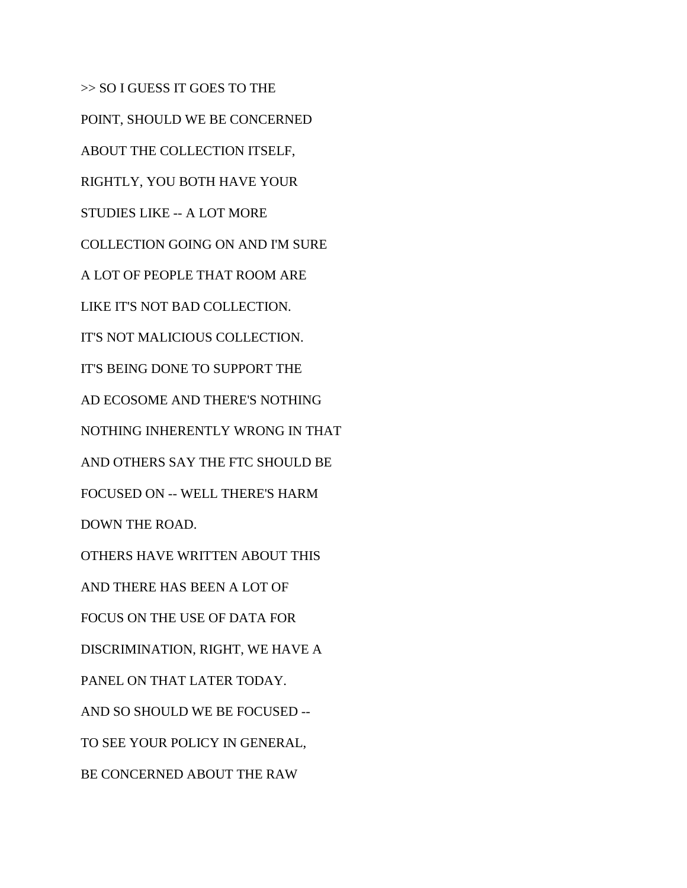>> SO I GUESS IT GOES TO THE POINT, SHOULD WE BE CONCERNED ABOUT THE COLLECTION ITSELF, RIGHTLY, YOU BOTH HAVE YOUR STUDIES LIKE -- A LOT MORE COLLECTION GOING ON AND I'M SURE A LOT OF PEOPLE THAT ROOM ARE LIKE IT'S NOT BAD COLLECTION. IT'S NOT MALICIOUS COLLECTION. IT'S BEING DONE TO SUPPORT THE AD ECOSOME AND THERE'S NOTHING NOTHING INHERENTLY WRONG IN THAT AND OTHERS SAY THE FTC SHOULD BE FOCUSED ON -- WELL THERE'S HARM DOWN THE ROAD. OTHERS HAVE WRITTEN ABOUT THIS AND THERE HAS BEEN A LOT OF FOCUS ON THE USE OF DATA FOR DISCRIMINATION, RIGHT, WE HAVE A PANEL ON THAT LATER TODAY. AND SO SHOULD WE BE FOCUSED -- TO SEE YOUR POLICY IN GENERAL, BE CONCERNED ABOUT THE RAW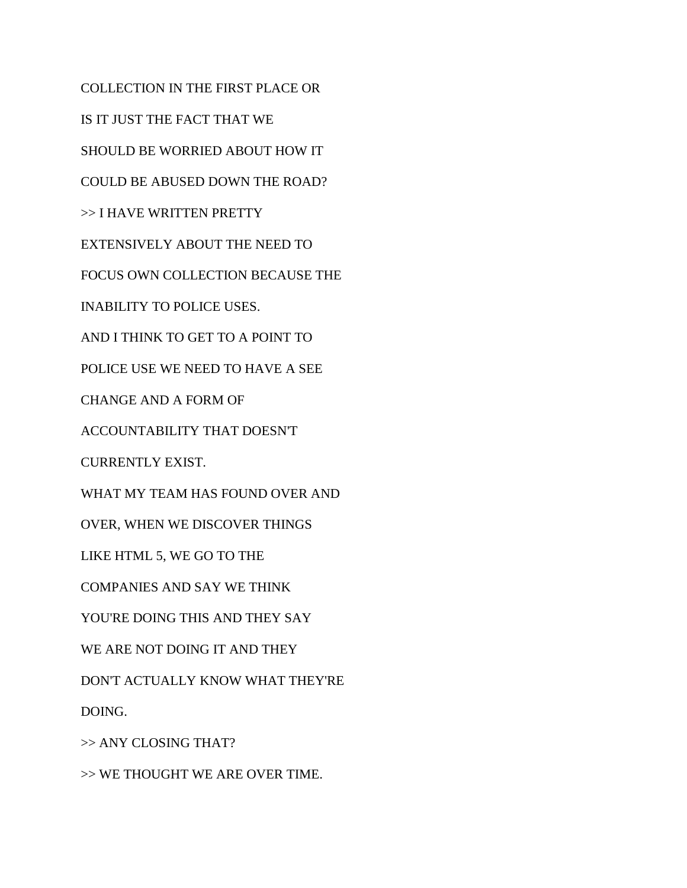COLLECTION IN THE FIRST PLACE OR IS IT JUST THE FACT THAT WE SHOULD BE WORRIED ABOUT HOW IT COULD BE ABUSED DOWN THE ROAD? >> I HAVE WRITTEN PRETTY EXTENSIVELY ABOUT THE NEED TO FOCUS OWN COLLECTION BECAUSE THE INABILITY TO POLICE USES. AND I THINK TO GET TO A POINT TO POLICE USE WE NEED TO HAVE A SEE CHANGE AND A FORM OF ACCOUNTABILITY THAT DOESN'T CURRENTLY EXIST. WHAT MY TEAM HAS FOUND OVER AND OVER, WHEN WE DISCOVER THINGS LIKE HTML 5, WE GO TO THE COMPANIES AND SAY WE THINK YOU'RE DOING THIS AND THEY SAY WE ARE NOT DOING IT AND THEY DON'T ACTUALLY KNOW WHAT THEY'RE DOING. >> ANY CLOSING THAT?

>> WE THOUGHT WE ARE OVER TIME.